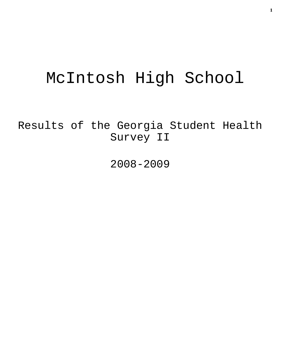# McIntosh High School

Results of the Georgia Student Health Survey II

2008-2009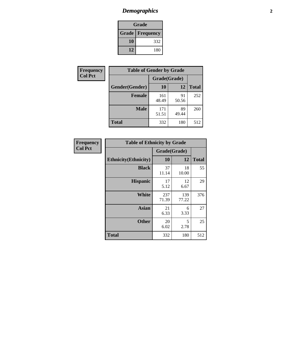# *Demographics* **2**

| Grade                    |     |  |  |  |
|--------------------------|-----|--|--|--|
| <b>Grade   Frequency</b> |     |  |  |  |
| 10                       | 332 |  |  |  |
| 12                       | 180 |  |  |  |

| <b>Frequency</b> | <b>Table of Gender by Grade</b> |              |             |              |  |  |
|------------------|---------------------------------|--------------|-------------|--------------|--|--|
| <b>Col Pct</b>   |                                 | Grade(Grade) |             |              |  |  |
|                  | Gender(Gender)                  | 10           | 12          | <b>Total</b> |  |  |
|                  | <b>Female</b>                   | 161<br>48.49 | 91<br>50.56 | 252          |  |  |
|                  | <b>Male</b>                     | 171<br>51.51 | 89<br>49.44 | 260          |  |  |
|                  | <b>Total</b>                    | 332          | 180         | 512          |  |  |

| <b>Frequency</b><br>Col Pct |
|-----------------------------|

|  | <b>Table of Ethnicity by Grade</b> |              |              |              |  |  |  |  |
|--|------------------------------------|--------------|--------------|--------------|--|--|--|--|
|  |                                    | Grade(Grade) |              |              |  |  |  |  |
|  | <b>Ethnicity</b> (Ethnicity)       | 10           | 12           | <b>Total</b> |  |  |  |  |
|  | <b>Black</b>                       | 37<br>11.14  | 18<br>10.00  | 55           |  |  |  |  |
|  | <b>Hispanic</b>                    | 17<br>5.12   | 12<br>6.67   | 29           |  |  |  |  |
|  | White                              | 237<br>71.39 | 139<br>77.22 | 376          |  |  |  |  |
|  | <b>Asian</b>                       | 21<br>6.33   | 6<br>3.33    | 27           |  |  |  |  |
|  | <b>Other</b>                       | 20<br>6.02   | 5<br>2.78    | 25           |  |  |  |  |
|  | <b>Total</b>                       | 332          | 180          | 512          |  |  |  |  |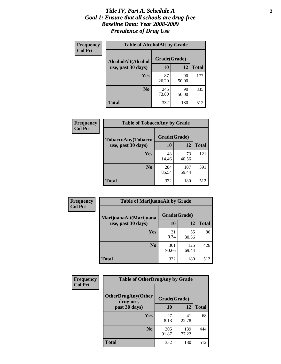#### *Title IV, Part A, Schedule A* **3** *Goal 1: Ensure that all schools are drug-free Baseline Data: Year 2008-2009 Prevalence of Drug Use*

| Frequency<br><b>Col Pct</b> | <b>Table of AlcoholAlt by Grade</b> |              |             |              |  |  |
|-----------------------------|-------------------------------------|--------------|-------------|--------------|--|--|
|                             | AlcoholAlt(Alcohol                  | Grade(Grade) |             |              |  |  |
|                             | use, past 30 days)                  | <b>10</b>    | 12          | <b>Total</b> |  |  |
|                             | <b>Yes</b>                          | 87<br>26.20  | 90<br>50.00 | 177          |  |  |
|                             | N <sub>0</sub>                      | 245<br>73.80 | 90<br>50.00 | 335          |  |  |
|                             | Total                               | 332          | 180         | 512          |  |  |

| <b>Frequency</b> | <b>Table of TobaccoAny by Grade</b> |              |              |              |  |  |
|------------------|-------------------------------------|--------------|--------------|--------------|--|--|
| <b>Col Pct</b>   | TobaccoAny(Tobacco                  | Grade(Grade) |              |              |  |  |
|                  | use, past 30 days)                  | 10           | 12           | <b>Total</b> |  |  |
|                  | Yes                                 | 48<br>14.46  | 73<br>40.56  | 121          |  |  |
|                  | N <sub>0</sub>                      | 284<br>85.54 | 107<br>59.44 | 391          |  |  |
|                  | Total                               | 332          | 180          | 512          |  |  |

| Frequency<br><b>Col Pct</b> | <b>Table of MarijuanaAlt by Grade</b> |              |              |     |  |
|-----------------------------|---------------------------------------|--------------|--------------|-----|--|
|                             | MarijuanaAlt(Marijuana                | Grade(Grade) |              |     |  |
| use, past 30 days)          | 10                                    | 12           | <b>Total</b> |     |  |
|                             | Yes                                   | 31<br>9.34   | 55<br>30.56  | 86  |  |
|                             | N <sub>0</sub>                        | 301<br>90.66 | 125<br>69.44 | 426 |  |
|                             | <b>Total</b>                          | 332          | 180          | 512 |  |

| <b>Frequency</b> | <b>Table of OtherDrugAny by Grade</b>  |              |              |              |  |
|------------------|----------------------------------------|--------------|--------------|--------------|--|
| <b>Col Pct</b>   | <b>OtherDrugAny(Other</b><br>drug use, | Grade(Grade) |              |              |  |
|                  | past 30 days)                          | 10           | 12           | <b>Total</b> |  |
|                  | Yes                                    | 27<br>8.13   | 41<br>22.78  | 68           |  |
|                  | N <sub>0</sub>                         | 305<br>91.87 | 139<br>77.22 | 444          |  |
|                  | <b>Total</b>                           | 332          | 180          | 512          |  |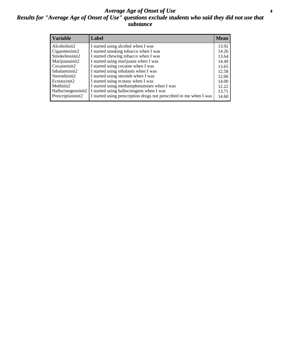#### *Average Age of Onset of Use* **4** *Results for "Average Age of Onset of Use" questions exclude students who said they did not use that substance*

| <b>Variable</b>    | Label                                                              | <b>Mean</b> |
|--------------------|--------------------------------------------------------------------|-------------|
| Alcoholinit2       | I started using alcohol when I was                                 | 13.92       |
| Cigarettesinit2    | I started smoking tobacco when I was                               | 14.26       |
| Smokelessinit2     | I started chewing tobacco when I was                               | 13.64       |
| Marijuanainit2     | I started using marijuana when I was                               | 14.49       |
| Cocaineinit2       | I started using cocaine when I was                                 | 13.65       |
| Inhalantsinit2     | I started using inhalants when I was                               | 12.58       |
| Steroidsinit2      | I started using steroids when I was                                | 12.00       |
| Ecstasyinit2       | I started using ecstasy when I was                                 | 14.00       |
| Methinit2          | I started using methamphetamines when I was                        | 12.22       |
| Hallucinogensinit2 | I started using hallucinogens when I was                           | 13.71       |
| Prescriptioninit2  | I started using prescription drugs not prescribed to me when I was | 14.60       |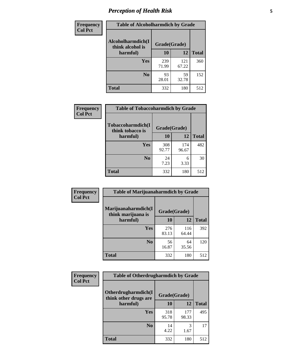# *Perception of Health Risk* **5**

| Frequency      | <b>Table of Alcoholharmdich by Grade</b> |              |              |              |  |
|----------------|------------------------------------------|--------------|--------------|--------------|--|
| <b>Col Pct</b> | Alcoholharmdich(I<br>think alcohol is    | Grade(Grade) |              |              |  |
|                | harmful)                                 | 10           | 12           | <b>Total</b> |  |
|                | Yes                                      | 239<br>71.99 | 121<br>67.22 | 360          |  |
|                | N <sub>0</sub>                           | 93<br>28.01  | 59<br>32.78  | 152          |  |
|                | <b>Total</b>                             | 332          | 180          | 512          |  |

| <b>Frequency</b> | <b>Table of Tobaccoharmdich by Grade</b> |              |              |              |  |
|------------------|------------------------------------------|--------------|--------------|--------------|--|
| <b>Col Pct</b>   | Tobaccoharmdich(I<br>think tobacco is    | Grade(Grade) |              |              |  |
|                  | harmful)                                 | 10           | 12           | <b>Total</b> |  |
|                  | Yes                                      | 308<br>92.77 | 174<br>96.67 | 482          |  |
|                  | N <sub>0</sub>                           | 24<br>7.23   | 6<br>3.33    | 30           |  |
|                  | <b>Total</b>                             | 332          | 180          | 512          |  |

| Frequency      | <b>Table of Marijuanaharmdich by Grade</b> |              |              |              |  |  |
|----------------|--------------------------------------------|--------------|--------------|--------------|--|--|
| <b>Col Pct</b> | Marijuanaharmdich(I<br>think marijuana is  | Grade(Grade) |              |              |  |  |
|                | harmful)                                   | 10           | 12           | <b>Total</b> |  |  |
|                | Yes                                        | 276<br>83.13 | 116<br>64.44 | 392          |  |  |
|                | N <sub>0</sub>                             | 56<br>16.87  | 64<br>35.56  | 120          |  |  |
|                | <b>Total</b>                               | 332          | 180          | 512          |  |  |

| Frequency      | <b>Table of Otherdrugharmdich by Grade</b>   |              |              |              |  |  |  |
|----------------|----------------------------------------------|--------------|--------------|--------------|--|--|--|
| <b>Col Pct</b> | Otherdrugharmdich(I<br>think other drugs are | Grade(Grade) |              |              |  |  |  |
|                | harmful)                                     | 10           | <b>12</b>    | <b>Total</b> |  |  |  |
|                | <b>Yes</b>                                   | 318<br>95.78 | 177<br>98.33 | 495          |  |  |  |
|                | N <sub>0</sub>                               | 14<br>4.22   | 3<br>1.67    | 17           |  |  |  |
|                | <b>Total</b>                                 | 332          | 180          | 512          |  |  |  |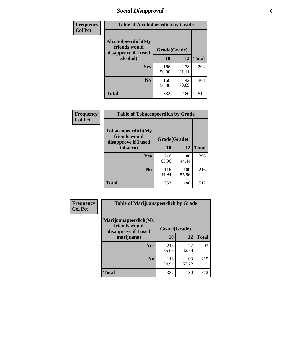# *Social Disapproval* **6**

| Frequency      | <b>Table of Alcoholpeerdich by Grade</b>                    |              |              |              |
|----------------|-------------------------------------------------------------|--------------|--------------|--------------|
| <b>Col Pct</b> | Alcoholpeerdich(My<br>friends would<br>disapprove if I used | Grade(Grade) |              |              |
|                | alcohol)                                                    | 10           | 12           | <b>Total</b> |
|                | <b>Yes</b>                                                  | 166<br>50.00 | 38<br>21.11  | 204          |
|                | N <sub>0</sub>                                              | 166<br>50.00 | 142<br>78.89 | 308          |
|                | <b>Total</b>                                                | 332          | 180          | 512          |

| <b>Frequency</b> |
|------------------|
| <b>Col Pct</b>   |

|                                                                    | <b>Table of Tobaccopeerdich by Grade</b> |              |              |  |  |  |
|--------------------------------------------------------------------|------------------------------------------|--------------|--------------|--|--|--|
| <b>Tobaccopeerdich(My</b><br>friends would<br>disapprove if I used | Grade(Grade)                             |              |              |  |  |  |
| tobacco)                                                           | 10                                       | 12           | <b>Total</b> |  |  |  |
| Yes                                                                | 216<br>65.06                             | 80<br>44.44  | 296          |  |  |  |
| N <sub>0</sub>                                                     | 116<br>34.94                             | 100<br>55.56 | 216          |  |  |  |
| <b>Total</b>                                                       | 332                                      | 180          | 512          |  |  |  |

| Frequency                                                                                                                                                                                   |              |              |              |              |
|---------------------------------------------------------------------------------------------------------------------------------------------------------------------------------------------|--------------|--------------|--------------|--------------|
| <b>Table of Marijuanapeerdich by Grade</b><br><b>Col Pct</b><br>Marijuanapeerdich(My<br>friends would<br>disapprove if I used<br>marijuana)<br><b>Yes</b><br>N <sub>0</sub><br><b>Total</b> | Grade(Grade) |              |              |              |
|                                                                                                                                                                                             |              | 10           | 12           | <b>Total</b> |
|                                                                                                                                                                                             |              | 216<br>65.06 | 77<br>42.78  | 293          |
|                                                                                                                                                                                             |              | 116<br>34.94 | 103<br>57.22 | 219          |
|                                                                                                                                                                                             |              | 332          | 180          | 512          |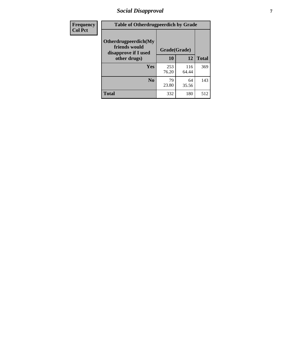# *Social Disapproval* **7**

| Frequency      | <b>Table of Otherdrugpeerdich by Grade</b>                    |              |              |              |  |  |
|----------------|---------------------------------------------------------------|--------------|--------------|--------------|--|--|
| <b>Col Pct</b> | Otherdrugpeerdich(My<br>friends would<br>disapprove if I used | Grade(Grade) |              |              |  |  |
|                | other drugs)                                                  | 10           | 12           | <b>Total</b> |  |  |
|                | <b>Yes</b>                                                    | 253<br>76.20 | 116<br>64.44 | 369          |  |  |
|                | N <sub>0</sub>                                                | 79<br>23.80  | 64<br>35.56  | 143          |  |  |
|                | <b>Total</b>                                                  | 332          | 180          | 512          |  |  |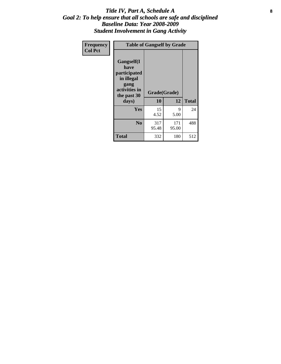### Title IV, Part A, Schedule A **8** *Goal 2: To help ensure that all schools are safe and disciplined Baseline Data: Year 2008-2009 Student Involvement in Gang Activity*

| Frequency      |                                                                                                           | <b>Table of Gangself by Grade</b> |              |              |
|----------------|-----------------------------------------------------------------------------------------------------------|-----------------------------------|--------------|--------------|
| <b>Col Pct</b> | <b>Gangself</b> (I<br>have<br>participated<br>in illegal<br>gang<br>activities in<br>the past 30<br>days) | Grade(Grade)<br>10                | 12           | <b>Total</b> |
|                | Yes                                                                                                       | 15<br>4.52                        | 9<br>5.00    | 24           |
|                | N <sub>0</sub>                                                                                            | 317<br>95.48                      | 171<br>95.00 | 488          |
|                | <b>Total</b>                                                                                              | 332                               | 180          | 512          |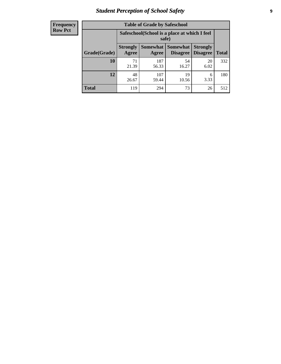# *Student Perception of School Safety* **9**

| Frequency           |
|---------------------|
| I<br><b>Row Pct</b> |

| <b>Table of Grade by Safeschool</b> |                          |                                                        |                             |                                    |              |  |  |
|-------------------------------------|--------------------------|--------------------------------------------------------|-----------------------------|------------------------------------|--------------|--|--|
|                                     |                          | Safeschool (School is a place at which I feel<br>safe) |                             |                                    |              |  |  |
| Grade(Grade)                        | <b>Strongly</b><br>Agree | <b>Somewhat</b><br>Agree                               | <b>Somewhat</b><br>Disagree | <b>Strongly</b><br><b>Disagree</b> | <b>Total</b> |  |  |
| 10                                  | 71<br>21.39              | 187<br>56.33                                           | 54<br>16.27                 | 20<br>6.02                         | 332          |  |  |
| 12                                  | 48<br>26.67              | 107<br>59.44                                           | 19<br>10.56                 | 6<br>3.33                          | 180          |  |  |
| <b>Total</b>                        | 119                      | 294                                                    | 73                          | 26                                 | 512          |  |  |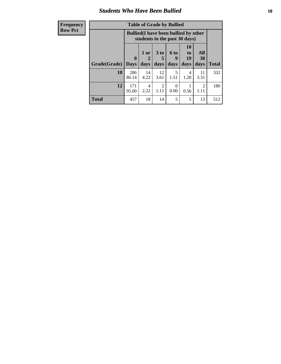### *Students Who Have Been Bullied* **10**

| <b>Frequency</b> | <b>Table of Grade by Bullied</b> |                                                                               |            |                                     |           |                       |            |              |
|------------------|----------------------------------|-------------------------------------------------------------------------------|------------|-------------------------------------|-----------|-----------------------|------------|--------------|
| <b>Row Pct</b>   |                                  | <b>Bullied</b> (I have been bullied by other<br>students in the past 30 days) |            |                                     |           |                       |            |              |
|                  |                                  | $\mathbf{0}$                                                                  | 1 or<br>2  | 3 <sub>to</sub>                     | 6 to<br>g | <b>10</b><br>to<br>19 | All<br>30  |              |
|                  | Grade(Grade)                     | <b>Days</b>                                                                   | days       | days                                | days      | days                  | days       | <b>Total</b> |
|                  | 10                               | 286<br>86.14                                                                  | 14<br>4.22 | 12<br>3.61                          | 5<br>1.51 | 4<br>1.20             | 11<br>3.31 | 332          |
|                  | 12                               | 171<br>95.00                                                                  | 4<br>2.22  | $\mathcal{D}_{\mathcal{L}}$<br>1.11 | 0<br>0.00 | 0.56                  | 2<br>1.11  | 180          |
|                  | <b>Total</b>                     | 457                                                                           | 18         | 14                                  | 5         | 5                     | 13         | 512          |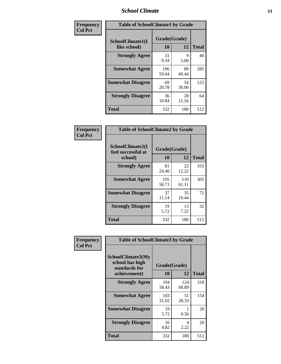### *School Climate* **11**

| Frequency      | <b>Table of SchoolClimate1 by Grade</b> |                    |             |              |  |  |
|----------------|-----------------------------------------|--------------------|-------------|--------------|--|--|
| <b>Col Pct</b> | SchoolClimate1(I<br>like school)        | Grade(Grade)<br>10 | 12          | <b>Total</b> |  |  |
|                | <b>Strongly Agree</b>                   | 31<br>9.34         | 9<br>5.00   | 40           |  |  |
|                | <b>Somewhat Agree</b>                   | 196<br>59.04       | 89<br>49.44 | 285          |  |  |
|                | <b>Somewhat Disagree</b>                | 69<br>20.78        | 54<br>30.00 | 123          |  |  |
|                | <b>Strongly Disagree</b>                | 36<br>10.84        | 28<br>15.56 | 64           |  |  |
|                | <b>Total</b>                            | 332                | 180         | 512          |  |  |

| Frequency<br>Col Pct |  |
|----------------------|--|

| <b>Table of SchoolClimate2 by Grade</b>           |                    |              |              |
|---------------------------------------------------|--------------------|--------------|--------------|
| SchoolClimate2(I<br>feel successful at<br>school) | Grade(Grade)<br>10 | 12           | <b>Total</b> |
| <b>Strongly Agree</b>                             | 81<br>24.40        | 22<br>12.22  | 103          |
| <b>Somewhat Agree</b>                             | 195<br>58.73       | 110<br>61.11 | 305          |
| <b>Somewhat Disagree</b>                          | 37<br>11.14        | 35<br>19.44  | 72           |
| <b>Strongly Disagree</b>                          | 19<br>5.72         | 13<br>7.22   | 32           |
| <b>Total</b>                                      | 332                | 180          | 512          |

| Frequency      | <b>Table of SchoolClimate3 by Grade</b>                                      |                           |              |              |
|----------------|------------------------------------------------------------------------------|---------------------------|--------------|--------------|
| <b>Col Pct</b> | <b>SchoolClimate3(My</b><br>school has high<br>standards for<br>achievement) | Grade(Grade)<br><b>10</b> | 12           | <b>Total</b> |
|                | <b>Strongly Agree</b>                                                        | 194<br>58.43              | 124<br>68.89 | 318          |
|                | <b>Somewhat Agree</b>                                                        | 103<br>31.02              | 51<br>28.33  | 154          |
|                | <b>Somewhat Disagree</b>                                                     | 19<br>5.72                | 0.56         | 20           |
|                | <b>Strongly Disagree</b>                                                     | 16<br>4.82                | 4<br>2.22    | 20           |
|                | Total                                                                        | 332                       | 180          | 512          |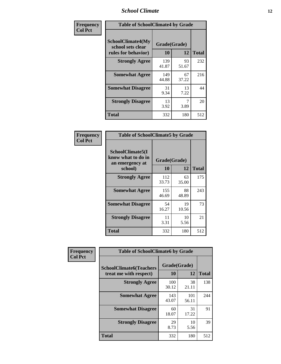### *School Climate* **12**

| Frequency      | <b>Table of SchoolClimate4 by Grade</b>                              |                    |             |              |
|----------------|----------------------------------------------------------------------|--------------------|-------------|--------------|
| <b>Col Pct</b> | <b>SchoolClimate4(My</b><br>school sets clear<br>rules for behavior) | Grade(Grade)<br>10 | 12          | <b>Total</b> |
|                | <b>Strongly Agree</b>                                                | 139<br>41.87       | 93<br>51.67 | 232          |
|                | <b>Somewhat Agree</b>                                                | 149<br>44.88       | 67<br>37.22 | 216          |
|                | <b>Somewhat Disagree</b>                                             | 31<br>9.34         | 13<br>7.22  | 44           |
|                | <b>Strongly Disagree</b>                                             | 13<br>3.92         | 7<br>3.89   | 20           |
|                | <b>Total</b>                                                         | 332                | 180         | 512          |

| <b>Table of SchoolClimate5 by Grade</b>                              |                    |             |              |  |  |
|----------------------------------------------------------------------|--------------------|-------------|--------------|--|--|
| SchoolClimate5(I<br>know what to do in<br>an emergency at<br>school) | Grade(Grade)<br>10 | 12          | <b>Total</b> |  |  |
| <b>Strongly Agree</b>                                                | 112<br>33.73       | 63<br>35.00 | 175          |  |  |
| <b>Somewhat Agree</b>                                                | 155<br>46.69       | 88<br>48.89 | 243          |  |  |
| <b>Somewhat Disagree</b>                                             | 54<br>16.27        | 19<br>10.56 | 73           |  |  |
| <b>Strongly Disagree</b>                                             | 11<br>3.31         | 10<br>5.56  | 21           |  |  |
| Total                                                                | 332                | 180         | 512          |  |  |

| Frequency      | <b>Table of SchoolClimate6 by Grade</b>                  |                    |              |              |
|----------------|----------------------------------------------------------|--------------------|--------------|--------------|
| <b>Col Pct</b> | <b>SchoolClimate6(Teachers</b><br>treat me with respect) | Grade(Grade)<br>10 | 12           | <b>Total</b> |
|                | <b>Strongly Agree</b>                                    | 100<br>30.12       | 38<br>21.11  | 138          |
|                | <b>Somewhat Agree</b>                                    | 143<br>43.07       | 101<br>56.11 | 244          |
|                | <b>Somewhat Disagree</b>                                 | 60<br>18.07        | 31<br>17.22  | 91           |
|                | <b>Strongly Disagree</b>                                 | 29<br>8.73         | 10<br>5.56   | 39           |
|                | <b>Total</b>                                             | 332                | 180          | 512          |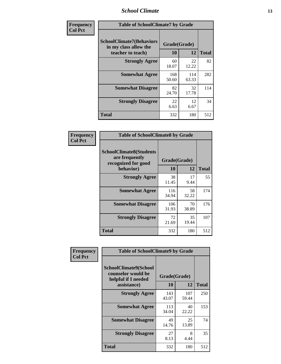### *School Climate* **13**

| Frequency      | <b>Table of SchoolClimate7 by Grade</b>                                       |                           |              |              |
|----------------|-------------------------------------------------------------------------------|---------------------------|--------------|--------------|
| <b>Col Pct</b> | <b>SchoolClimate7(Behaviors</b><br>in my class allow the<br>teacher to teach) | Grade(Grade)<br><b>10</b> | 12           | <b>Total</b> |
|                | <b>Strongly Agree</b>                                                         | 60<br>18.07               | 22<br>12.22  | 82           |
|                | <b>Somewhat Agree</b>                                                         | 168<br>50.60              | 114<br>63.33 | 282          |
|                | <b>Somewhat Disagree</b>                                                      | 82<br>24.70               | 32<br>17.78  | 114          |
|                | <b>Strongly Disagree</b>                                                      | 22<br>6.63                | 12<br>6.67   | 34           |
|                | <b>Total</b>                                                                  | 332                       | 180          | 512          |

| Frequency      | <b>Table of SchoolClimate8 by Grade</b>                                              |                    |             |              |
|----------------|--------------------------------------------------------------------------------------|--------------------|-------------|--------------|
| <b>Col Pct</b> | <b>SchoolClimate8(Students</b><br>are frequently<br>recognized for good<br>behavior) | Grade(Grade)<br>10 | 12          | <b>Total</b> |
|                | <b>Strongly Agree</b>                                                                | 38<br>11.45        | 17<br>9.44  | 55           |
|                | <b>Somewhat Agree</b>                                                                | 116<br>34.94       | 58<br>32.22 | 174          |
|                | <b>Somewhat Disagree</b>                                                             | 106<br>31.93       | 70<br>38.89 | 176          |
|                | <b>Strongly Disagree</b>                                                             | 72<br>21.69        | 35<br>19.44 | 107          |
|                | <b>Total</b>                                                                         | 332                | 180         | 512          |

| Frequency      | <b>Table of SchoolClimate9 by Grade</b>                                           |                    |              |              |
|----------------|-----------------------------------------------------------------------------------|--------------------|--------------|--------------|
| <b>Col Pct</b> | SchoolClimate9(School<br>counselor would be<br>helpful if I needed<br>assistance) | Grade(Grade)<br>10 | 12           | <b>Total</b> |
|                | <b>Strongly Agree</b>                                                             | 143<br>43.07       | 107<br>59.44 | 250          |
|                | <b>Somewhat Agree</b>                                                             | 113<br>34.04       | 40<br>22.22  | 153          |
|                | <b>Somewhat Disagree</b>                                                          | 49<br>14.76        | 25<br>13.89  | 74           |
|                | <b>Strongly Disagree</b>                                                          | 27<br>8.13         | 8<br>4.44    | 35           |
|                | <b>Total</b>                                                                      | 332                | 180          | 512          |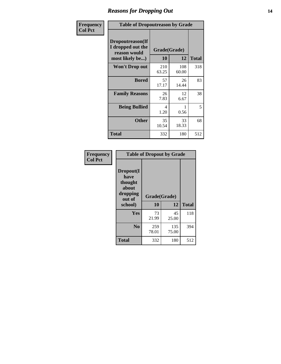### *Reasons for Dropping Out* **14**

| <b>Frequency</b> | <b>Table of Dropoutreason by Grade</b>                                   |                    |              |              |
|------------------|--------------------------------------------------------------------------|--------------------|--------------|--------------|
| <b>Col Pct</b>   | Dropoutreason(If<br>I dropped out the<br>reason would<br>most likely be) | Grade(Grade)<br>10 | 12           | <b>Total</b> |
|                  | <b>Won't Drop out</b>                                                    | 210<br>63.25       | 108<br>60.00 | 318          |
|                  | <b>Bored</b>                                                             | 57<br>17.17        | 26<br>14.44  | 83           |
|                  | <b>Family Reasons</b>                                                    | 26<br>7.83         | 12<br>6.67   | 38           |
|                  | <b>Being Bullied</b>                                                     | 4<br>1.20          | 0.56         | 5            |
|                  | <b>Other</b>                                                             | 35<br>10.54        | 33<br>18.33  | 68           |
|                  | <b>Total</b>                                                             | 332                | 180          | 512          |

| Frequency      | <b>Table of Dropout by Grade</b>                                       |                    |              |              |  |
|----------------|------------------------------------------------------------------------|--------------------|--------------|--------------|--|
| <b>Col Pct</b> | Dropout(I<br>have<br>thought<br>about<br>dropping<br>out of<br>school) | Grade(Grade)<br>10 | 12           | <b>Total</b> |  |
|                | Yes                                                                    | 73<br>21.99        | 45<br>25.00  | 118          |  |
|                | N <sub>0</sub>                                                         | 259<br>78.01       | 135<br>75.00 | 394          |  |
|                | <b>Total</b>                                                           | 332                | 180          | 512          |  |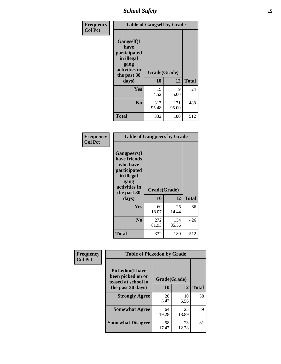*School Safety* **15**

| Frequency      |                                                                                                   | <b>Table of Gangself by Grade</b> |              |              |
|----------------|---------------------------------------------------------------------------------------------------|-----------------------------------|--------------|--------------|
| <b>Col Pct</b> | Gangself(I<br>have<br>participated<br>in illegal<br>gang<br>activities in<br>the past 30<br>days) | Grade(Grade)<br>10                | 12           | <b>Total</b> |
|                | Yes                                                                                               | 15<br>4.52                        | 9<br>5.00    | 24           |
|                | N <sub>0</sub>                                                                                    | 317<br>95.48                      | 171<br>95.00 | 488          |
|                | <b>Total</b>                                                                                      | 332                               | 180          | 512          |

| Frequency<br><b>Col Pct</b> | <b>Table of Gangpeers by Grade</b>                                                                                             |                    |              |              |
|-----------------------------|--------------------------------------------------------------------------------------------------------------------------------|--------------------|--------------|--------------|
|                             | <b>Gangpeers</b> (I<br>have friends<br>who have<br>participated<br>in illegal<br>gang<br>activities in<br>the past 30<br>days) | Grade(Grade)<br>10 | 12           | <b>Total</b> |
|                             | Yes                                                                                                                            | 60<br>18.07        | 26<br>14.44  | 86           |
|                             | N <sub>0</sub>                                                                                                                 | 272<br>81.93       | 154<br>85.56 | 426          |
|                             | <b>Total</b>                                                                                                                   | 332                | 180          | 512          |

| Frequency      |                                                                    | <b>Table of Pickedon by Grade</b> |             |              |  |  |  |  |  |  |
|----------------|--------------------------------------------------------------------|-----------------------------------|-------------|--------------|--|--|--|--|--|--|
| <b>Col Pct</b> | <b>Pickedon(I have</b><br>been picked on or<br>teased at school in | Grade(Grade)                      |             |              |  |  |  |  |  |  |
|                | the past 30 days)                                                  | <b>10</b>                         | 12          | <b>Total</b> |  |  |  |  |  |  |
|                | <b>Strongly Agree</b>                                              | 28<br>8.43                        | 10<br>5.56  | 38           |  |  |  |  |  |  |
|                | <b>Somewhat Agree</b>                                              | 64<br>19.28                       | 25<br>13.89 | 89           |  |  |  |  |  |  |
|                | <b>Somewhat Disagree</b>                                           | 58<br>17.47                       | 23<br>12.78 | 81           |  |  |  |  |  |  |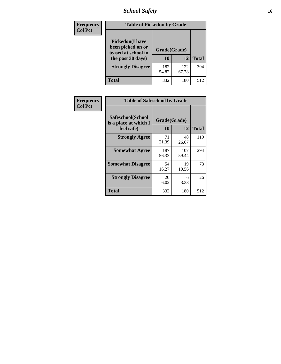# *School Safety* **16**

| <b>Frequency</b> | <b>Table of Pickedon by Grade</b>                                                       |                    |              |              |
|------------------|-----------------------------------------------------------------------------------------|--------------------|--------------|--------------|
| <b>Col Pct</b>   | <b>Pickedon(I have</b><br>been picked on or<br>teased at school in<br>the past 30 days) | Grade(Grade)<br>10 | 12           | <b>Total</b> |
|                  | <b>Strongly Disagree</b>                                                                | 182<br>54.82       | 122<br>67.78 | 304          |
|                  | Total                                                                                   | 332                | 180          | 512          |

| Frequency      | <b>Table of Safeschool by Grade</b>                      |              |                    |     |  |  |
|----------------|----------------------------------------------------------|--------------|--------------------|-----|--|--|
| <b>Col Pct</b> | Safeschool(School<br>is a place at which I<br>feel safe) | 10           | Grade(Grade)<br>12 |     |  |  |
|                | <b>Strongly Agree</b>                                    | 71<br>21.39  | 48<br>26.67        | 119 |  |  |
|                | <b>Somewhat Agree</b>                                    | 187<br>56.33 | 107<br>59.44       | 294 |  |  |
|                | <b>Somewhat Disagree</b>                                 | 54<br>16.27  | 19<br>10.56        | 73  |  |  |
|                | <b>Strongly Disagree</b>                                 | 20<br>6.02   | 6<br>3.33          | 26  |  |  |
|                | <b>Total</b>                                             | 332          | 180                | 512 |  |  |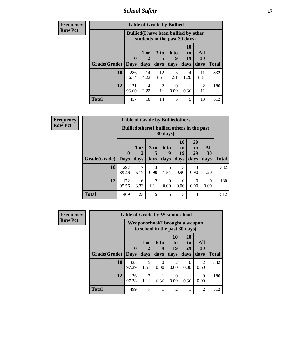*School Safety* **17**

| <b>Frequency</b> | <b>Table of Grade by Bullied</b> |              |                                                                               |                        |           |                       |            |              |  |  |  |
|------------------|----------------------------------|--------------|-------------------------------------------------------------------------------|------------------------|-----------|-----------------------|------------|--------------|--|--|--|
| <b>Row Pct</b>   |                                  |              | <b>Bullied</b> (I have been bullied by other<br>students in the past 30 days) |                        |           |                       |            |              |  |  |  |
|                  |                                  | $\mathbf{0}$ | 1 or<br>2                                                                     | 3 <sub>to</sub><br>5   | 6 to<br>9 | <b>10</b><br>to<br>19 | All<br>30  |              |  |  |  |
|                  | Grade(Grade)                     | <b>Days</b>  | days                                                                          | days                   | days      | days                  | days       | <b>Total</b> |  |  |  |
|                  | 10                               | 286<br>86.14 | 14<br>4.22                                                                    | 12<br>3.61             | 5<br>1.51 | 4<br>1.20             | 11<br>3.31 | 332          |  |  |  |
|                  | 12                               | 171<br>95.00 | 4<br>2.22                                                                     | $\mathfrak{D}$<br>1.11 | 0<br>0.00 | 0.56                  | 2<br>1.11  | 180          |  |  |  |
|                  | <b>Total</b>                     | 457          | 18                                                                            | 14                     | 5         | 5                     | 13         | 512          |  |  |  |

| Frequency      |              |                                                                | <b>Table of Grade by Bulliedothers</b> |                      |           |                  |                       |                        |              |
|----------------|--------------|----------------------------------------------------------------|----------------------------------------|----------------------|-----------|------------------|-----------------------|------------------------|--------------|
| <b>Row Pct</b> |              | <b>Bulliedothers</b> (I bullied others in the past<br>30 days) |                                        |                      |           |                  |                       |                        |              |
|                |              | $\mathbf{0}$                                                   | 1 or                                   | 3 <sub>to</sub><br>5 | 6 to<br>9 | 10<br>to<br>19   | <b>20</b><br>to<br>29 | All<br>30              |              |
|                | Grade(Grade) | <b>Days</b>                                                    | days                                   | days                 | days      | days             | days                  | days                   | <b>Total</b> |
|                | 10           | 297<br>89.46                                                   | 17<br>5.12                             | 3<br>0.90            | 5<br>1.51 | 3<br>0.90        | 3<br>0.90             | $\overline{4}$<br>1.20 | 332          |
|                | 12           | 172<br>95.56                                                   | 6<br>3.33                              | 2<br>1.11            | 0<br>0.00 | $\Omega$<br>0.00 | $\Omega$<br>0.00      | $\Omega$<br>0.00       | 180          |
|                | <b>Total</b> | 469                                                            | 23                                     | 5                    | 5         | $\mathcal{R}$    | 3                     | $\overline{4}$         | 512          |

| <b>Frequency</b> |              | <b>Table of Grade by Weaponschool</b> |                                                                    |           |                                     |                                   |                        |              |
|------------------|--------------|---------------------------------------|--------------------------------------------------------------------|-----------|-------------------------------------|-----------------------------------|------------------------|--------------|
| <b>Row Pct</b>   |              |                                       | Weaponschool (I brought a weapon<br>to school in the past 30 days) |           |                                     |                                   |                        |              |
|                  |              | $\bf{0}$                              | 1 or                                                               | 6 to<br>9 | 10<br>to<br>19                      | <b>20</b><br>t <sub>0</sub><br>29 | All<br>30              |              |
|                  | Grade(Grade) | <b>Days</b>                           | days                                                               | days      | days                                | days                              | days                   | <b>Total</b> |
|                  | 10           | 323<br>97.29                          | 5<br>1.51                                                          | 0<br>0.00 | $\mathcal{D}_{\mathcal{L}}$<br>0.60 | $\Omega$<br>0.00                  | $\overline{2}$<br>0.60 | 332          |
|                  | 12           | 176<br>97.78                          | $\mathfrak{D}$<br>1.11                                             | 0.56      | 0<br>0.00                           | 0.56                              | $\Omega$<br>0.00       | 180          |
|                  | <b>Total</b> | 499                                   | 7                                                                  |           | $\mathcal{D}_{\mathcal{A}}$         |                                   | $\overline{2}$         | 512          |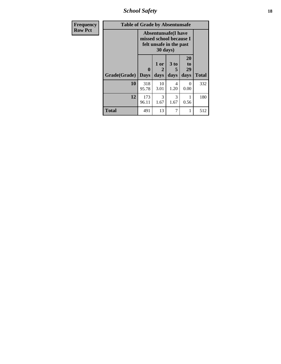*School Safety* **18**

| <b>Frequency</b> | <b>Table of Grade by Absentunsafe</b> |                                                                                  |                   |                   |                        |              |  |  |  |  |
|------------------|---------------------------------------|----------------------------------------------------------------------------------|-------------------|-------------------|------------------------|--------------|--|--|--|--|
| <b>Row Pct</b>   |                                       | <b>Absentunsafe(I have</b><br>missed school because I<br>felt unsafe in the past |                   |                   |                        |              |  |  |  |  |
|                  | Grade(Grade)                          | $\mathbf{0}$<br><b>Days</b>                                                      | 1 or<br>2<br>days | 3 to<br>5<br>days | 20<br>to<br>29<br>days | <b>Total</b> |  |  |  |  |
|                  | 10                                    | 318<br>95.78                                                                     | 10<br>3.01        | 4<br>1.20         | 0<br>0.00              | 332          |  |  |  |  |
|                  | 12                                    | 173<br>96.11                                                                     | 3<br>1.67         | 3<br>1.67         | 0.56                   | 180          |  |  |  |  |
|                  | <b>Total</b>                          | 491                                                                              | 13                | 7                 | 1                      | 512          |  |  |  |  |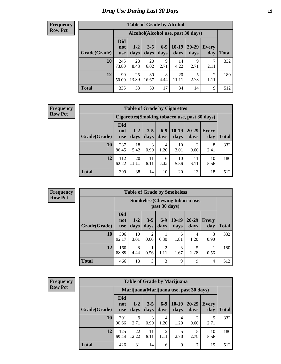### *Drug Use During Last 30 Days* **19**

#### **Frequency Row Pct**

| <b>Table of Grade by Alcohol</b> |                                 |                                    |                 |               |                 |                   |                        |       |  |  |  |
|----------------------------------|---------------------------------|------------------------------------|-----------------|---------------|-----------------|-------------------|------------------------|-------|--|--|--|
|                                  |                                 | Alcohol(Alcohol use, past 30 days) |                 |               |                 |                   |                        |       |  |  |  |
| Grade(Grade)                     | <b>Did</b><br>not<br><b>use</b> | $1-2$<br>days                      | $3 - 5$<br>days | $6-9$<br>days | $10-19$<br>days | $20 - 29$<br>days | Every<br>day           | Total |  |  |  |
| 10                               | 245<br>73.80                    | 28<br>8.43                         | 20<br>6.02      | 9<br>2.71     | 14<br>4.22      | 9<br>2.71         | 7<br>2.11              | 332   |  |  |  |
| 12                               | 90<br>50.00                     | 25<br>13.89                        | 30<br>16.67     | 8<br>4.44     | 20<br>11.11     | 5<br>2.78         | $\overline{2}$<br>1.11 | 180   |  |  |  |
| <b>Total</b>                     | 335                             | 53                                 | 50              | 17            | 34              | 14                | 9                      | 512   |  |  |  |

#### **Frequency Row Pct**

| <b>Table of Grade by Cigarettes</b> |                          |                                                |                 |                 |                 |                        |                     |       |  |  |  |
|-------------------------------------|--------------------------|------------------------------------------------|-----------------|-----------------|-----------------|------------------------|---------------------|-------|--|--|--|
|                                     |                          | Cigarettes (Smoking tobacco use, past 30 days) |                 |                 |                 |                        |                     |       |  |  |  |
| Grade(Grade)                        | Did<br>not<br><b>use</b> | $1 - 2$<br>days                                | $3 - 5$<br>days | $6 - 9$<br>days | $10-19$<br>days | 20-29<br>days          | <b>Every</b><br>day | Total |  |  |  |
| <b>10</b>                           | 287<br>86.45             | 18<br>5.42                                     | 3<br>0.90       | 4<br>1.20       | 10<br>3.01      | $\mathfrak{D}$<br>0.60 | 8<br>2.41           | 332   |  |  |  |
| 12                                  | 112<br>62.22             | 20<br>11.11                                    | 11<br>6.11      | 6<br>3.33       | 10<br>5.56      | 11<br>6.11             | 10<br>5.56          | 180   |  |  |  |
| <b>Total</b>                        | 399                      | 38                                             | 14              | 10              | 20              | 13                     | 18                  | 512   |  |  |  |

**Frequency Row Pct**

| <b>Table of Grade by Smokeless</b> |                                 |                                                         |                        |                        |                 |               |                     |              |  |  |
|------------------------------------|---------------------------------|---------------------------------------------------------|------------------------|------------------------|-----------------|---------------|---------------------|--------------|--|--|
|                                    |                                 | <b>Smokeless</b> (Chewing tobacco use,<br>past 30 days) |                        |                        |                 |               |                     |              |  |  |
| Grade(Grade)                       | <b>Did</b><br>not<br><b>use</b> | $1 - 2$<br>days                                         | $3 - 5$<br>days        | $6 - 9$<br>days        | $10-19$<br>days | 20-29<br>days | <b>Every</b><br>day | <b>Total</b> |  |  |
| 10                                 | 306<br>92.17                    | 10<br>3.01                                              | $\overline{2}$<br>0.60 | 0.30                   | 6<br>1.81       | 4<br>1.20     | 3<br>0.90           | 332          |  |  |
| 12                                 | 160<br>88.89                    | 8<br>4.44                                               | 0.56                   | $\mathfrak{D}$<br>1.11 | 3<br>1.67       | 2.78          | 0.56                | 180          |  |  |
| <b>Total</b>                       | 466                             | 18                                                      | 3                      | 3                      | 9               | 9             | 4                   | 512          |  |  |

| <b>Table of Grade by Marijuana</b> |                                 |                                         |                 |               |                 |               |                     |              |  |
|------------------------------------|---------------------------------|-----------------------------------------|-----------------|---------------|-----------------|---------------|---------------------|--------------|--|
|                                    |                                 | Marijuana (Marijuana use, past 30 days) |                 |               |                 |               |                     |              |  |
| Grade(Grade)                       | <b>Did</b><br>not<br><b>use</b> | $1 - 2$<br>days                         | $3 - 5$<br>days | $6-9$<br>days | $10-19$<br>days | 20-29<br>days | <b>Every</b><br>day | <b>Total</b> |  |
| 10                                 | 301<br>90.66                    | 9<br>2.71                               | 3<br>0.90       | 4<br>1.20     | 4<br>1.20       | 0.60          | 9<br>2.71           | 332          |  |
| 12                                 | 125<br>69.44                    | 22<br>12.22                             | 11<br>6.11      | 2<br>1.11     | 5<br>2.78       | 2.78          | 10<br>5.56          | 180          |  |
| <b>Total</b>                       | 426                             | 31                                      | 14              | 6             | 9               | 7             | 19                  | 512          |  |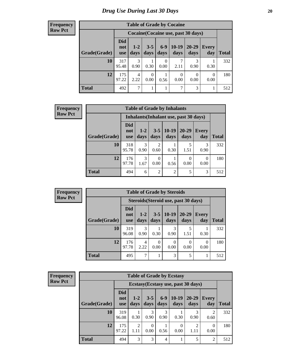| <b>Table of Grade by Cocaine</b> |                                 |                                     |                  |                  |                  |               |                  |              |  |  |  |  |
|----------------------------------|---------------------------------|-------------------------------------|------------------|------------------|------------------|---------------|------------------|--------------|--|--|--|--|
|                                  |                                 | Cocaine (Cocaine use, past 30 days) |                  |                  |                  |               |                  |              |  |  |  |  |
| Grade(Grade)                     | <b>Did</b><br>not<br><b>use</b> | $1 - 2$<br>days                     | $3 - 5$<br>days  | $6-9$<br>days    | $10-19$<br>days  | 20-29<br>days | Every<br>day     | <b>Total</b> |  |  |  |  |
| 10                               | 317<br>95.48                    | 3<br>0.90                           | 0.30             | $\theta$<br>0.00 | 7<br>2.11        | 3<br>0.90     | 0.30             | 332          |  |  |  |  |
| 12                               | 175<br>97.22                    | 4<br>2.22                           | $\Omega$<br>0.00 | 0.56             | $\theta$<br>0.00 | 0.00          | $\theta$<br>0.00 | 180          |  |  |  |  |
| <b>Total</b>                     | 492                             | $\tau$                              |                  | 1                | 7                | 3             |                  | 512          |  |  |  |  |

| <b>Frequency</b> | <b>Table of Grade by Inhalants</b> |                                 |                                        |                |                       |                   |                     |              |
|------------------|------------------------------------|---------------------------------|----------------------------------------|----------------|-----------------------|-------------------|---------------------|--------------|
| <b>Row Pct</b>   |                                    |                                 | Inhalants (Inhalant use, past 30 days) |                |                       |                   |                     |              |
|                  | Grade(Grade)                       | <b>Did</b><br>not<br><b>use</b> | $1 - 2$<br>days                        | <b>days</b>    | $3-5$   10-19<br>days | $20 - 29$<br>days | <b>Every</b><br>day | <b>Total</b> |
|                  | 10                                 | 318<br>95.78                    | 3<br>0.90                              | ↑<br>0.60      | 0.30                  | 1.51              | 3<br>0.90           | 332          |
|                  | 12                                 | 176<br>97.78                    | 3<br>1.67                              | 0<br>0.00      | 0.56                  | 0.00              | $\Omega$<br>0.00    | 180          |
|                  | <b>Total</b>                       | 494                             | 6                                      | $\overline{2}$ | $\overline{2}$        | 5                 | 3                   | 512          |

| <b>Frequency</b> |
|------------------|
| <b>Row Pct</b>   |

| <b>Table of Grade by Steroids</b>    |                   |               |                 |                 |                   |                     |       |  |
|--------------------------------------|-------------------|---------------|-----------------|-----------------|-------------------|---------------------|-------|--|
| Steroids (Steroid use, past 30 days) |                   |               |                 |                 |                   |                     |       |  |
| Grade(Grade)                         | Did<br>not<br>use | $1-2$<br>days | $3 - 5$<br>days | $10-19$<br>days | $20 - 29$<br>days | <b>Every</b><br>day | Total |  |
| <b>10</b>                            | 319<br>96.08      | 3<br>0.90     | 0.30            | 3<br>0.90       | 5<br>1.51         | 0.30                | 332   |  |
| 12                                   | 176<br>97.78      | 4<br>2.22     | 0<br>0.00       | 0<br>0.00       | $\Omega$<br>0.00  | 0.00                | 180   |  |
| <b>Total</b>                         | 495               | 7             |                 | 3               | 5                 |                     | 512   |  |

| <b>Frequency</b> |  |
|------------------|--|
| <b>Row Pct</b>   |  |

| <b>Table of Grade by Ecstasy</b> |                                 |                                     |                 |               |                 |                   |                        |              |  |
|----------------------------------|---------------------------------|-------------------------------------|-----------------|---------------|-----------------|-------------------|------------------------|--------------|--|
|                                  |                                 | Ecstasy (Ecstasy use, past 30 days) |                 |               |                 |                   |                        |              |  |
| Grade(Grade)                     | <b>Did</b><br>not<br><b>use</b> | $1 - 2$<br>days                     | $3 - 5$<br>days | $6-9$<br>days | $10-19$<br>days | $20 - 29$<br>days | <b>Every</b><br>day    | <b>Total</b> |  |
| 10                               | 319<br>96.08                    | 0.30                                | 3<br>0.90       | 3<br>0.90     | 0.30            | 3<br>0.90         | $\mathfrak{D}$<br>0.60 | 332          |  |
| 12                               | 175<br>97.22                    | $\mathcal{D}$<br>1.11               | 0<br>0.00       | 0.56          | 0<br>0.00       | 2<br>1.11         | 0<br>0.00              | 180          |  |
| <b>Total</b>                     | 494                             | 3                                   | 3               | 4             |                 | 5                 | 2                      | 512          |  |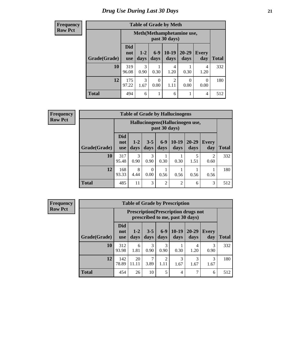#### **Frequency Row Pct**

| <b>Table of Grade by Meth</b> |                                                                                                                                    |                                                                            |      |           |      |           |     |  |  |
|-------------------------------|------------------------------------------------------------------------------------------------------------------------------------|----------------------------------------------------------------------------|------|-----------|------|-----------|-----|--|--|
|                               |                                                                                                                                    | Meth (Methamphetamine use,<br>past 30 days)                                |      |           |      |           |     |  |  |
| Grade(Grade)                  | <b>Did</b><br>$10-19$<br>$6-9$<br>$20 - 29$<br>$1 - 2$<br><b>Every</b><br>not<br>days<br>days<br>day<br>days<br>days<br><b>use</b> |                                                                            |      |           |      |           |     |  |  |
| 10                            | 319<br>96.08                                                                                                                       | 3<br>0.90                                                                  | 0.30 | 4<br>1.20 | 0.30 | 4<br>1.20 | 332 |  |  |
| 12                            | 175<br>97.22                                                                                                                       | 3<br>$\overline{2}$<br>0<br>∩<br>0<br>1.67<br>0.00<br>0.00<br>0.00<br>1.11 |      |           |      |           |     |  |  |
| <b>Total</b>                  | 494                                                                                                                                | 6                                                                          |      | 6         |      | 4         | 512 |  |  |

**Frequency Row Pct**

| <b>Table of Grade by Hallucinogens</b> |                                 |                                                                                                                                  |           |                |                |      |           |     |  |
|----------------------------------------|---------------------------------|----------------------------------------------------------------------------------------------------------------------------------|-----------|----------------|----------------|------|-----------|-----|--|
|                                        |                                 | Hallucinogens (Hallucinogen use,<br>past 30 days)                                                                                |           |                |                |      |           |     |  |
| Grade(Grade)                           | <b>Did</b><br>not<br><b>use</b> | $6 - 9$<br>$10-19$<br>20-29<br>$3 - 5$<br>$1 - 2$<br><b>Every</b><br>days<br><b>Total</b><br>days<br>days<br>day<br>days<br>days |           |                |                |      |           |     |  |
| <b>10</b>                              | 317<br>95.48                    | 3<br>0.90                                                                                                                        | 3<br>0.90 | 0.30           | 0.30           | 1.51 | 2<br>0.60 | 332 |  |
| 12                                     | 168<br>93.33                    | 8<br>4.44                                                                                                                        | 0<br>0.00 | 0.56           | 0.56           | 0.56 | 0.56      | 180 |  |
| <b>Total</b>                           | 485                             | 11                                                                                                                               | 3         | $\overline{c}$ | $\overline{2}$ | 6    | 3         | 512 |  |

| <b>Table of Grade by Prescription</b> |                                 |                                                                                |                 |                       |                 |                   |              |              |  |
|---------------------------------------|---------------------------------|--------------------------------------------------------------------------------|-----------------|-----------------------|-----------------|-------------------|--------------|--------------|--|
|                                       |                                 | <b>Prescription</b> (Prescription drugs not<br>prescribed to me, past 30 days) |                 |                       |                 |                   |              |              |  |
| Grade(Grade)                          | <b>Did</b><br>not<br><b>use</b> | $1 - 2$<br>days                                                                | $3 - 5$<br>days | $6-9$<br>days         | $10-19$<br>days | $20 - 29$<br>days | Every<br>day | <b>Total</b> |  |
| 10                                    | 312<br>93.98                    | 6<br>1.81                                                                      | 3<br>0.90       | 3<br>0.90             | 0.30            | 4<br>1.20         | 3<br>0.90    | 332          |  |
| 12                                    | 142<br>78.89                    | 20<br>11.11                                                                    | 7<br>3.89       | $\mathcal{D}$<br>1.11 | 3<br>1.67       | 1.67              | 3<br>1.67    | 180          |  |
| <b>Total</b>                          | 454                             | 26                                                                             | 10              | 5                     | $\overline{4}$  | 7                 | 6            | 512          |  |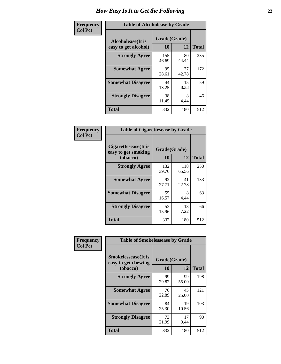| Frequency      | <b>Table of Alcoholease by Grade</b>              |                    |             |              |  |  |  |
|----------------|---------------------------------------------------|--------------------|-------------|--------------|--|--|--|
| <b>Col Pct</b> | <b>Alcoholease</b> (It is<br>easy to get alcohol) | Grade(Grade)<br>10 | 12          | <b>Total</b> |  |  |  |
|                | <b>Strongly Agree</b>                             | 155<br>46.69       | 80<br>44.44 | 235          |  |  |  |
|                | <b>Somewhat Agree</b>                             | 95<br>28.61        | 77<br>42.78 | 172          |  |  |  |
|                | <b>Somewhat Disagree</b>                          | 44<br>13.25        | 15<br>8.33  | 59           |  |  |  |
|                | <b>Strongly Disagree</b>                          | 38<br>11.45        | 8<br>4.44   | 46           |  |  |  |
|                | <b>Total</b>                                      | 332                | 180         | 512          |  |  |  |

| Frequency      | <b>Table of Cigarettesease by Grade</b>                  |                    |              |              |  |  |
|----------------|----------------------------------------------------------|--------------------|--------------|--------------|--|--|
| <b>Col Pct</b> | Cigarettesease (It is<br>easy to get smoking<br>tobacco) | Grade(Grade)<br>10 | 12           | <b>Total</b> |  |  |
|                | <b>Strongly Agree</b>                                    | 132<br>39.76       | 118<br>65.56 | 250          |  |  |
|                | <b>Somewhat Agree</b>                                    | 92<br>27.71        | 41<br>22.78  | 133          |  |  |
|                | <b>Somewhat Disagree</b>                                 | 55<br>16.57        | 8<br>4.44    | 63           |  |  |
|                | <b>Strongly Disagree</b>                                 | 53<br>15.96        | 13<br>7.22   | 66           |  |  |
|                | <b>Total</b>                                             | 332                | 180          | 512          |  |  |

| Frequency      |                                                                | <b>Table of Smokelessease by Grade</b> |             |              |  |  |
|----------------|----------------------------------------------------------------|----------------------------------------|-------------|--------------|--|--|
| <b>Col Pct</b> | <b>Smokelessease</b> (It is<br>easy to get chewing<br>tobacco) | Grade(Grade)<br>10                     | 12          | <b>Total</b> |  |  |
|                | <b>Strongly Agree</b>                                          | 99<br>29.82                            | 99<br>55.00 | 198          |  |  |
|                | <b>Somewhat Agree</b>                                          | 76<br>22.89                            | 45<br>25.00 | 121          |  |  |
|                | <b>Somewhat Disagree</b>                                       | 84<br>25.30                            | 19<br>10.56 | 103          |  |  |
|                | <b>Strongly Disagree</b>                                       | 73<br>21.99                            | 17<br>9.44  | 90           |  |  |
|                | Total                                                          | 332                                    | 180         | 512          |  |  |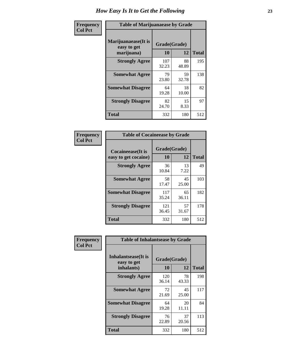| Frequency      | <b>Table of Marijuanaease by Grade</b>           |                    |             |              |  |  |  |
|----------------|--------------------------------------------------|--------------------|-------------|--------------|--|--|--|
| <b>Col Pct</b> | Marijuanaease(It is<br>easy to get<br>marijuana) | Grade(Grade)<br>10 | 12          | <b>Total</b> |  |  |  |
|                | <b>Strongly Agree</b>                            | 107<br>32.23       | 88<br>48.89 | 195          |  |  |  |
|                | <b>Somewhat Agree</b>                            | 79<br>23.80        | 59<br>32.78 | 138          |  |  |  |
|                | <b>Somewhat Disagree</b>                         | 64<br>19.28        | 18<br>10.00 | 82           |  |  |  |
|                | <b>Strongly Disagree</b>                         | 82<br>24.70        | 15<br>8.33  | 97           |  |  |  |
|                | <b>Total</b>                                     | 332                | 180         | 512          |  |  |  |

#### **Frequency Col Pct**

| <b>Table of Cocaineease by Grade</b>      |              |                    |     |  |  |  |  |  |  |  |
|-------------------------------------------|--------------|--------------------|-----|--|--|--|--|--|--|--|
| Cocaineease(It is<br>easy to get cocaine) | 10           | Grade(Grade)<br>12 |     |  |  |  |  |  |  |  |
| <b>Strongly Agree</b>                     | 36<br>10.84  | 13<br>7.22         | 49  |  |  |  |  |  |  |  |
| <b>Somewhat Agree</b>                     | 58<br>17.47  | 45<br>25.00        | 103 |  |  |  |  |  |  |  |
| <b>Somewhat Disagree</b>                  | 117<br>35.24 | 65<br>36.11        | 182 |  |  |  |  |  |  |  |
| <b>Strongly Disagree</b>                  | 121<br>36.45 | 57<br>31.67        | 178 |  |  |  |  |  |  |  |
| <b>Total</b>                              | 332          | 180                | 512 |  |  |  |  |  |  |  |

٠

| Frequency      | <b>Table of Inhalantsease by Grade</b>                   |                    |              |     |
|----------------|----------------------------------------------------------|--------------------|--------------|-----|
| <b>Col Pct</b> | <b>Inhalantsease</b> (It is<br>easy to get<br>inhalants) | Grade(Grade)<br>10 | <b>Total</b> |     |
|                | <b>Strongly Agree</b>                                    | 120<br>36.14       | 78<br>43.33  | 198 |
|                | <b>Somewhat Agree</b>                                    | 72<br>21.69        | 45<br>25.00  | 117 |
|                | <b>Somewhat Disagree</b>                                 | 64<br>19.28        | 20<br>11.11  | 84  |
|                | <b>Strongly Disagree</b>                                 | 76<br>22.89        | 37<br>20.56  | 113 |
|                | Total                                                    | 332                | 180          | 512 |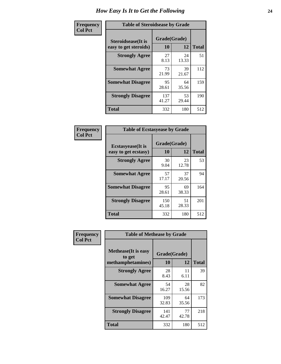| Frequency      | <b>Table of Steroidsease by Grade</b>               |                    |             |              |  |  |  |  |  |  |  |
|----------------|-----------------------------------------------------|--------------------|-------------|--------------|--|--|--|--|--|--|--|
| <b>Col Pct</b> | <b>Steroidsease</b> (It is<br>easy to get steroids) | Grade(Grade)<br>10 | 12          | <b>Total</b> |  |  |  |  |  |  |  |
|                | <b>Strongly Agree</b>                               | 27<br>8.13         | 24<br>13.33 | 51           |  |  |  |  |  |  |  |
|                | <b>Somewhat Agree</b>                               | 73<br>21.99        | 39<br>21.67 | 112          |  |  |  |  |  |  |  |
|                | <b>Somewhat Disagree</b>                            | 95<br>28.61        | 64<br>35.56 | 159          |  |  |  |  |  |  |  |
|                | <b>Strongly Disagree</b>                            | 137<br>41.27       | 53<br>29.44 | 190          |  |  |  |  |  |  |  |
|                | <b>Total</b>                                        | 332                | 180         | 512          |  |  |  |  |  |  |  |

| Frequency      | <b>Table of Ecstasyease by Grade</b>              |                    |             |              |  |  |  |  |  |  |
|----------------|---------------------------------------------------|--------------------|-------------|--------------|--|--|--|--|--|--|
| <b>Col Pct</b> | <b>Ecstasyease</b> (It is<br>easy to get ecstasy) | Grade(Grade)<br>10 | 12          | <b>Total</b> |  |  |  |  |  |  |
|                | <b>Strongly Agree</b>                             | 30<br>9.04         | 23<br>12.78 | 53           |  |  |  |  |  |  |
|                | <b>Somewhat Agree</b>                             | 57<br>17.17        | 37<br>20.56 | 94           |  |  |  |  |  |  |
|                | <b>Somewhat Disagree</b>                          | 95<br>28.61        | 69<br>38.33 | 164          |  |  |  |  |  |  |
|                | <b>Strongly Disagree</b>                          | 150<br>45.18       | 51<br>28.33 | 201          |  |  |  |  |  |  |
|                | <b>Total</b>                                      | 332                | 180         | 512          |  |  |  |  |  |  |

| Frequency      | <b>Table of Methease by Grade</b>                          |                    |              |     |  |  |  |  |  |  |  |
|----------------|------------------------------------------------------------|--------------------|--------------|-----|--|--|--|--|--|--|--|
| <b>Col Pct</b> | <b>Methease</b> (It is easy<br>to get<br>methamphetamines) | Grade(Grade)<br>10 | <b>Total</b> |     |  |  |  |  |  |  |  |
|                | <b>Strongly Agree</b>                                      | 28<br>8.43         | 11<br>6.11   | 39  |  |  |  |  |  |  |  |
|                | <b>Somewhat Agree</b>                                      | 54<br>16.27        | 28<br>15.56  | 82  |  |  |  |  |  |  |  |
|                | <b>Somewhat Disagree</b>                                   | 109<br>32.83       | 64<br>35.56  | 173 |  |  |  |  |  |  |  |
|                | <b>Strongly Disagree</b>                                   | 141<br>42.47       | 77<br>42.78  | 218 |  |  |  |  |  |  |  |
|                | Total                                                      | 332                | 180          | 512 |  |  |  |  |  |  |  |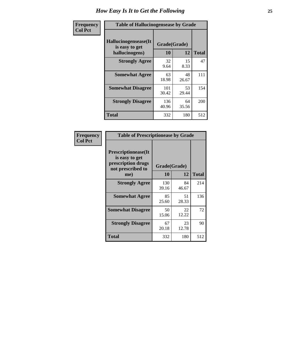| <b>Frequency</b> | <b>Table of Hallucinogensease by Grade</b>               |                    |             |              |  |  |  |  |  |  |  |  |
|------------------|----------------------------------------------------------|--------------------|-------------|--------------|--|--|--|--|--|--|--|--|
| <b>Col Pct</b>   | Hallucinogensease(It<br>is easy to get<br>hallucinogens) | Grade(Grade)<br>10 | 12          | <b>Total</b> |  |  |  |  |  |  |  |  |
|                  | <b>Strongly Agree</b>                                    | 32<br>9.64         | 15<br>8.33  | 47           |  |  |  |  |  |  |  |  |
|                  | <b>Somewhat Agree</b>                                    | 63<br>18.98        | 48<br>26.67 | 111          |  |  |  |  |  |  |  |  |
|                  | <b>Somewhat Disagree</b>                                 | 101<br>30.42       | 53<br>29.44 | 154          |  |  |  |  |  |  |  |  |
|                  | <b>Strongly Disagree</b>                                 | 136<br>40.96       | 64<br>35.56 | 200          |  |  |  |  |  |  |  |  |
|                  | <b>Total</b>                                             | 332                | 180         | 512          |  |  |  |  |  |  |  |  |

| Frequency<br>  Col Pct |
|------------------------|
|                        |

| <b>Table of Prescriptionease by Grade</b>                                               |             |                    |              |  |  |  |  |  |  |  |
|-----------------------------------------------------------------------------------------|-------------|--------------------|--------------|--|--|--|--|--|--|--|
| <b>Prescriptionease(It</b><br>is easy to get<br>prescription drugs<br>not prescribed to | 10          | Grade(Grade)<br>12 | <b>Total</b> |  |  |  |  |  |  |  |
| me)<br><b>Strongly Agree</b>                                                            | 130         | 84                 | 214          |  |  |  |  |  |  |  |
|                                                                                         | 39.16       | 46.67              |              |  |  |  |  |  |  |  |
| <b>Somewhat Agree</b>                                                                   | 85<br>25.60 | 51<br>28.33        | 136          |  |  |  |  |  |  |  |
| <b>Somewhat Disagree</b>                                                                | 50<br>15.06 | 22<br>12.22        | 72           |  |  |  |  |  |  |  |
| <b>Strongly Disagree</b>                                                                | 67<br>20.18 | 23<br>12.78        | 90           |  |  |  |  |  |  |  |
| <b>Total</b>                                                                            | 332         | 180                | 512          |  |  |  |  |  |  |  |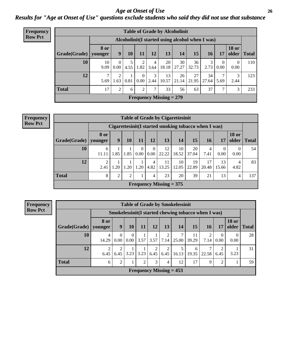### *Age at Onset of Use* **26** *Results for "Age at Onset of Use" questions exclude students who said they did not use that substance*

| Frequency      | <b>Table of Grade by Alcoholinit</b> |                        |                  |           |                      |           |                           |                                                  |             |             |                        |                        |              |
|----------------|--------------------------------------|------------------------|------------------|-----------|----------------------|-----------|---------------------------|--------------------------------------------------|-------------|-------------|------------------------|------------------------|--------------|
| <b>Row Pct</b> |                                      |                        |                  |           |                      |           |                           | Alcoholinit (I started using alcohol when I was) |             |             |                        |                        |              |
|                | Grade(Grade)                         | <b>8 or</b><br>vounger | 9                | 10        | 11                   | 12        | 13                        | 14                                               | 15          | <b>16</b>   | 17                     | <b>18 or</b><br>older  | <b>Total</b> |
|                | 10                                   | 10<br>9.09             | $\theta$<br>0.00 | 5<br>4.55 | 2<br>1.82            | 4<br>3.64 | 20<br>18.18               | 30<br>27.27                                      | 36<br>32.73 | 3<br>2.73   | $\theta$<br>$0.00\,$   | $\overline{0}$<br>0.00 | 110          |
|                | 12                                   | $\mathcal{I}$<br>5.69  | 2<br>1.63        | 0.81      | $\Omega$<br>$0.00\,$ | 3<br>2.44 | 13<br>10.57               | 26<br>21.14                                      | 27<br>21.95 | 34<br>27.64 | 7 <sup>1</sup><br>5.69 | 3<br>2.44              | 123          |
|                | <b>Total</b>                         | 17                     | $\overline{c}$   | 6         | $\overline{2}$       | 7         | 33                        | 56                                               | 63          | 37          | 7 <sub>1</sub>         | 3                      | 233          |
|                |                                      |                        |                  |           |                      |           | Frequency Missing $= 279$ |                                                  |             |             |                        |                        |              |

| <b>Frequency</b> | <b>Table of Grade by Cigarettesinit</b> |                          |                |                |           |                  |                                                       |             |             |             |                  |                       |              |
|------------------|-----------------------------------------|--------------------------|----------------|----------------|-----------|------------------|-------------------------------------------------------|-------------|-------------|-------------|------------------|-----------------------|--------------|
| <b>Row Pct</b>   |                                         |                          |                |                |           |                  | Cigarettesinit (I started smoking tobacco when I was) |             |             |             |                  |                       |              |
|                  | Grade(Grade)                            | <b>8 or</b><br>  vounger | 9              | 10             | 11        | 12               | 13                                                    | 14          | 15          | <b>16</b>   | 17               | <b>18 or</b><br>older | <b>Total</b> |
|                  | 10                                      | 6<br>11.11               | 1.85           | 1.85           | 0<br>0.00 | $\Omega$<br>0.00 | 12<br>22.22                                           | 10<br>18.52 | 20<br>37.04 | 4<br>7.41   | $\theta$<br>0.00 | $\theta$<br>0.00      | 54           |
|                  | 12                                      | $\overline{c}$<br>2.41   | .20            | 1.20           | 1.20      | 4<br>4.82        | 11<br>13.25                                           | 10<br>12.05 | 19<br>22.89 | 17<br>20.48 | 13<br>15.66      | 4<br>4.82             | 83           |
|                  | <b>Total</b>                            | 8                        | $\overline{2}$ | $\overline{2}$ |           | 4                | 23                                                    | 20          | 39          | 21          | 13               | 4                     | 137          |
|                  |                                         |                          |                |                |           |                  | Frequency Missing $= 375$                             |             |             |             |                  |                       |              |

**Frequency Row Pct**

| <b>Table of Grade by Smokelessinit</b> |                        |                                                      |                  |                |                        |                        |                           |             |            |                  |                       |       |  |
|----------------------------------------|------------------------|------------------------------------------------------|------------------|----------------|------------------------|------------------------|---------------------------|-------------|------------|------------------|-----------------------|-------|--|
|                                        |                        | Smokelessinit (I started chewing tobacco when I was) |                  |                |                        |                        |                           |             |            |                  |                       |       |  |
| Grade(Grade)                           | 8 or<br>younger        | 9                                                    | 10               | 11             | 12                     | 13                     | 14                        | 15          | 16         | 17               | <b>18 or</b><br>older | Total |  |
| 10                                     | 4<br>14.29             | $\Omega$<br>0.00                                     | $\Omega$<br>0.00 | 3.57           | 3.57                   | 2<br>7.14              | 7<br>25.00                | 11<br>39.29 | 2<br>7.14  | $\Omega$<br>0.00 | $\Omega$<br>0.00      | 28    |  |
| 12                                     | $\overline{c}$<br>6.45 | $\overline{2}$<br>6.45                               | 3.23             | 3.23           | $\overline{2}$<br>6.45 | $\overline{2}$<br>6.45 | 5<br>16.13                | 6<br>19.35  | 7<br>22.58 | 2<br>6.45        | 3.23                  | 31    |  |
| <b>Total</b>                           | 6                      | 2                                                    |                  | $\overline{2}$ | 3                      | 4                      | 12                        | 17          | 9          | 2                |                       | 59    |  |
|                                        |                        |                                                      |                  |                |                        |                        | Frequency Missing $= 453$ |             |            |                  |                       |       |  |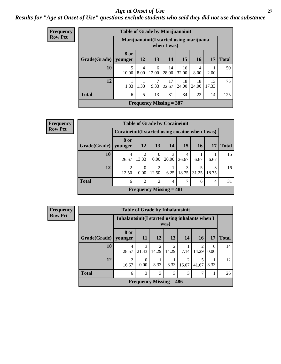#### *Age at Onset of Use* **27**

*Results for "Age at Onset of Use" questions exclude students who said they did not use that substance*

| Frequency      |              | <b>Table of Grade by Marijuanainit</b> |           |            |                                                         |             |             |             |              |
|----------------|--------------|----------------------------------------|-----------|------------|---------------------------------------------------------|-------------|-------------|-------------|--------------|
| <b>Row Pct</b> |              |                                        |           |            | Marijuanainit (I started using marijuana<br>when I was) |             |             |             |              |
|                | Grade(Grade) | 8 or<br>younger                        | <b>12</b> | 13         | 14                                                      | 15          | <b>16</b>   | 17          | <b>Total</b> |
|                | 10           | 5<br>10.00                             | 4<br>8.00 | 6<br>12.00 | 14<br>28.00                                             | 16<br>32.00 | 4<br>8.00   | 2.00        | 50           |
|                | 12           | 1.33                                   | 1.33      | 7<br>9.33  | 17<br>22.67                                             | 18<br>24.00 | 18<br>24.00 | 13<br>17.33 | 75           |
|                | <b>Total</b> | 6                                      | 5         | 13         | 31                                                      | 34          | 22          | 14          | 125          |
|                |              |                                        |           |            | Frequency Missing $=$ 387                               |             |             |             |              |

| <b>Frequency</b> | <b>Table of Grade by Cocaineinit</b> |                                                    |                           |                         |            |             |           |                        |              |
|------------------|--------------------------------------|----------------------------------------------------|---------------------------|-------------------------|------------|-------------|-----------|------------------------|--------------|
| <b>Row Pct</b>   |                                      | Cocaine in it (I started using cocaine when I was) |                           |                         |            |             |           |                        |              |
|                  | Grade(Grade)   younger               | 8 or                                               | 12                        | 13                      | <b>14</b>  | 15          | <b>16</b> | 17                     | <b>Total</b> |
|                  | 10                                   | 4<br>26.67                                         | $\mathfrak{D}$<br>13.33   | $\theta$<br>0.00        | 3<br>20.00 | 26.67       | 6.67      | 6.67                   | 15           |
|                  | 12                                   | $\overline{2}$<br>12.50                            | $\theta$<br>0.00          | $\overline{2}$<br>12.50 | 6.25       | 18.75 31.25 |           | $\mathcal{R}$<br>18.75 | 16           |
|                  | <b>Total</b>                         | 6                                                  | $\overline{2}$            | $\overline{2}$          | 4          |             | 6         | 4                      | 31           |
|                  |                                      |                                                    | Frequency Missing $= 481$ |                         |            |             |           |                        |              |

| <b>Table of Grade by Inhalantsinit</b> |                         |                                                         |                         |            |                         |            |           |              |  |  |  |
|----------------------------------------|-------------------------|---------------------------------------------------------|-------------------------|------------|-------------------------|------------|-----------|--------------|--|--|--|
|                                        |                         | Inhalantsinit (I started using inhalants when I<br>was) |                         |            |                         |            |           |              |  |  |  |
| Grade(Grade)                           | 8 or<br>younger         | <b>11</b>                                               | 12                      | 13         | 14                      | 16         | 17        | <b>Total</b> |  |  |  |
| 10                                     | 4<br>28.57              | 3<br>21.43                                              | $\mathfrak{D}$<br>14.29 | 2<br>14.29 | 7.14                    | 2<br>14.29 | 0<br>0.00 | 14           |  |  |  |
| 12                                     | $\overline{c}$<br>16.67 | 0<br>0.00                                               | 8.33                    | 8.33       | $\mathfrak{D}$<br>16.67 | 5<br>41.67 | 8.33      | 12           |  |  |  |
| <b>Total</b>                           | 6                       | 3                                                       | 3                       | 3          | 3                       | 7          |           | 26           |  |  |  |
| Frequency Missing $= 486$              |                         |                                                         |                         |            |                         |            |           |              |  |  |  |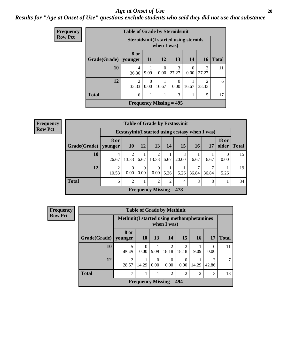#### *Age at Onset of Use* **28**

### *Results for "Age at Onset of Use" questions exclude students who said they did not use that substance*

| Frequency      |              | <b>Table of Grade by Steroidsinit</b>        |                  |             |                           |           |                         |              |
|----------------|--------------|----------------------------------------------|------------------|-------------|---------------------------|-----------|-------------------------|--------------|
| <b>Row Pct</b> |              | <b>Steroidsinit(I started using steroids</b> |                  | when I was) |                           |           |                         |              |
|                | Grade(Grade) | 8 or<br>younger                              | <b>11</b>        | <b>12</b>   | 13                        | 14        | <b>16</b>               | <b>Total</b> |
|                | 10           | 4<br>36.36                                   | 9.09             | 0<br>0.00   | 3<br>27.27                | 0<br>0.00 | 3<br>27.27              | 11           |
|                | 12           | $\overline{2}$<br>33.33                      | $\Omega$<br>0.00 | 16.67       | 0<br>0.00                 | 16.67     | $\mathfrak{D}$<br>33.33 | 6            |
|                | <b>Total</b> | 6                                            |                  |             | 3                         |           | 5                       | 17           |
|                |              |                                              |                  |             | Frequency Missing $= 495$ |           |                         |              |

| Frequency      |                        | <b>Table of Grade by Ecstasyinit</b> |                  |                            |                                |      |       |                 |                                                  |                       |              |
|----------------|------------------------|--------------------------------------|------------------|----------------------------|--------------------------------|------|-------|-----------------|--------------------------------------------------|-----------------------|--------------|
| <b>Row Pct</b> |                        |                                      |                  |                            |                                |      |       |                 | Ecstasyinit (I started using ecstasy when I was) |                       |              |
|                | Grade(Grade)   younger | 8 or                                 | <b>10</b>        | 12                         | 13                             | 14   | 15    | 16 <sup>1</sup> | 17                                               | <b>18 or</b><br>older | <b>Total</b> |
|                | <b>10</b>              | 4<br>26.67                           | 2<br>13.33       | 6.67                       | 13.33                          | 6.67 | 20.00 | 6.67            | 6.67                                             | $\theta$<br>0.00      | 15           |
|                | 12                     | ി<br>10.53                           | $\Omega$<br>0.00 | $\theta$<br>$0.00^{\circ}$ | $\Omega$<br>0.00               | 5.26 | 5.26  | 36.84           | 36.84                                            | 5.26                  | 19           |
|                | <b>Total</b>           | 6                                    | $\overline{2}$   | 1                          | 2                              | 2    | 4     | 8               | 8                                                |                       | 34           |
|                |                        |                                      |                  |                            | <b>Frequency Missing = 478</b> |      |       |                 |                                                  |                       |              |

| <b>Frequency</b> | <b>Table of Grade by Methinit</b> |                                                    |                            |           |                           |                         |                |           |              |  |
|------------------|-----------------------------------|----------------------------------------------------|----------------------------|-----------|---------------------------|-------------------------|----------------|-----------|--------------|--|
| <b>Row Pct</b>   |                                   | <b>Methinit (I started using methamphetamines)</b> |                            |           | when I was)               |                         |                |           |              |  |
|                  | Grade(Grade)                      | 8 or<br>younger                                    | <b>10</b>                  | 13        | 14                        | 15                      | <b>16</b>      | 17        | <b>Total</b> |  |
|                  | 10                                | 5<br>45.45                                         | $\Omega$<br>$0.00^{\circ}$ | 9.09      | $\overline{2}$<br>18.18   | $\overline{2}$<br>18.18 | 9.09           | 0<br>0.00 | 11           |  |
|                  | 12                                | 2<br>28.57                                         | 14.29                      | 0<br>0.00 | $\theta$<br>0.00          | $\Omega$<br>0.00        | 14.29          | 42.86     | $\tau$       |  |
|                  | <b>Total</b>                      | 7                                                  |                            |           | $\overline{2}$            | $\overline{2}$          | $\overline{2}$ | 3         | 18           |  |
|                  |                                   |                                                    |                            |           | Frequency Missing $= 494$ |                         |                |           |              |  |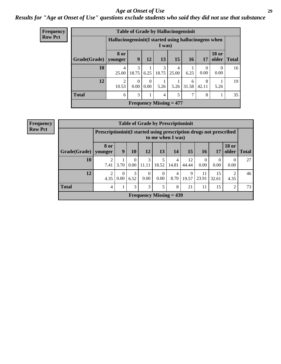#### *Age at Onset of Use* **29**

### *Results for "Age at Onset of Use" questions exclude students who said they did not use that substance*

| <b>Frequency</b> | <b>Table of Grade by Hallucinogensinit</b> |                                                       |                  |                        |            |                                |            |                  |                       |              |  |
|------------------|--------------------------------------------|-------------------------------------------------------|------------------|------------------------|------------|--------------------------------|------------|------------------|-----------------------|--------------|--|
| <b>Row Pct</b>   |                                            | Hallucinogensinit (I started using hallucinogens when |                  |                        | I was)     |                                |            |                  |                       |              |  |
|                  | Grade(Grade)   younger                     | 8 or                                                  | 9                | 12                     | 13         | 15                             | 16         | 17               | <b>18 or</b><br>older | <b>Total</b> |  |
|                  | 10                                         | $\overline{4}$<br>25.00                               | 3<br>18.75       | 6.25                   | 3<br>18.75 | 4<br>25.00                     | 6.25       | $\theta$<br>0.00 | $\theta$<br>0.00      | 16           |  |
|                  | 12                                         | 2<br>10.53                                            | $\Omega$<br>0.00 | $\overline{0}$<br>0.00 | 5.26       | 5.26                           | 6<br>31.58 | 8<br>42.11       | 5.26                  | 19           |  |
|                  | <b>Total</b>                               | 6                                                     | 3                |                        | 4          | 5                              | 7          | 8                |                       | 35           |  |
|                  |                                            |                                                       |                  |                        |            | <b>Frequency Missing = 477</b> |            |                  |                       |              |  |

| <b>Frequency</b> |
|------------------|
| <b>Row Pct</b>   |

|                                | <b>Table of Grade by Prescriptioninit</b> |                                                                                         |                      |                  |                  |                        |             |                  |             |                       |       |
|--------------------------------|-------------------------------------------|-----------------------------------------------------------------------------------------|----------------------|------------------|------------------|------------------------|-------------|------------------|-------------|-----------------------|-------|
|                                |                                           | Prescriptioninit(I started using prescription drugs not prescribed<br>to me when I was) |                      |                  |                  |                        |             |                  |             |                       |       |
| Grade(Grade)                   | 8 or<br>younger                           | 9                                                                                       | 10                   | 12               | 13               | 14                     | 15          | 16               | 17          | <b>18 or</b><br>older | Total |
| 10                             | ◠<br>7.41                                 | 3.70                                                                                    | $\theta$<br>$0.00\,$ | 3<br>11.11       | 5<br>18.52       | 4<br>14.81             | 12<br>44.44 | $\Omega$<br>0.00 | 0.00        | $\theta$<br>0.00      | 27    |
| 12                             | $\overline{2}$<br>4.35                    | $\Omega$<br>0.00                                                                        | 3<br>6.52            | $\Omega$<br>0.00 | $\Omega$<br>0.00 | $\overline{4}$<br>8.70 | 9<br>19.57  | 11<br>23.91      | 15<br>32.61 | ി<br>4.35             | 46    |
| <b>Total</b>                   | 4                                         |                                                                                         | 3                    | 3                | 5                | 8                      | 21          | 11               | 15          | 2                     | 73    |
| <b>Frequency Missing = 439</b> |                                           |                                                                                         |                      |                  |                  |                        |             |                  |             |                       |       |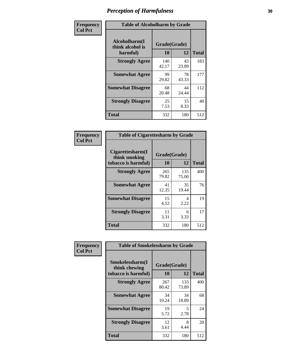| Frequency      |                                               | <b>Table of Alcoholharm by Grade</b> |             |              |  |  |  |  |  |
|----------------|-----------------------------------------------|--------------------------------------|-------------|--------------|--|--|--|--|--|
| <b>Col Pct</b> | Alcoholharm(I<br>think alcohol is<br>harmful) | Grade(Grade)<br>10                   | 12          | <b>Total</b> |  |  |  |  |  |
|                | <b>Strongly Agree</b>                         | 140<br>42.17                         | 43<br>23.89 | 183          |  |  |  |  |  |
|                | <b>Somewhat Agree</b>                         | 99<br>29.82                          | 78<br>43.33 | 177          |  |  |  |  |  |
|                | <b>Somewhat Disagree</b>                      | 68<br>20.48                          | 44<br>24.44 | 112          |  |  |  |  |  |
|                | <b>Strongly Disagree</b>                      | 25<br>7.53                           | 15<br>8.33  | 40           |  |  |  |  |  |
|                | <b>Total</b>                                  | 332                                  | 180         | 512          |  |  |  |  |  |

|                                                          | <b>Table of Cigarettesharm by Grade</b> |              |              |  |  |  |  |  |  |
|----------------------------------------------------------|-----------------------------------------|--------------|--------------|--|--|--|--|--|--|
| Cigarettesharm(I<br>think smoking<br>tobacco is harmful) | Grade(Grade)<br>10                      | 12           | <b>Total</b> |  |  |  |  |  |  |
| <b>Strongly Agree</b>                                    | 265<br>79.82                            | 135<br>75.00 | 400          |  |  |  |  |  |  |
| <b>Somewhat Agree</b>                                    | 41<br>12.35                             | 35<br>19.44  | 76           |  |  |  |  |  |  |
| <b>Somewhat Disagree</b>                                 | 15<br>4.52                              | 4<br>2.22    | 19           |  |  |  |  |  |  |
| <b>Strongly Disagree</b>                                 | 11<br>3.31                              | 6<br>3.33    | 17           |  |  |  |  |  |  |
| <b>Total</b>                                             | 332                                     | 180          | 512          |  |  |  |  |  |  |

| Frequency      | <b>Table of Smokelessharm by Grade</b>       |                    |              |                     |
|----------------|----------------------------------------------|--------------------|--------------|---------------------|
| <b>Col Pct</b> | Smokelessharm(I<br>think chewing             | Grade(Grade)<br>10 | 12           |                     |
|                | tobacco is harmful)<br><b>Strongly Agree</b> | 267<br>80.42       | 133<br>73.89 | <b>Total</b><br>400 |
|                | <b>Somewhat Agree</b>                        | 34<br>10.24        | 34<br>18.89  | 68                  |
|                | <b>Somewhat Disagree</b>                     | 19<br>5.72         | 5<br>2.78    | 24                  |
|                | <b>Strongly Disagree</b>                     | 12<br>3.61         | 8<br>4.44    | 20                  |
|                | <b>Total</b>                                 | 332                | 180          | 512                 |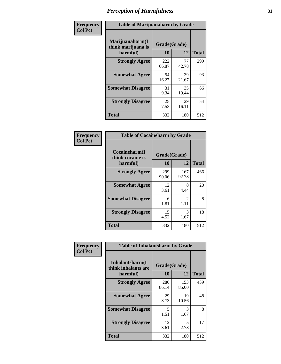| Frequency      |                                                   | <b>Table of Marijuanaharm by Grade</b> |             |              |  |  |  |  |  |  |
|----------------|---------------------------------------------------|----------------------------------------|-------------|--------------|--|--|--|--|--|--|
| <b>Col Pct</b> | Marijuanaharm(I<br>think marijuana is<br>harmful) | Grade(Grade)<br>10                     | 12          | <b>Total</b> |  |  |  |  |  |  |
|                | <b>Strongly Agree</b>                             | 222<br>66.87                           | 77<br>42.78 | 299          |  |  |  |  |  |  |
|                | <b>Somewhat Agree</b>                             | 54<br>16.27                            | 39<br>21.67 | 93           |  |  |  |  |  |  |
|                | <b>Somewhat Disagree</b>                          | 31<br>9.34                             | 35<br>19.44 | 66           |  |  |  |  |  |  |
|                | <b>Strongly Disagree</b>                          | 25<br>7.53                             | 29<br>16.11 | 54           |  |  |  |  |  |  |
|                | <b>Total</b>                                      | 332                                    | 180         | 512          |  |  |  |  |  |  |

| <b>Table of Cocaineharm by Grade</b>          |                    |                        |              |  |  |  |
|-----------------------------------------------|--------------------|------------------------|--------------|--|--|--|
| Cocaineharm(I<br>think cocaine is<br>harmful) | Grade(Grade)<br>10 | 12                     | <b>Total</b> |  |  |  |
| <b>Strongly Agree</b>                         | 299<br>90.06       | 167<br>92.78           | 466          |  |  |  |
| <b>Somewhat Agree</b>                         | 12<br>3.61         | 8<br>4.44              | 20           |  |  |  |
| <b>Somewhat Disagree</b>                      | 6<br>1.81          | $\mathfrak{D}$<br>1.11 | 8            |  |  |  |
| <b>Strongly Disagree</b>                      | 15<br>4.52         | 3<br>1.67              | 18           |  |  |  |
| <b>Total</b>                                  | 332                | 180                    | 512          |  |  |  |

| Frequency      | <b>Table of Inhalantsharm by Grade</b>             |                    |              |              |
|----------------|----------------------------------------------------|--------------------|--------------|--------------|
| <b>Col Pct</b> | Inhalantsharm(I<br>think inhalants are<br>harmful) | Grade(Grade)<br>10 | 12           | <b>Total</b> |
|                | <b>Strongly Agree</b>                              | 286<br>86.14       | 153<br>85.00 | 439          |
|                | <b>Somewhat Agree</b>                              | 29<br>8.73         | 19<br>10.56  | 48           |
|                | <b>Somewhat Disagree</b>                           | 5<br>1.51          | 3<br>1.67    | 8            |
|                | <b>Strongly Disagree</b>                           | 12<br>3.61         | 5<br>2.78    | 17           |
|                | <b>Total</b>                                       | 332                | 180          | 512          |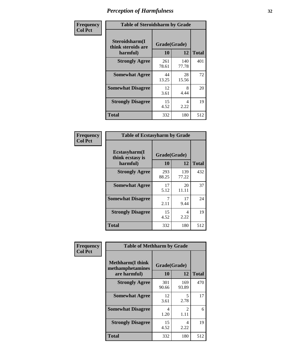| Frequency      | <b>Table of Steroidsharm by Grade</b>            |                    |              |              |
|----------------|--------------------------------------------------|--------------------|--------------|--------------|
| <b>Col Pct</b> | Steroidsharm(I<br>think steroids are<br>harmful) | Grade(Grade)<br>10 | 12           | <b>Total</b> |
|                | <b>Strongly Agree</b>                            | 261<br>78.61       | 140<br>77.78 | 401          |
|                | <b>Somewhat Agree</b>                            | 44<br>13.25        | 28<br>15.56  | 72           |
|                | <b>Somewhat Disagree</b>                         | 12<br>3.61         | 8<br>4.44    | 20           |
|                | <b>Strongly Disagree</b>                         | 15<br>4.52         | 4<br>2.22    | 19           |
|                | <b>Total</b>                                     | 332                | 180          | 512          |

| <b>Table of Ecstasyharm by Grade</b>          |                    |              |              |  |  |
|-----------------------------------------------|--------------------|--------------|--------------|--|--|
| Ecstasyharm(I<br>think ecstasy is<br>harmful) | Grade(Grade)<br>10 | 12           | <b>Total</b> |  |  |
| <b>Strongly Agree</b>                         | 293<br>88.25       | 139<br>77.22 | 432          |  |  |
| <b>Somewhat Agree</b>                         | 17<br>5.12         | 20<br>11.11  | 37           |  |  |
| <b>Somewhat Disagree</b>                      | 7<br>2.11          | 17<br>9.44   | 24           |  |  |
| <b>Strongly Disagree</b>                      | 15<br>4.52         | 4<br>2.22    | 19           |  |  |
| <b>Total</b>                                  | 332                | 180          | 512          |  |  |

| Frequency      | <b>Table of Methharm by Grade</b>                            |                           |                       |              |
|----------------|--------------------------------------------------------------|---------------------------|-----------------------|--------------|
| <b>Col Pct</b> | <b>Methharm</b> (I think<br>methamphetamines<br>are harmful) | Grade(Grade)<br><b>10</b> | 12                    | <b>Total</b> |
|                | <b>Strongly Agree</b>                                        | 301<br>90.66              | 169<br>93.89          | 470          |
|                | <b>Somewhat Agree</b>                                        | 12<br>3.61                | 5<br>2.78             | 17           |
|                | <b>Somewhat Disagree</b>                                     | 4<br>1.20                 | $\mathcal{L}$<br>1.11 | 6            |
|                | <b>Strongly Disagree</b>                                     | 15<br>4.52                | 4<br>2.22             | 19           |
|                | <b>Total</b>                                                 | 332                       | 180                   | 512          |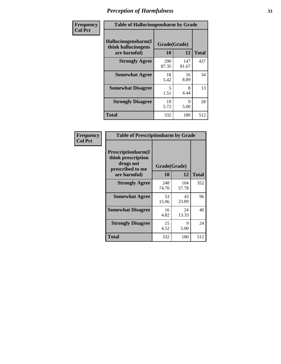| Frequency | <b>Table of Hallucinogensharm by Grade</b>                 |                    |              |              |
|-----------|------------------------------------------------------------|--------------------|--------------|--------------|
| Col Pct   | Hallucinogensharm(I<br>think hallucinogens<br>are harmful) | Grade(Grade)<br>10 | 12           | <b>Total</b> |
|           | <b>Strongly Agree</b>                                      | 290<br>87.35       | 147<br>81.67 | 437          |
|           | <b>Somewhat Agree</b>                                      | 18<br>5.42         | 16<br>8.89   | 34           |
|           | <b>Somewhat Disagree</b>                                   | 5<br>1.51          | 8<br>4.44    | 13           |
|           | <b>Strongly Disagree</b>                                   | 19<br>5.72         | 9<br>5.00    | 28           |
|           | <b>Total</b>                                               | 332                | 180          | 512          |

| <b>Table of Prescriptionharm by Grade</b>                                         |              |              |              |  |
|-----------------------------------------------------------------------------------|--------------|--------------|--------------|--|
| <b>Prescriptionharm</b> (I<br>think prescription<br>drugs not<br>prescribed to me | Grade(Grade) |              |              |  |
| are harmful)                                                                      | 10           | 12           | <b>Total</b> |  |
| <b>Strongly Agree</b>                                                             | 248<br>74.70 | 104<br>57.78 | 352          |  |
| <b>Somewhat Agree</b>                                                             | 53<br>15.96  | 43<br>23.89  | 96           |  |
| <b>Somewhat Disagree</b>                                                          | 16<br>4.82   | 24<br>13.33  | 40           |  |
| <b>Strongly Disagree</b>                                                          | 15<br>4.52   | 9<br>5.00    | 24           |  |
| Total                                                                             | 332          | 180          | 512          |  |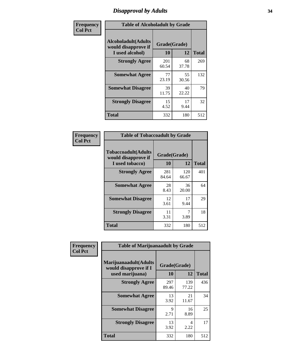# *Disapproval by Adults* **34**

| Frequency      | <b>Table of Alcoholadult by Grade</b>                                 |                    |             |              |
|----------------|-----------------------------------------------------------------------|--------------------|-------------|--------------|
| <b>Col Pct</b> | <b>Alcoholadult</b> (Adults<br>would disapprove if<br>I used alcohol) | Grade(Grade)<br>10 | 12          | <b>Total</b> |
|                | <b>Strongly Agree</b>                                                 | 201<br>60.54       | 68<br>37.78 | 269          |
|                | <b>Somewhat Agree</b>                                                 | 77<br>23.19        | 55<br>30.56 | 132          |
|                | <b>Somewhat Disagree</b>                                              | 39<br>11.75        | 40<br>22.22 | 79           |
|                | <b>Strongly Disagree</b>                                              | 15<br>4.52         | 17<br>9.44  | 32           |
|                | <b>Total</b>                                                          | 332                | 180         | 512          |

|                                                                       | <b>Table of Tobaccoadult by Grade</b> |              |              |  |  |  |
|-----------------------------------------------------------------------|---------------------------------------|--------------|--------------|--|--|--|
| <b>Tobaccoadult</b> (Adults<br>would disapprove if<br>I used tobacco) | Grade(Grade)<br>10                    | 12           | <b>Total</b> |  |  |  |
| <b>Strongly Agree</b>                                                 | 281<br>84.64                          | 120<br>66.67 | 401          |  |  |  |
| <b>Somewhat Agree</b>                                                 | 28<br>8.43                            | 36<br>20.00  | 64           |  |  |  |
| <b>Somewhat Disagree</b>                                              | 12<br>3.61                            | 17<br>9.44   | 29           |  |  |  |
| <b>Strongly Disagree</b>                                              | 11<br>3.31                            | 3.89         | 18           |  |  |  |
| Total                                                                 | 332                                   | 180          | 512          |  |  |  |

| Frequency<br><b>Col Pct</b> | <b>Table of Marijuanaadult by Grade</b>                           |                    |              |              |
|-----------------------------|-------------------------------------------------------------------|--------------------|--------------|--------------|
|                             | Marijuanaadult(Adults<br>would disapprove if I<br>used marijuana) | Grade(Grade)<br>10 | 12           | <b>Total</b> |
|                             | <b>Strongly Agree</b>                                             | 297<br>89.46       | 139<br>77.22 | 436          |
|                             | <b>Somewhat Agree</b>                                             | 13<br>3.92         | 21<br>11.67  | 34           |
|                             | <b>Somewhat Disagree</b>                                          | 9<br>2.71          | 16<br>8.89   | 25           |
|                             | <b>Strongly Disagree</b>                                          | 13<br>3.92         | 4<br>2.22    | 17           |
|                             | <b>Total</b>                                                      | 332                | 180          | 512          |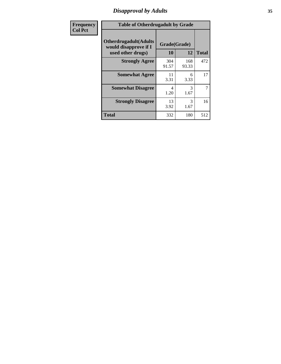# *Disapproval by Adults* **35**

| Frequency      | <b>Table of Otherdrugadult by Grade</b>                                     |                    |              |              |
|----------------|-----------------------------------------------------------------------------|--------------------|--------------|--------------|
| <b>Col Pct</b> | <b>Otherdrugadult</b> (Adults<br>would disapprove if I<br>used other drugs) | Grade(Grade)<br>10 | 12           | <b>Total</b> |
|                | <b>Strongly Agree</b>                                                       | 304<br>91.57       | 168<br>93.33 | 472          |
|                | <b>Somewhat Agree</b>                                                       | 11<br>3.31         | 6<br>3.33    | 17           |
|                | <b>Somewhat Disagree</b>                                                    | 4<br>1.20          | 3<br>1.67    | 7            |
|                | <b>Strongly Disagree</b>                                                    | 13<br>3.92         | 3<br>1.67    | 16           |
|                | <b>Total</b>                                                                | 332                | 180          | 512          |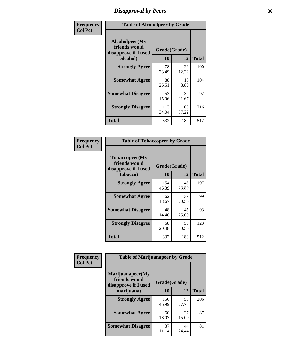# *Disapproval by Peers* **36**

| Frequency      |                                                         | <b>Table of Alcoholpeer by Grade</b> |              |              |
|----------------|---------------------------------------------------------|--------------------------------------|--------------|--------------|
| <b>Col Pct</b> | Alcoholpeer(My<br>friends would<br>disapprove if I used | Grade(Grade)                         |              |              |
|                | alcohol)                                                | 10                                   | 12           | <b>Total</b> |
|                | <b>Strongly Agree</b>                                   | 78<br>23.49                          | 22<br>12.22  | 100          |
|                | <b>Somewhat Agree</b>                                   | 88<br>26.51                          | 16<br>8.89   | 104          |
|                | <b>Somewhat Disagree</b>                                | 53<br>15.96                          | 39<br>21.67  | 92           |
|                | <b>Strongly Disagree</b>                                | 113<br>34.04                         | 103<br>57.22 | 216          |
|                | Total                                                   | 332                                  | 180          | 512          |

| Frequency      | <b>Table of Tobaccopeer by Grade</b>                                |                    |             |              |  |
|----------------|---------------------------------------------------------------------|--------------------|-------------|--------------|--|
| <b>Col Pct</b> | Tobaccopeer(My<br>friends would<br>disapprove if I used<br>tobacco) | Grade(Grade)<br>10 | 12          | <b>Total</b> |  |
|                | <b>Strongly Agree</b>                                               | 154<br>46.39       | 43<br>23.89 | 197          |  |
|                | <b>Somewhat Agree</b>                                               | 62<br>18.67        | 37<br>20.56 | 99           |  |
|                | <b>Somewhat Disagree</b>                                            | 48<br>14.46        | 45<br>25.00 | 93           |  |
|                | <b>Strongly Disagree</b>                                            | 68<br>20.48        | 55<br>30.56 | 123          |  |
|                | <b>Total</b>                                                        | 332                | 180         | 512          |  |

| Frequency      | <b>Table of Marijuanapeer by Grade</b> |              |             |              |  |
|----------------|----------------------------------------|--------------|-------------|--------------|--|
| <b>Col Pct</b> | Marijuanapeer(My<br>friends would      | Grade(Grade) |             |              |  |
|                | disapprove if I used<br>marijuana)     | 10           | 12          | <b>Total</b> |  |
|                | <b>Strongly Agree</b>                  | 156<br>46.99 | 50<br>27.78 | 206          |  |
|                | <b>Somewhat Agree</b>                  | 60<br>18.07  | 27<br>15.00 | 87           |  |
|                | <b>Somewhat Disagree</b>               | 37<br>11.14  | 44<br>24.44 | 81           |  |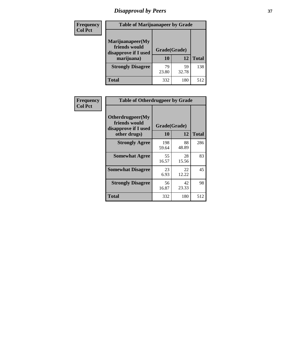# *Disapproval by Peers* **37**

| Frequency<br><b>Col Pct</b> | <b>Table of Marijuanapeer by Grade</b>                                  |                    |             |              |
|-----------------------------|-------------------------------------------------------------------------|--------------------|-------------|--------------|
|                             | Marijuanapeer(My<br>friends would<br>disapprove if I used<br>marijuana) | Grade(Grade)<br>10 | 12          | <b>Total</b> |
|                             | <b>Strongly Disagree</b>                                                | 79<br>23.80        | 59<br>32.78 | 138          |
|                             | Total                                                                   | 332                | 180         | 512          |

| Frequency      | <b>Table of Otherdrugpeer by Grade</b>                                    |                    |             |              |
|----------------|---------------------------------------------------------------------------|--------------------|-------------|--------------|
| <b>Col Pct</b> | Otherdrugpeer(My<br>friends would<br>disapprove if I used<br>other drugs) | Grade(Grade)<br>10 | 12          | <b>Total</b> |
|                | <b>Strongly Agree</b>                                                     | 198<br>59.64       | 88<br>48.89 | 286          |
|                | <b>Somewhat Agree</b>                                                     | 55<br>16.57        | 28<br>15.56 | 83           |
|                | <b>Somewhat Disagree</b>                                                  | 23<br>6.93         | 22<br>12.22 | 45           |
|                | <b>Strongly Disagree</b>                                                  | 56<br>16.87        | 42<br>23.33 | 98           |
|                | <b>Total</b>                                                              | 332                | 180         | 512          |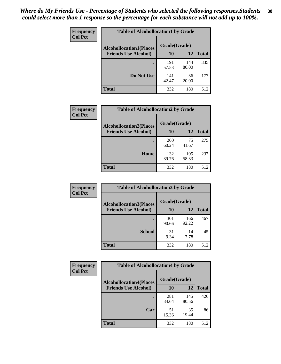| Frequency<br><b>Col Pct</b> | <b>Table of Alcohollocation1 by Grade</b> |                                                |              |              |  |
|-----------------------------|-------------------------------------------|------------------------------------------------|--------------|--------------|--|
|                             |                                           | Grade(Grade)<br><b>Alcohollocation1(Places</b> |              |              |  |
|                             | <b>Friends Use Alcohol)</b>               | 10                                             | 12           | <b>Total</b> |  |
|                             |                                           | 191<br>57.53                                   | 144<br>80.00 | 335          |  |
|                             | Do Not Use                                | 141<br>42.47                                   | 36<br>20.00  | 177          |  |
|                             | <b>Total</b>                              | 332                                            | 180          | 512          |  |

| Frequency      | <b>Table of Alcohollocation2 by Grade</b>                     |                    |              |              |
|----------------|---------------------------------------------------------------|--------------------|--------------|--------------|
| <b>Col Pct</b> | <b>Alcohollocation2(Places</b><br><b>Friends Use Alcohol)</b> | Grade(Grade)<br>10 | 12           | <b>Total</b> |
|                |                                                               | 200<br>60.24       | 75<br>41.67  | 275          |
|                | Home                                                          | 132<br>39.76       | 105<br>58.33 | 237          |
|                | Total                                                         | 332                | 180          | 512          |

| Frequency<br><b>Col Pct</b> | <b>Table of Alcohollocation 3 by Grade</b>                    |                    |              |              |
|-----------------------------|---------------------------------------------------------------|--------------------|--------------|--------------|
|                             | <b>Alcohollocation3(Places</b><br><b>Friends Use Alcohol)</b> | Grade(Grade)<br>10 | 12           | <b>Total</b> |
|                             |                                                               | 301<br>90.66       | 166<br>92.22 | 467          |
|                             | <b>School</b>                                                 | 31<br>9.34         | 14<br>7.78   | 45           |
|                             | Total                                                         | 332                | 180          | 512          |

| Frequency      | <b>Table of Alcohollocation4 by Grade</b> |              |              |              |  |
|----------------|-------------------------------------------|--------------|--------------|--------------|--|
| <b>Col Pct</b> | <b>Alcohollocation4(Places</b>            | Grade(Grade) |              |              |  |
|                | <b>Friends Use Alcohol)</b>               | 10           | 12           | <b>Total</b> |  |
|                |                                           | 281<br>84.64 | 145<br>80.56 | 426          |  |
|                | Car                                       | 51<br>15.36  | 35<br>19.44  | 86           |  |
|                | <b>Total</b>                              | 332          | 180          | 512          |  |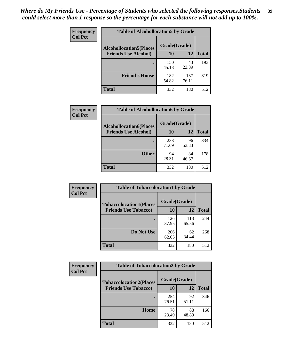| Frequency<br><b>Col Pct</b> | <b>Table of Alcohollocation5 by Grade</b>      |              |              |              |  |
|-----------------------------|------------------------------------------------|--------------|--------------|--------------|--|
|                             | Grade(Grade)<br><b>Alcohollocation5(Places</b> |              |              |              |  |
|                             | <b>Friends Use Alcohol)</b>                    | 10           | 12           | <b>Total</b> |  |
|                             |                                                | 150<br>45.18 | 43<br>23.89  | 193          |  |
|                             | <b>Friend's House</b>                          | 182<br>54.82 | 137<br>76.11 | 319          |  |
|                             | <b>Total</b>                                   | 332          | 180          | 512          |  |

| <b>Frequency</b> | <b>Table of Alcohollocation6 by Grade</b>                     |                           |             |              |
|------------------|---------------------------------------------------------------|---------------------------|-------------|--------------|
| <b>Col Pct</b>   | <b>Alcohollocation6(Places</b><br><b>Friends Use Alcohol)</b> | Grade(Grade)<br><b>10</b> | 12          | <b>Total</b> |
|                  |                                                               | 238<br>71.69              | 96<br>53.33 | 334          |
|                  | <b>Other</b>                                                  | 94<br>28.31               | 84<br>46.67 | 178          |
|                  | <b>Total</b>                                                  | 332                       | 180         | 512          |

| <b>Frequency</b> | <b>Table of Tobaccolocation1 by Grade</b> |              |              |              |
|------------------|-------------------------------------------|--------------|--------------|--------------|
| <b>Col Pct</b>   | <b>Tobaccolocation1(Places</b>            | Grade(Grade) |              |              |
|                  | <b>Friends Use Tobacco)</b>               | 10           | 12           | <b>Total</b> |
|                  |                                           | 126<br>37.95 | 118<br>65.56 | 244          |
|                  | Do Not Use                                | 206<br>62.05 | 62<br>34.44  | 268          |
|                  | <b>Total</b>                              | 332          | 180          | 512          |

| <b>Frequency</b> | <b>Table of Tobaccolocation2 by Grade</b> |              |             |              |  |
|------------------|-------------------------------------------|--------------|-------------|--------------|--|
| <b>Col Pct</b>   | <b>Tobaccolocation2(Places</b>            | Grade(Grade) |             |              |  |
|                  | <b>Friends Use Tobacco)</b>               | 10           | 12          | <b>Total</b> |  |
|                  |                                           | 254<br>76.51 | 92<br>51.11 | 346          |  |
|                  | Home                                      | 78<br>23.49  | 88<br>48.89 | 166          |  |
|                  | <b>Total</b>                              | 332          | 180         | 512          |  |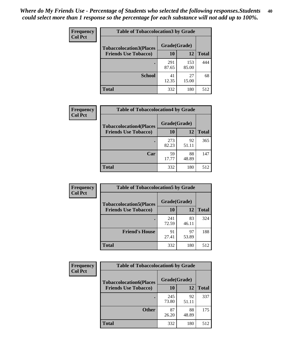| Frequency      | <b>Table of Tobaccolocation 3 by Grade</b> |              |              |              |
|----------------|--------------------------------------------|--------------|--------------|--------------|
| <b>Col Pct</b> | <b>Tobaccolocation3(Places</b>             | Grade(Grade) |              |              |
|                | <b>Friends Use Tobacco)</b>                | 10           | 12           | <b>Total</b> |
|                |                                            | 291<br>87.65 | 153<br>85.00 | 444          |
|                | <b>School</b>                              | 41<br>12.35  | 27<br>15.00  | 68           |
|                | <b>Total</b>                               | 332          | 180          | 512          |

| Frequency      | <b>Table of Tobaccolocation4 by Grade</b> |              |             |              |
|----------------|-------------------------------------------|--------------|-------------|--------------|
| <b>Col Pct</b> | <b>Tobaccolocation4(Places</b>            | Grade(Grade) |             |              |
|                | <b>Friends Use Tobacco)</b>               | 10           | 12          | <b>Total</b> |
|                |                                           | 273<br>82.23 | 92<br>51.11 | 365          |
|                | Car                                       | 59<br>17.77  | 88<br>48.89 | 147          |
|                | <b>Total</b>                              | 332          | 180         | 512          |

| Frequency      | <b>Table of Tobaccolocation5 by Grade</b> |              |             |              |
|----------------|-------------------------------------------|--------------|-------------|--------------|
| <b>Col Pct</b> | <b>Tobaccolocation5(Places</b>            | Grade(Grade) |             |              |
|                | <b>Friends Use Tobacco)</b>               | 10           | 12          | <b>Total</b> |
|                |                                           | 241<br>72.59 | 83<br>46.11 | 324          |
|                | <b>Friend's House</b>                     | 91<br>27.41  | 97<br>53.89 | 188          |
|                | <b>Total</b>                              | 332          | 180         | 512          |

| Frequency      | <b>Table of Tobaccolocation6 by Grade</b> |              |             |              |  |  |
|----------------|-------------------------------------------|--------------|-------------|--------------|--|--|
| <b>Col Pct</b> | <b>Tobaccolocation6(Places</b>            | Grade(Grade) |             |              |  |  |
|                | <b>Friends Use Tobacco)</b>               | 10           | 12          | <b>Total</b> |  |  |
|                |                                           | 245<br>73.80 | 92<br>51.11 | 337          |  |  |
|                | <b>Other</b>                              | 87<br>26.20  | 88<br>48.89 | 175          |  |  |
|                | <b>Total</b>                              | 332          | 180         | 512          |  |  |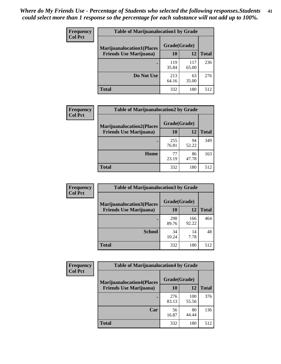| <b>Frequency</b>               | <b>Table of Marijuanalocation1 by Grade</b> |              |              |     |
|--------------------------------|---------------------------------------------|--------------|--------------|-----|
| <b>Col Pct</b>                 | <b>Marijuanalocation1(Places</b>            | Grade(Grade) |              |     |
| <b>Friends Use Marijuana</b> ) | 10                                          | 12           | <b>Total</b> |     |
|                                |                                             | 119<br>35.84 | 117<br>65.00 | 236 |
|                                | Do Not Use                                  | 213<br>64.16 | 63<br>35.00  | 276 |
|                                | <b>Total</b>                                | 332          | 180          | 512 |

| <b>Frequency</b> | <b>Table of Marijuanalocation2 by Grade</b> |              |             |              |
|------------------|---------------------------------------------|--------------|-------------|--------------|
| <b>Col Pct</b>   | <b>Marijuanalocation2(Places</b>            | Grade(Grade) |             |              |
|                  | <b>Friends Use Marijuana</b> )              | 10           | 12          | <b>Total</b> |
|                  |                                             | 255<br>76.81 | 94<br>52.22 | 349          |
|                  | Home                                        | 77<br>23.19  | 86<br>47.78 | 163          |
|                  | <b>Total</b>                                | 332          | 180         | 512          |

| Frequency<br><b>Col Pct</b> | <b>Table of Marijuanalocation3 by Grade</b> |              |              |       |
|-----------------------------|---------------------------------------------|--------------|--------------|-------|
|                             | <b>Marijuanalocation3</b> (Places           | Grade(Grade) |              |       |
|                             | <b>Friends Use Marijuana</b> )              | 10           | 12           | Total |
|                             |                                             | 298<br>89.76 | 166<br>92.22 | 464   |
|                             | <b>School</b>                               | 34<br>10.24  | 14<br>7.78   | 48    |
|                             | <b>Total</b>                                | 332          | 180          | 512   |

| <b>Frequency</b> | <b>Table of Marijuanalocation4 by Grade</b> |              |              |              |  |
|------------------|---------------------------------------------|--------------|--------------|--------------|--|
| <b>Col Pct</b>   | <b>Marijuanalocation4(Places</b>            | Grade(Grade) |              |              |  |
|                  | <b>Friends Use Marijuana</b> )              | <b>10</b>    | 12           | <b>Total</b> |  |
|                  |                                             | 276<br>83.13 | 100<br>55.56 | 376          |  |
|                  | Car                                         | 56<br>16.87  | 80<br>44.44  | 136          |  |
|                  | <b>Total</b>                                | 332          | 180          | 512          |  |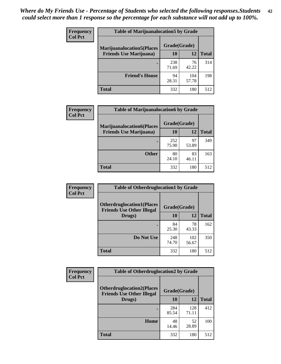| <b>Frequency</b> | <b>Table of Marijuanalocation5 by Grade</b> |              |              |              |
|------------------|---------------------------------------------|--------------|--------------|--------------|
| <b>Col Pct</b>   | <b>Marijuanalocation5</b> (Places           | Grade(Grade) |              |              |
|                  | <b>Friends Use Marijuana</b> )              | 10           | 12           | <b>Total</b> |
|                  |                                             | 238<br>71.69 | 76<br>42.22  | 314          |
|                  | <b>Friend's House</b>                       | 94<br>28.31  | 104<br>57.78 | 198          |
|                  | <b>Total</b>                                | 332          | 180          | 512          |

| <b>Frequency</b> | <b>Table of Marijuanalocation6 by Grade</b>                        |                    |             |              |
|------------------|--------------------------------------------------------------------|--------------------|-------------|--------------|
| <b>Col Pct</b>   | <b>Marijuanalocation6(Places</b><br><b>Friends Use Marijuana</b> ) | Grade(Grade)<br>10 | 12          | <b>Total</b> |
|                  |                                                                    | 252<br>75.90       | 97<br>53.89 | 349          |
|                  | <b>Other</b>                                                       | 80<br>24.10        | 83<br>46.11 | 163          |
|                  | <b>Total</b>                                                       | 332                | 180         | 512          |

| <b>Frequency</b> | <b>Table of Otherdruglocation1 by Grade</b>                          |              |              |              |  |
|------------------|----------------------------------------------------------------------|--------------|--------------|--------------|--|
| <b>Col Pct</b>   | <b>Otherdruglocation1(Places</b><br><b>Friends Use Other Illegal</b> | Grade(Grade) |              |              |  |
|                  | Drugs)                                                               | 10           | 12           | <b>Total</b> |  |
|                  |                                                                      | 84<br>25.30  | 78<br>43.33  | 162          |  |
|                  | Do Not Use                                                           | 248<br>74.70 | 102<br>56.67 | 350          |  |
|                  | <b>Total</b>                                                         | 332          | 180          | 512          |  |

| Frequency      | <b>Table of Otherdruglocation2 by Grade</b>                          |              |              |              |  |
|----------------|----------------------------------------------------------------------|--------------|--------------|--------------|--|
| <b>Col Pct</b> | <b>Otherdruglocation2(Places</b><br><b>Friends Use Other Illegal</b> | Grade(Grade) |              |              |  |
|                | Drugs)                                                               | 10           | 12           | <b>Total</b> |  |
|                |                                                                      | 284<br>85.54 | 128<br>71.11 | 412          |  |
|                | Home                                                                 | 48<br>14.46  | 52<br>28.89  | 100          |  |
|                | <b>Total</b>                                                         | 332          | 180          | 512          |  |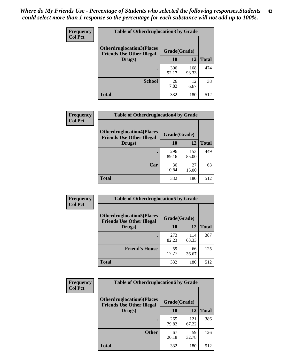| <b>Frequency</b> | <b>Table of Otherdruglocation 3 by Grade</b>                         |              |              |              |
|------------------|----------------------------------------------------------------------|--------------|--------------|--------------|
| <b>Col Pct</b>   | <b>Otherdruglocation3(Places</b><br><b>Friends Use Other Illegal</b> | Grade(Grade) |              |              |
|                  | Drugs)                                                               | <b>10</b>    | 12           | <b>Total</b> |
|                  |                                                                      | 306<br>92.17 | 168<br>93.33 | 474          |
|                  | <b>School</b>                                                        | 26<br>7.83   | 12<br>6.67   | 38           |
|                  | <b>Total</b>                                                         | 332          | 180          | 512          |

| <b>Frequency</b> | <b>Table of Otherdruglocation4 by Grade</b>                          |              |              |              |
|------------------|----------------------------------------------------------------------|--------------|--------------|--------------|
| <b>Col Pct</b>   | <b>Otherdruglocation4(Places</b><br><b>Friends Use Other Illegal</b> | Grade(Grade) |              |              |
|                  | Drugs)                                                               | 10           | 12           | <b>Total</b> |
|                  |                                                                      | 296<br>89.16 | 153<br>85.00 | 449          |
|                  | Car                                                                  | 36<br>10.84  | 27<br>15.00  | 63           |
|                  | <b>Total</b>                                                         | 332          | 180          | 512          |

| Frequency      | <b>Table of Otherdruglocation5 by Grade</b>                          |              |              |              |
|----------------|----------------------------------------------------------------------|--------------|--------------|--------------|
| <b>Col Pct</b> | <b>Otherdruglocation5(Places</b><br><b>Friends Use Other Illegal</b> | Grade(Grade) |              |              |
|                | Drugs)                                                               | 10           | 12           | <b>Total</b> |
|                |                                                                      | 273<br>82.23 | 114<br>63.33 | 387          |
|                | <b>Friend's House</b>                                                | 59<br>17.77  | 66<br>36.67  | 125          |
|                | <b>Total</b>                                                         | 332          | 180          | 512          |

| <b>Frequency</b> | <b>Table of Otherdruglocation6 by Grade</b>                          |              |              |              |
|------------------|----------------------------------------------------------------------|--------------|--------------|--------------|
| <b>Col Pct</b>   | <b>Otherdruglocation6(Places</b><br><b>Friends Use Other Illegal</b> | Grade(Grade) |              |              |
|                  | Drugs)                                                               | 10           | 12           | <b>Total</b> |
|                  |                                                                      | 265<br>79.82 | 121<br>67.22 | 386          |
|                  | <b>Other</b>                                                         | 67<br>20.18  | 59<br>32.78  | 126          |
|                  | <b>Total</b>                                                         | 332          | 180          | 512          |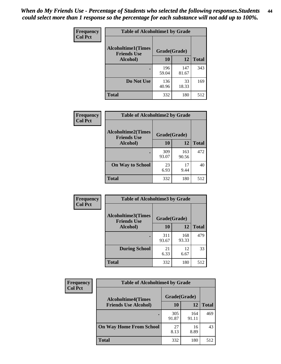| Frequency      | <b>Table of Alcoholtime1 by Grade</b>           |              |              |              |
|----------------|-------------------------------------------------|--------------|--------------|--------------|
| <b>Col Pct</b> | <b>Alcoholtime1(Times</b><br><b>Friends Use</b> | Grade(Grade) |              |              |
|                | Alcohol)                                        | 10           | 12           | <b>Total</b> |
|                |                                                 | 196<br>59.04 | 147<br>81.67 | 343          |
|                | Do Not Use                                      | 136<br>40.96 | 33<br>18.33  | 169          |
|                | <b>Total</b>                                    | 332          | 180          | 512          |

| Frequency      | <b>Table of Alcoholtime2 by Grade</b>           |              |              |              |  |
|----------------|-------------------------------------------------|--------------|--------------|--------------|--|
| <b>Col Pct</b> | <b>Alcoholtime2(Times</b><br><b>Friends Use</b> | Grade(Grade) |              |              |  |
|                | Alcohol)                                        | 10           | 12           | <b>Total</b> |  |
|                |                                                 | 309<br>93.07 | 163<br>90.56 | 472          |  |
|                | <b>On Way to School</b>                         | 23<br>6.93   | 17<br>9.44   | 40           |  |
|                | <b>Total</b>                                    | 332          | 180          | 512          |  |

| <b>Frequency</b> | <b>Table of Alcoholtime3 by Grade</b>           |              |              |              |  |
|------------------|-------------------------------------------------|--------------|--------------|--------------|--|
| <b>Col Pct</b>   | <b>Alcoholtime3(Times</b><br><b>Friends Use</b> | Grade(Grade) |              |              |  |
|                  | Alcohol)                                        | 10           | 12           | <b>Total</b> |  |
|                  |                                                 | 311<br>93.67 | 168<br>93.33 | 479          |  |
|                  | <b>During School</b>                            | 21<br>6.33   | 12<br>6.67   | 33           |  |
|                  | <b>Total</b>                                    | 332          | 180          | 512          |  |

| <b>Frequency</b><br><b>Col Pct</b> | <b>Table of Alcoholtime4 by Grade</b> |              |              |              |  |
|------------------------------------|---------------------------------------|--------------|--------------|--------------|--|
|                                    | <b>Alcoholtime4(Times</b>             | Grade(Grade) |              |              |  |
|                                    | <b>Friends Use Alcohol)</b>           | 10           | 12           | <b>Total</b> |  |
|                                    |                                       | 305<br>91.87 | 164<br>91.11 | 469          |  |
|                                    | <b>On Way Home From School</b>        | 27<br>8.13   | 16<br>8.89   | 43           |  |
|                                    | <b>Total</b>                          | 332          | 180          | 512          |  |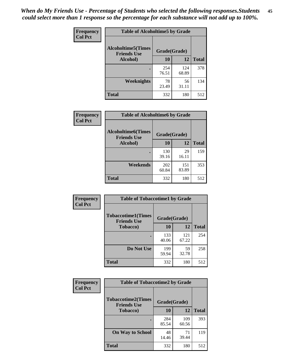*When do My Friends Use - Percentage of Students who selected the following responses.Students could select more than 1 response so the percentage for each substance will not add up to 100%.* **45**

| Frequency      | <b>Table of Alcoholtime5 by Grade</b>           |              |              |              |
|----------------|-------------------------------------------------|--------------|--------------|--------------|
| <b>Col Pct</b> | <b>Alcoholtime5(Times</b><br><b>Friends Use</b> | Grade(Grade) |              |              |
|                | Alcohol)                                        | 10           | 12           | <b>Total</b> |
|                |                                                 | 254<br>76.51 | 124<br>68.89 | 378          |
|                | Weeknights                                      | 78<br>23.49  | 56<br>31.11  | 134          |
|                | <b>Total</b>                                    | 332          | 180          | 512          |

| Frequency      | <b>Table of Alcoholtime6 by Grade</b>           |              |              |              |  |
|----------------|-------------------------------------------------|--------------|--------------|--------------|--|
| <b>Col Pct</b> | <b>Alcoholtime6(Times</b><br><b>Friends Use</b> | Grade(Grade) |              |              |  |
|                | Alcohol)                                        | 10           | 12           | <b>Total</b> |  |
|                |                                                 | 130<br>39.16 | 29<br>16.11  | 159          |  |
|                | Weekends                                        | 202<br>60.84 | 151<br>83.89 | 353          |  |
|                | <b>Total</b>                                    | 332          | 180          | 512          |  |

| Frequency<br><b>Col Pct</b> | <b>Table of Tobaccotime1 by Grade</b>           |              |              |              |
|-----------------------------|-------------------------------------------------|--------------|--------------|--------------|
|                             | <b>Tobaccotime1(Times</b><br><b>Friends Use</b> | Grade(Grade) |              |              |
|                             | <b>Tobacco</b> )                                | 10           | 12           | <b>Total</b> |
|                             |                                                 | 133<br>40.06 | 121<br>67.22 | 254          |
|                             | Do Not Use                                      | 199<br>59.94 | 59<br>32.78  | 258          |
|                             | <b>Total</b>                                    | 332          | 180          | 512          |

| <b>Frequency</b> | <b>Table of Tobaccotime2 by Grade</b>  |              |              |              |
|------------------|----------------------------------------|--------------|--------------|--------------|
| <b>Col Pct</b>   | <b>Tobaccotime2(Times</b>              | Grade(Grade) |              |              |
|                  | <b>Friends Use</b><br><b>Tobacco</b> ) | 10           | 12           | <b>Total</b> |
|                  |                                        | 284<br>85.54 | 109<br>60.56 | 393          |
|                  | <b>On Way to School</b>                | 48<br>14.46  | 71<br>39.44  | 119          |
|                  | <b>Total</b>                           | 332          | 180          | 512          |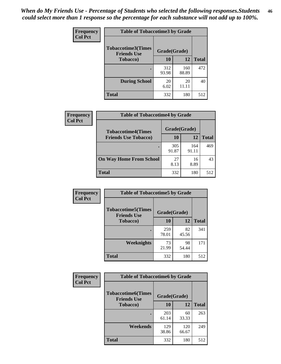*When do My Friends Use - Percentage of Students who selected the following responses.Students could select more than 1 response so the percentage for each substance will not add up to 100%.* **46**

| <b>Frequency</b> | <b>Table of Tobaccotime3 by Grade</b>           |              |              |              |
|------------------|-------------------------------------------------|--------------|--------------|--------------|
| <b>Col Pct</b>   | <b>Tobaccotime3(Times</b><br><b>Friends Use</b> | Grade(Grade) |              |              |
|                  | <b>Tobacco</b> )                                | 10           | 12           | <b>Total</b> |
|                  |                                                 | 312<br>93.98 | 160<br>88.89 | 472          |
|                  | <b>During School</b>                            | 20<br>6.02   | 20<br>11.11  | 40           |
|                  | <b>Total</b>                                    | 332          | 180          | 512          |

| <b>Frequency</b><br><b>Col Pct</b> | <b>Table of Tobaccotime4 by Grade</b> |              |              |              |  |
|------------------------------------|---------------------------------------|--------------|--------------|--------------|--|
|                                    | <b>Tobaccotime4(Times</b>             | Grade(Grade) |              |              |  |
|                                    | <b>Friends Use Tobacco)</b>           | 10           | 12           | <b>Total</b> |  |
|                                    |                                       | 305<br>91.87 | 164<br>91.11 | 469          |  |
|                                    | <b>On Way Home From School</b>        | 27<br>8.13   | 16<br>8.89   | 43           |  |
|                                    | Total                                 | 332          | 180          | 512          |  |

| Frequency      | <b>Table of Tobaccotime5 by Grade</b>           |              |             |              |
|----------------|-------------------------------------------------|--------------|-------------|--------------|
| <b>Col Pct</b> | <b>Tobaccotime5(Times</b><br><b>Friends Use</b> | Grade(Grade) |             |              |
|                | <b>Tobacco</b> )                                | 10           | 12          | <b>Total</b> |
|                |                                                 | 259<br>78.01 | 82<br>45.56 | 341          |
|                | Weeknights                                      | 73<br>21.99  | 98<br>54.44 | 171          |
|                | <b>Total</b>                                    | 332          | 180         | 512          |

| Frequency      | <b>Table of Tobaccotime6 by Grade</b>           |              |              |              |
|----------------|-------------------------------------------------|--------------|--------------|--------------|
| <b>Col Pct</b> | <b>Tobaccotime6(Times</b><br><b>Friends Use</b> | Grade(Grade) |              |              |
|                | <b>Tobacco</b> )                                | 10           | 12           | <b>Total</b> |
|                | ٠                                               | 203<br>61.14 | 60<br>33.33  | 263          |
|                | Weekends                                        | 129<br>38.86 | 120<br>66.67 | 249          |
|                | <b>Total</b>                                    | 332          | 180          | 512          |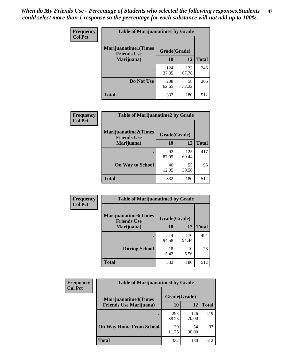| Frequency      | <b>Table of Marijuanatime1 by Grade</b>           |              |              |              |  |
|----------------|---------------------------------------------------|--------------|--------------|--------------|--|
| <b>Col Pct</b> | <b>Marijuanatime1(Times</b><br><b>Friends Use</b> | Grade(Grade) |              |              |  |
|                | Marijuana)                                        | 10           | 12           | <b>Total</b> |  |
|                |                                                   | 124<br>37.35 | 122<br>67.78 | 246          |  |
|                | Do Not Use                                        | 208<br>62.65 | 58<br>32.22  | 266          |  |
|                | <b>Total</b>                                      | 332          | 180          | 512          |  |

| <b>Frequency</b> | <b>Table of Marijuanatime2 by Grade</b>           |              |              |              |  |
|------------------|---------------------------------------------------|--------------|--------------|--------------|--|
| <b>Col Pct</b>   | <b>Marijuanatime2(Times</b><br><b>Friends Use</b> | Grade(Grade) |              |              |  |
|                  | Marijuana)                                        | 10           | 12           | <b>Total</b> |  |
|                  | ٠                                                 | 292<br>87.95 | 125<br>69.44 | 417          |  |
|                  | <b>On Way to School</b>                           | 40<br>12.05  | 55<br>30.56  | 95           |  |
|                  | <b>Total</b>                                      | 332          | 180          | 512          |  |

| Frequency      | <b>Table of Marijuanatime3 by Grade</b>    |              |              |              |
|----------------|--------------------------------------------|--------------|--------------|--------------|
| <b>Col Pct</b> | Marijuanatime3(Times<br><b>Friends Use</b> | Grade(Grade) |              |              |
|                | Marijuana)                                 | 10           | 12           | <b>Total</b> |
|                |                                            | 314<br>94.58 | 170<br>94.44 | 484          |
|                | <b>During School</b>                       | 18<br>5.42   | 10<br>5.56   | 28           |
|                | <b>Total</b>                               | 332          | 180          | 512          |

| <b>Frequency</b> | <b>Table of Marijuanatime4 by Grade</b>                        |              |              |              |
|------------------|----------------------------------------------------------------|--------------|--------------|--------------|
| <b>Col Pct</b>   | <b>Marijuanatime4</b> (Times<br><b>Friends Use Marijuana</b> ) | Grade(Grade) |              |              |
|                  |                                                                | 10           | 12           | <b>Total</b> |
|                  |                                                                | 293<br>88.25 | 126<br>70.00 | 419          |
|                  | <b>On Way Home From School</b>                                 | 39<br>11.75  | 54<br>30.00  | 93           |
|                  | <b>Total</b>                                                   | 332          | 180          | 512          |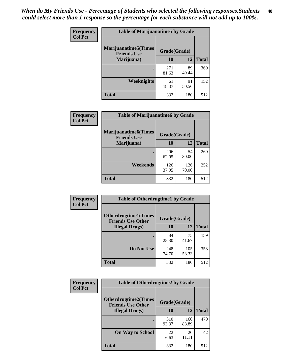| Frequency      | <b>Table of Marijuanatime5 by Grade</b>            |              |             |              |  |
|----------------|----------------------------------------------------|--------------|-------------|--------------|--|
| <b>Col Pct</b> | <b>Marijuanatime5</b> (Times<br><b>Friends Use</b> | Grade(Grade) |             |              |  |
|                | Marijuana)                                         | 10           | 12          | <b>Total</b> |  |
|                |                                                    | 271<br>81.63 | 89<br>49.44 | 360          |  |
|                | Weeknights                                         | 61<br>18.37  | 91<br>50.56 | 152          |  |
|                | <b>Total</b>                                       | 332          | 180         | 512          |  |

| <b>Frequency</b> | <b>Table of Marijuanatime6 by Grade</b>            |              |              |              |
|------------------|----------------------------------------------------|--------------|--------------|--------------|
| <b>Col Pct</b>   | <b>Marijuanatime6</b> (Times<br><b>Friends Use</b> | Grade(Grade) |              |              |
|                  | Marijuana)                                         | 10           | 12           | <b>Total</b> |
|                  |                                                    | 206<br>62.05 | 54<br>30.00  | 260          |
|                  | Weekends                                           | 126<br>37.95 | 126<br>70.00 | 252          |
|                  | <b>Total</b>                                       | 332          | 180          | 512          |

| <b>Frequency</b> | <b>Table of Otherdrugtime1 by Grade</b>                  |              |              |              |  |
|------------------|----------------------------------------------------------|--------------|--------------|--------------|--|
| <b>Col Pct</b>   | <b>Otherdrugtime1</b> (Times<br><b>Friends Use Other</b> | Grade(Grade) |              |              |  |
|                  | <b>Illegal Drugs</b> )                                   | 10           | 12           | <b>Total</b> |  |
|                  |                                                          | 84<br>25.30  | 75<br>41.67  | 159          |  |
|                  | Do Not Use                                               | 248<br>74.70 | 105<br>58.33 | 353          |  |
|                  | Total                                                    | 332          | 180          | 512          |  |

| <b>Frequency</b> | <b>Table of Otherdrugtime2 by Grade</b>                 |              |              |              |
|------------------|---------------------------------------------------------|--------------|--------------|--------------|
| <b>Col Pct</b>   | <b>Otherdrugtime2(Times</b><br><b>Friends Use Other</b> | Grade(Grade) |              |              |
|                  | <b>Illegal Drugs</b> )                                  | 10           | 12           | <b>Total</b> |
|                  |                                                         | 310<br>93.37 | 160<br>88.89 | 470          |
|                  | <b>On Way to School</b>                                 | 22<br>6.63   | 20<br>11.11  | 42           |
|                  | Total                                                   | 332          | 180          | 512          |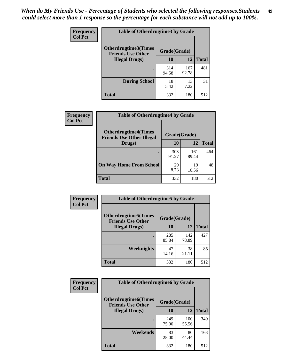| <b>Frequency</b> | <b>Table of Otherdrugtime3 by Grade</b>          |              |              |              |
|------------------|--------------------------------------------------|--------------|--------------|--------------|
| <b>Col Pct</b>   | Otherdrugtime3(Times<br><b>Friends Use Other</b> | Grade(Grade) |              |              |
|                  | <b>Illegal Drugs</b> )                           | 10           | 12           | <b>Total</b> |
|                  |                                                  | 314<br>94.58 | 167<br>92.78 | 481          |
|                  | <b>During School</b>                             | 18<br>5.42   | 13<br>7.22   | 31           |
|                  | <b>Total</b>                                     | 332          | 180          | 512          |

| <b>Frequency</b> | <b>Table of Otherdrugtime4 by Grade</b>                         |              |              |              |
|------------------|-----------------------------------------------------------------|--------------|--------------|--------------|
| <b>Col Pct</b>   | <b>Otherdrugtime4(Times</b><br><b>Friends Use Other Illegal</b> | Grade(Grade) |              |              |
|                  | Drugs)                                                          | 10           | 12           | <b>Total</b> |
|                  |                                                                 | 303<br>91.27 | 161<br>89.44 | 464          |
|                  | <b>On Way Home From School</b>                                  | 29<br>8.73   | 19<br>10.56  | 48           |
|                  | <b>Total</b>                                                    | 332          | 180          | 512          |

| <b>Frequency</b><br><b>Col Pct</b> | <b>Table of Otherdrugtime5 by Grade</b>                  |              |              |              |  |  |  |
|------------------------------------|----------------------------------------------------------|--------------|--------------|--------------|--|--|--|
|                                    | <b>Otherdrugtime5</b> (Times<br><b>Friends Use Other</b> | Grade(Grade) |              |              |  |  |  |
|                                    | <b>Illegal Drugs</b> )                                   | 10           | 12           | <b>Total</b> |  |  |  |
|                                    |                                                          | 285<br>85.84 | 142<br>78.89 | 427          |  |  |  |
|                                    | <b>Weeknights</b>                                        | 47<br>14.16  | 38<br>21.11  | 85           |  |  |  |
|                                    | Total                                                    | 332          | 180          | 512          |  |  |  |

| Frequency<br><b>Col Pct</b> | <b>Table of Otherdrugtime6 by Grade</b>                                 |              |              |              |  |  |
|-----------------------------|-------------------------------------------------------------------------|--------------|--------------|--------------|--|--|
|                             | <b>Otherdrugtime6(Times</b><br>Grade(Grade)<br><b>Friends Use Other</b> |              |              |              |  |  |
|                             | <b>Illegal Drugs</b> )                                                  | 10           | 12           | <b>Total</b> |  |  |
|                             |                                                                         | 249<br>75.00 | 100<br>55.56 | 349          |  |  |
|                             | Weekends                                                                | 83<br>25.00  | 80<br>44.44  | 163          |  |  |
|                             | <b>Total</b>                                                            | 332          | 180          | 512          |  |  |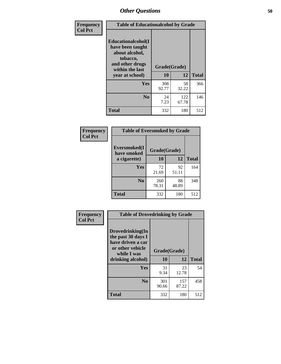| Frequency      | <b>Table of Educationalcohol by Grade</b>                                                                  |              |              |              |  |  |  |
|----------------|------------------------------------------------------------------------------------------------------------|--------------|--------------|--------------|--|--|--|
| <b>Col Pct</b> | Educationalcohol(I<br>have been taught<br>about alcohol,<br>tobacco,<br>and other drugs<br>within the last | Grade(Grade) |              |              |  |  |  |
|                | year at school)                                                                                            | 10           | 12           | <b>Total</b> |  |  |  |
|                | Yes                                                                                                        | 308<br>92.77 | 58<br>32.22  | 366          |  |  |  |
|                | N <sub>0</sub>                                                                                             | 24<br>7.23   | 122<br>67.78 | 146          |  |  |  |
|                | <b>Total</b>                                                                                               | 332          | 180          | 512          |  |  |  |

| Frequency      | <b>Table of Eversmoked by Grade</b> |              |             |              |  |  |  |
|----------------|-------------------------------------|--------------|-------------|--------------|--|--|--|
| <b>Col Pct</b> | Eversmoked(I<br>have smoked         |              |             |              |  |  |  |
|                | a cigarette)                        | 10           | 12          | <b>Total</b> |  |  |  |
|                | <b>Yes</b>                          | 72<br>21.69  | 92<br>51.11 | 164          |  |  |  |
|                | N <sub>0</sub>                      | 260<br>78.31 | 88<br>48.89 | 348          |  |  |  |
|                | <b>Total</b>                        | 332          | 180         | 512          |  |  |  |

| Frequency      | <b>Table of Drovedrinking by Grade</b>                                                                              |              |                    |     |  |  |  |
|----------------|---------------------------------------------------------------------------------------------------------------------|--------------|--------------------|-----|--|--|--|
| <b>Col Pct</b> | Drovedrinking(In<br>the past 30 days I<br>have driven a car<br>or other vehicle<br>while I was<br>drinking alcohol) | 10           | Grade(Grade)<br>12 |     |  |  |  |
|                | <b>Yes</b>                                                                                                          | 31<br>9.34   | 23<br>12.78        | 54  |  |  |  |
|                | N <sub>0</sub>                                                                                                      | 301<br>90.66 | 157<br>87.22       | 458 |  |  |  |
|                | <b>Total</b>                                                                                                        | 332          | 180                | 512 |  |  |  |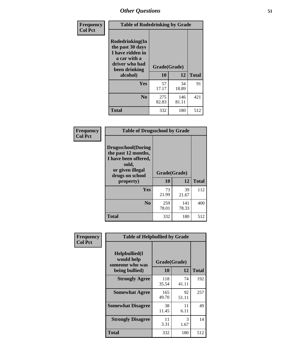| Frequency<br><b>Col Pct</b> | <b>Table of Rodedrinking by Grade</b>                                                                      |              |              |              |  |  |  |
|-----------------------------|------------------------------------------------------------------------------------------------------------|--------------|--------------|--------------|--|--|--|
|                             | Rodedrinking(In<br>the past 30 days<br>I have ridden in<br>a car with a<br>driver who had<br>been drinking | Grade(Grade) |              |              |  |  |  |
|                             | alcohol)                                                                                                   | 10           | 12           | <b>Total</b> |  |  |  |
|                             | <b>Yes</b>                                                                                                 | 57<br>17.17  | 34<br>18.89  | 91           |  |  |  |
|                             | N <sub>0</sub>                                                                                             | 275<br>82.83 | 146<br>81.11 | 421          |  |  |  |
|                             | <b>Total</b>                                                                                               | 332          | 180          | 512          |  |  |  |

#### **Frequency Col Pct**

| <b>Table of Drugsschool by Grade</b>                                                                                      |              |              |              |  |  |  |
|---------------------------------------------------------------------------------------------------------------------------|--------------|--------------|--------------|--|--|--|
| <b>Drugsschool</b> (During<br>the past 12 months,<br>I have been offered,<br>sold,<br>or given illegal<br>drugs on school | Grade(Grade) |              |              |  |  |  |
| property)                                                                                                                 | 10           | 12           | <b>Total</b> |  |  |  |
| Yes                                                                                                                       | 73<br>21.99  | 39<br>21.67  | 112          |  |  |  |
| N <sub>0</sub>                                                                                                            | 259<br>78.01 | 141<br>78.33 | 400          |  |  |  |
| <b>Total</b>                                                                                                              | 332          | 180          | 512          |  |  |  |

| Frequency      | <b>Table of Helpbullied by Grade</b>                 |              |             |              |  |  |  |  |
|----------------|------------------------------------------------------|--------------|-------------|--------------|--|--|--|--|
| <b>Col Pct</b> | $Helpb$ ullied $(I$<br>would help<br>someone who was | Grade(Grade) |             |              |  |  |  |  |
|                | being bullied)                                       | 10           | 12          | <b>Total</b> |  |  |  |  |
|                | <b>Strongly Agree</b>                                | 118<br>35.54 | 74<br>41.11 | 192          |  |  |  |  |
|                | <b>Somewhat Agree</b>                                | 165<br>49.70 | 92<br>51.11 | 257          |  |  |  |  |
|                | <b>Somewhat Disagree</b>                             | 38<br>11.45  | 11<br>6.11  | 49           |  |  |  |  |
|                | <b>Strongly Disagree</b>                             | 11<br>3.31   | 3<br>1.67   | 14           |  |  |  |  |
|                | <b>Total</b>                                         | 332          | 180         | 512          |  |  |  |  |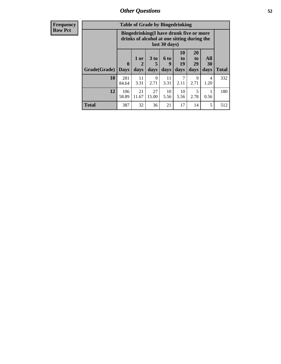| Frequency<br>Row Pct |
|----------------------|
|                      |

| <b>Table of Grade by Bingedrinking</b> |                            |                                                                                                         |                   |                   |                                           |                        |                   |              |
|----------------------------------------|----------------------------|---------------------------------------------------------------------------------------------------------|-------------------|-------------------|-------------------------------------------|------------------------|-------------------|--------------|
|                                        |                            | Bingedrinking(I have drunk five or more<br>drinks of alcohol at one sitting during the<br>last 30 days) |                   |                   |                                           |                        |                   |              |
| Grade(Grade)                           | $\mathbf 0$<br><b>Days</b> | 1 or<br>2<br>days                                                                                       | 3 to<br>5<br>days | 6 to<br>9<br>days | <b>10</b><br>t <sub>0</sub><br>19<br>days | 20<br>to<br>29<br>days | All<br>30<br>days | <b>Total</b> |
| 10                                     | 281<br>84.64               | 11<br>3.31                                                                                              | 9<br>2.71         | 11<br>3.31        | 2.11                                      | 9<br>2.71              | 4<br>1.20         | 332          |
| 12                                     | 106<br>58.89               | 21<br>11.67                                                                                             | 27<br>15.00       | 10<br>5.56        | 10<br>5.56                                | 5<br>2.78              | 0.56              | 180          |
| <b>Total</b>                           | 387                        | 32                                                                                                      | 36                | 21                | 17                                        | 14                     | 5                 | 512          |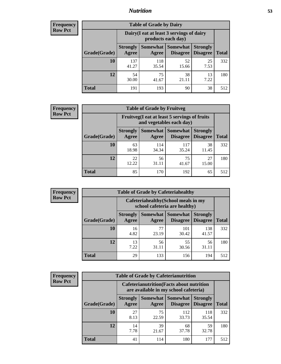## *Nutrition* **53**

| <b>Frequency</b> |
|------------------|
| <b>Row Pct</b>   |

| <b>Table of Grade by Dairy</b> |                                                                                                                                      |                                                                 |             |            |     |  |  |
|--------------------------------|--------------------------------------------------------------------------------------------------------------------------------------|-----------------------------------------------------------------|-------------|------------|-----|--|--|
|                                |                                                                                                                                      | Dairy (I eat at least 3 servings of dairy<br>products each day) |             |            |     |  |  |
| Grade(Grade)                   | Somewhat  <br><b>Somewhat</b><br><b>Strongly</b><br><b>Strongly</b><br><b>Disagree</b><br>Disagree<br><b>Total</b><br>Agree<br>Agree |                                                                 |             |            |     |  |  |
| <b>10</b>                      | 137<br>41.27                                                                                                                         | 118<br>35.54                                                    | 52<br>15.66 | 25<br>7.53 | 332 |  |  |
| 12                             | 54<br>30.00                                                                                                                          | 75<br>41.67                                                     | 38<br>21.11 | 13<br>7.22 | 180 |  |  |
| <b>Total</b>                   | 191                                                                                                                                  | 193                                                             | 90          | 38         | 512 |  |  |

| <b>Frequency</b> |  |
|------------------|--|
| <b>Row Pct</b>   |  |

| <b>Table of Grade by Fruitveg</b>                                        |                          |              |                                        |                                    |              |  |  |
|--------------------------------------------------------------------------|--------------------------|--------------|----------------------------------------|------------------------------------|--------------|--|--|
| Fruitveg(I eat at least 5 servings of fruits<br>and vegetables each day) |                          |              |                                        |                                    |              |  |  |
| Grade(Grade)                                                             | <b>Strongly</b><br>Agree | Agree        | Somewhat   Somewhat<br><b>Disagree</b> | <b>Strongly</b><br><b>Disagree</b> | <b>Total</b> |  |  |
| 10                                                                       | 63<br>18.98              | 114<br>34.34 | 117<br>35.24                           | 38<br>11.45                        | 332          |  |  |
| 12                                                                       | 22<br>12.22              | 56<br>31.11  | 75<br>41.67                            | 27<br>15.00                        | 180          |  |  |
| <b>Total</b>                                                             | 85                       | 170          | 192                                    | 65                                 | 512          |  |  |

| <b>Frequency</b> | <b>Table of Grade by Cafeteriahealthy</b> |                          |             |                                                                       |                                    |              |  |
|------------------|-------------------------------------------|--------------------------|-------------|-----------------------------------------------------------------------|------------------------------------|--------------|--|
| <b>Row Pct</b>   |                                           |                          |             | Cafeteriahealthy (School meals in my<br>school cafeteria are healthy) |                                    |              |  |
|                  | Grade(Grade)                              | <b>Strongly</b><br>Agree | Agree       | Somewhat   Somewhat<br><b>Disagree</b>                                | <b>Strongly</b><br><b>Disagree</b> | <b>Total</b> |  |
|                  | 10                                        | 16<br>4.82               | 77<br>23.19 | 101<br>30.42                                                          | 138<br>41.57                       | 332          |  |
|                  | 12                                        | 13<br>7.22               | 56<br>31.11 | 55<br>30.56                                                           | 56<br>31.11                        | 180          |  |
|                  | <b>Total</b>                              | 29                       | 133         | 156                                                                   | 194                                | 512          |  |

| <b>Frequency</b> |
|------------------|
| <b>Row Pct</b>   |

| <b>Table of Grade by Cafeterianutrition</b>                                               |                          |             |                                        |                                    |              |  |  |
|-------------------------------------------------------------------------------------------|--------------------------|-------------|----------------------------------------|------------------------------------|--------------|--|--|
| <b>Cafeterianutrition</b> (Facts about nutrition<br>are available in my school cafeteria) |                          |             |                                        |                                    |              |  |  |
| Grade(Grade)                                                                              | <b>Strongly</b><br>Agree | Agree       | Somewhat   Somewhat<br><b>Disagree</b> | <b>Strongly</b><br><b>Disagree</b> | <b>Total</b> |  |  |
| 10                                                                                        | 27<br>8.13               | 75<br>22.59 | 112<br>33.73                           | 118<br>35.54                       | 332          |  |  |
| 12                                                                                        | 14<br>7.78               | 39<br>21.67 | 68<br>37.78                            | 59<br>32.78                        | 180          |  |  |
| <b>Total</b>                                                                              | 41                       | 114         | 180                                    | 177                                | 512          |  |  |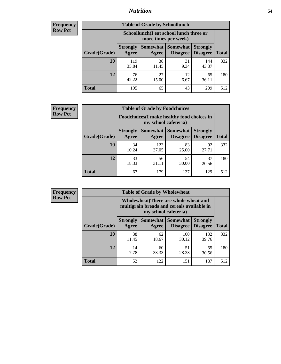## *Nutrition* **54**

| <b>Frequency</b> |
|------------------|
| <b>Row Pct</b>   |

| <b>Table of Grade by Schoollunch</b> |                                                                                                            |                                                                 |            |              |     |  |  |
|--------------------------------------|------------------------------------------------------------------------------------------------------------|-----------------------------------------------------------------|------------|--------------|-----|--|--|
|                                      |                                                                                                            | Schoollunch(I eat school lunch three or<br>more times per week) |            |              |     |  |  |
| Grade(Grade)                         | Somewhat   Somewhat<br><b>Strongly</b><br><b>Strongly</b><br><b>Disagree</b><br>Disagree<br>Agree<br>Agree |                                                                 |            |              |     |  |  |
| 10                                   | 119<br>35.84                                                                                               | 38<br>11.45                                                     | 31<br>9.34 | 144<br>43.37 | 332 |  |  |
| 12                                   | 76<br>42.22                                                                                                | 27<br>15.00                                                     | 12<br>6.67 | 65<br>36.11  | 180 |  |  |
| <b>Total</b>                         | 195                                                                                                        | 65                                                              | 43         | 209          | 512 |  |  |

| <b>Frequency</b> |  |
|------------------|--|
| <b>Row Pct</b>   |  |

| <b>Table of Grade by Foodchoices</b>                                       |                          |              |                                        |                                    |              |  |  |
|----------------------------------------------------------------------------|--------------------------|--------------|----------------------------------------|------------------------------------|--------------|--|--|
| <b>Foodchoices</b> (I make healthy food choices in<br>my school cafeteria) |                          |              |                                        |                                    |              |  |  |
| Grade(Grade)                                                               | <b>Strongly</b><br>Agree | Agree        | <b>Somewhat   Somewhat</b><br>Disagree | <b>Strongly</b><br><b>Disagree</b> | <b>Total</b> |  |  |
| 10                                                                         | 34<br>10.24              | 123<br>37.05 | 83<br>25.00                            | 92<br>27.71                        | 332          |  |  |
| 12                                                                         | 33<br>18.33              | 56<br>31.11  | 54<br>30.00                            | 37<br>20.56                        | 180          |  |  |
| <b>Total</b>                                                               | 67                       | 179          | 137                                    | 129                                | 512          |  |  |

| <b>Frequency</b> | <b>Table of Grade by Wholewheat</b> |                                                                                                             |                     |                             |                                    |              |  |  |
|------------------|-------------------------------------|-------------------------------------------------------------------------------------------------------------|---------------------|-----------------------------|------------------------------------|--------------|--|--|
| <b>Row Pct</b>   |                                     | Wholewheat (There are whole wheat and<br>multigrain breads and cereals available in<br>my school cafeteria) |                     |                             |                                    |              |  |  |
|                  | Grade(Grade)                        | <b>Strongly</b><br>Agree                                                                                    | Somewhat  <br>Agree | Somewhat<br><b>Disagree</b> | <b>Strongly</b><br><b>Disagree</b> | <b>Total</b> |  |  |
|                  | 10                                  | 38<br>11.45                                                                                                 | 62<br>18.67         | 100<br>30.12                | 132<br>39.76                       | 332          |  |  |
|                  | 12                                  | 14<br>7.78                                                                                                  | 60<br>33.33         | 51<br>28.33                 | 55<br>30.56                        | 180          |  |  |
|                  | <b>Total</b>                        | 52                                                                                                          | 122                 | 151                         | 187                                | 512          |  |  |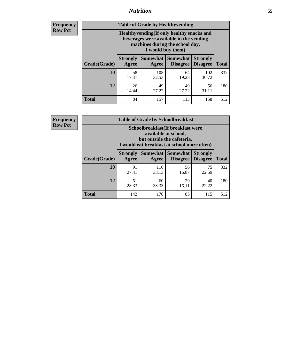## *Nutrition* **55**

**Frequency Row Pct**

| <b>Table of Grade by Healthyvending</b> |                                                                                                                                               |                          |                                    |                                    |              |  |  |  |
|-----------------------------------------|-----------------------------------------------------------------------------------------------------------------------------------------------|--------------------------|------------------------------------|------------------------------------|--------------|--|--|--|
|                                         | Healthyvending (If only healthy snacks and<br>beverages were available in the vending<br>machines during the school day,<br>I would buy them) |                          |                                    |                                    |              |  |  |  |
| Grade(Grade)                            | <b>Strongly</b><br>Agree                                                                                                                      | <b>Somewhat</b><br>Agree | <b>Somewhat</b><br><b>Disagree</b> | <b>Strongly</b><br><b>Disagree</b> | <b>Total</b> |  |  |  |
| 10                                      | 58<br>17.47                                                                                                                                   | 108<br>32.53             | 64<br>19.28                        | 102<br>30.72                       | 332          |  |  |  |
| 12                                      | 26<br>14.44                                                                                                                                   | 49<br>27.22              | 49<br>27.22                        | 56<br>31.11                        | 180          |  |  |  |
| <b>Total</b>                            | 84                                                                                                                                            | 157                      | 113                                | 158                                | 512          |  |  |  |

**Frequency Row Pct**

| <b>Table of Grade by Schoolbreakfast</b> |                                                                                                                                        |              |                                        |                                    |              |  |  |  |
|------------------------------------------|----------------------------------------------------------------------------------------------------------------------------------------|--------------|----------------------------------------|------------------------------------|--------------|--|--|--|
|                                          | Schoolbreakfast(If breakfast were<br>available at school,<br>but outside the cafeteria,<br>I would eat breakfast at school more often) |              |                                        |                                    |              |  |  |  |
| Grade(Grade)                             | <b>Strongly</b><br><b>Agree</b>                                                                                                        | Agree        | Somewhat   Somewhat<br><b>Disagree</b> | <b>Strongly</b><br><b>Disagree</b> | <b>Total</b> |  |  |  |
| 10                                       | 91<br>27.41                                                                                                                            | 110<br>33.13 | 56<br>16.87                            | 75<br>22.59                        | 332          |  |  |  |
| 12                                       | 51<br>28.33                                                                                                                            | 60<br>33.33  | 29<br>16.11                            | 40<br>22.22                        | 180          |  |  |  |
| <b>Total</b>                             | 142                                                                                                                                    | 170          | 85                                     | 115                                | 512          |  |  |  |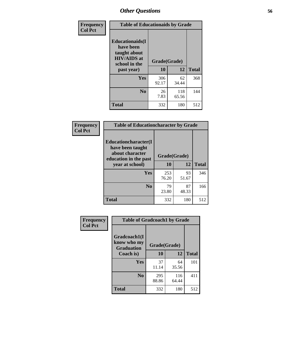| Frequency<br><b>Col Pct</b> | <b>Table of Educationaids by Grade</b>                                                                    |                    |              |              |
|-----------------------------|-----------------------------------------------------------------------------------------------------------|--------------------|--------------|--------------|
|                             | <b>Educationaids</b> (I<br>have been<br>taught about<br><b>HIV/AIDS</b> at<br>school in the<br>past year) | Grade(Grade)<br>10 | 12           | <b>Total</b> |
|                             | Yes                                                                                                       | 306<br>92.17       | 62<br>34.44  | 368          |
|                             | N <sub>0</sub>                                                                                            | 26<br>7.83         | 118<br>65.56 | 144          |
|                             | <b>Total</b>                                                                                              | 332                | 180          | 512          |

| Frequency      | <b>Table of Educationcharacter by Grade</b>                 |              |             |              |  |
|----------------|-------------------------------------------------------------|--------------|-------------|--------------|--|
| <b>Col Pct</b> | Educationcharacter(I<br>have been taught<br>about character |              |             |              |  |
|                | education in the past                                       | Grade(Grade) |             |              |  |
|                | year at school)                                             | 10           | 12          | <b>Total</b> |  |
|                | Yes                                                         | 253<br>76.20 | 93<br>51.67 | 346          |  |
|                | N <sub>0</sub>                                              | 79<br>23.80  | 87<br>48.33 | 166          |  |
|                | <b>Total</b>                                                | 332          | 180         | 512          |  |

| Frequency      | <b>Table of Gradcoach1 by Grade</b>              |              |              |              |
|----------------|--------------------------------------------------|--------------|--------------|--------------|
| <b>Col Pct</b> | Gradcoach1(I<br>know who my<br><b>Graduation</b> | Grade(Grade) |              |              |
|                | Coach is)                                        | 10           | 12           | <b>Total</b> |
|                | Yes                                              | 37<br>11.14  | 64<br>35.56  | 101          |
|                | N <sub>0</sub>                                   | 295<br>88.86 | 116<br>64.44 | 411          |
|                | <b>Total</b>                                     | 332          | 180          | 512          |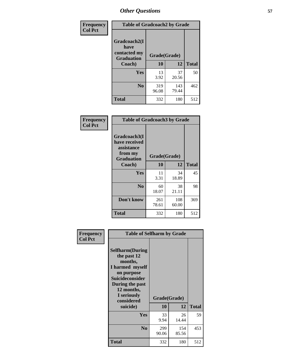| Frequency      | <b>Table of Gradcoach2 by Grade</b> |              |              |              |
|----------------|-------------------------------------|--------------|--------------|--------------|
| <b>Col Pct</b> | Gradcoach2(I<br>have                |              |              |              |
|                | contacted my<br><b>Graduation</b>   | Grade(Grade) |              |              |
|                | Coach)                              | 10           | 12           | <b>Total</b> |
|                | Yes                                 | 13<br>3.92   | 37<br>20.56  | 50           |
|                | N <sub>0</sub>                      | 319<br>96.08 | 143<br>79.44 | 462          |
|                | <b>Total</b>                        | 332          | 180          | 512          |

| Frequency<br><b>Col Pct</b> | <b>Table of Gradcoach3 by Grade</b>                                         |              |              |              |
|-----------------------------|-----------------------------------------------------------------------------|--------------|--------------|--------------|
|                             | Gradcoach3(I<br>have received<br>assistance<br>from my<br><b>Graduation</b> | Grade(Grade) |              |              |
|                             | Coach)                                                                      | 10           | 12           | <b>Total</b> |
|                             | Yes                                                                         | 11<br>3.31   | 34<br>18.89  | 45           |
|                             | N <sub>0</sub>                                                              | 60<br>18.07  | 38<br>21.11  | 98           |
|                             | Don't know                                                                  | 261<br>78.61 | 108<br>60.00 | 369          |
|                             | <b>Total</b>                                                                | 332          | 180          | 512          |

| Frequency<br><b>Col Pct</b> | <b>Table of Selfharm by Grade</b><br><b>Selfharm</b> (During<br>the past 12<br>months,<br>I harmed myself<br>on purpose<br><b>Suicideconsider</b><br>During the past |                    |              |              |
|-----------------------------|----------------------------------------------------------------------------------------------------------------------------------------------------------------------|--------------------|--------------|--------------|
|                             | 12 months,<br>I seriously<br>considered<br>suicide)                                                                                                                  | Grade(Grade)<br>10 | 12           | <b>Total</b> |
|                             | Yes                                                                                                                                                                  | 33<br>9.94         | 26<br>14.44  | 59           |
|                             | N <sub>0</sub>                                                                                                                                                       | 299<br>90.06       | 154<br>85.56 | 453          |
|                             | Total                                                                                                                                                                | 332                | 180          | 512          |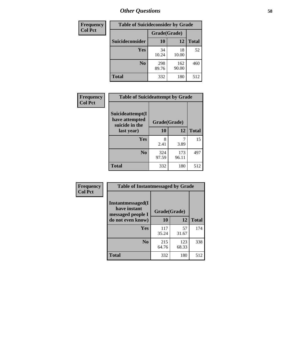| <b>Frequency</b> | <b>Table of Suicideconsider by Grade</b> |              |              |              |
|------------------|------------------------------------------|--------------|--------------|--------------|
| <b>Col Pct</b>   |                                          | Grade(Grade) |              |              |
|                  | <b>Suicideconsider</b>                   | <b>10</b>    | 12           | <b>Total</b> |
|                  | Yes                                      | 34<br>10.24  | 18<br>10.00  | 52           |
|                  | N <sub>0</sub>                           | 298<br>89.76 | 162<br>90.00 | 460          |
|                  | Total                                    | 332          | 180          | 512          |

| Frequency      | <b>Table of Suicideattempt by Grade</b>              |              |              |              |
|----------------|------------------------------------------------------|--------------|--------------|--------------|
| <b>Col Pct</b> | Suicideattempt(I<br>have attempted<br>suicide in the | Grade(Grade) |              |              |
|                | last year)                                           | 10           | 12           | <b>Total</b> |
|                | Yes                                                  | 8<br>2.41    | 3.89         | 15           |
|                | $\bf No$                                             | 324<br>97.59 | 173<br>96.11 | 497          |
|                | <b>Total</b>                                         | 332          | 180          | 512          |

| Frequency      | <b>Table of Instantmessaged by Grade</b>                       |              |              |              |
|----------------|----------------------------------------------------------------|--------------|--------------|--------------|
| <b>Col Pct</b> | <b>Instantmessaged</b> (I<br>have instant<br>messaged people I | Grade(Grade) |              |              |
|                | do not even know)                                              | 10           | 12           | <b>Total</b> |
|                | Yes                                                            | 117<br>35.24 | 57<br>31.67  | 174          |
|                | N <sub>0</sub>                                                 | 215<br>64.76 | 123<br>68.33 | 338          |
|                | <b>Total</b>                                                   | 332          | 180          | 512          |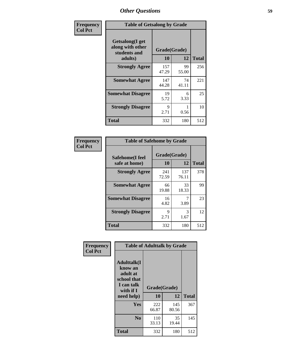| Frequency      | <b>Table of Getsalong by Grade</b>                          |              |             |              |
|----------------|-------------------------------------------------------------|--------------|-------------|--------------|
| <b>Col Pct</b> | <b>Getsalong</b> (I get<br>along with other<br>students and | Grade(Grade) |             |              |
|                | adults)                                                     | 10           | 12          | <b>Total</b> |
|                | <b>Strongly Agree</b>                                       | 157<br>47.29 | 99<br>55.00 | 256          |
|                | <b>Somewhat Agree</b>                                       | 147<br>44.28 | 74<br>41.11 | 221          |
|                | <b>Somewhat Disagree</b>                                    | 19<br>5.72   | 6<br>3.33   | 25           |
|                | <b>Strongly Disagree</b>                                    | 9<br>2.71    | 0.56        | 10           |
|                | <b>Total</b>                                                | 332          | 180         | 512          |

| <b>Frequency</b> |  |
|------------------|--|
| <b>Col Pct</b>   |  |

| <b>Table of Safehome by Grade</b> |                    |              |              |  |  |
|-----------------------------------|--------------------|--------------|--------------|--|--|
| Safehome(I feel<br>safe at home)  | Grade(Grade)<br>10 | 12           | <b>Total</b> |  |  |
| <b>Strongly Agree</b>             | 241<br>72.59       | 137<br>76.11 | 378          |  |  |
| <b>Somewhat Agree</b>             | 66<br>19.88        | 33<br>18.33  | 99           |  |  |
| <b>Somewhat Disagree</b>          | 16<br>4.82         | 3.89         | 23           |  |  |
| <b>Strongly Disagree</b>          | 9<br>2.71          | 3<br>1.67    | 12           |  |  |
| <b>Total</b>                      | 332                | 180          | 512          |  |  |

| Frequency      | <b>Table of Adulttalk by Grade</b>                                                                 |                    |              |              |  |  |  |  |
|----------------|----------------------------------------------------------------------------------------------------|--------------------|--------------|--------------|--|--|--|--|
| <b>Col Pct</b> | <b>Adulttalk</b> (I<br>know an<br>adult at<br>school that<br>I can talk<br>with if I<br>need help) | Grade(Grade)<br>10 | 12           | <b>Total</b> |  |  |  |  |
|                | <b>Yes</b>                                                                                         | 222<br>66.87       | 145<br>80.56 | 367          |  |  |  |  |
|                | N <sub>0</sub>                                                                                     | 110<br>33.13       | 35<br>19.44  | 145          |  |  |  |  |
|                | <b>Total</b>                                                                                       | 332                | 180          | 512          |  |  |  |  |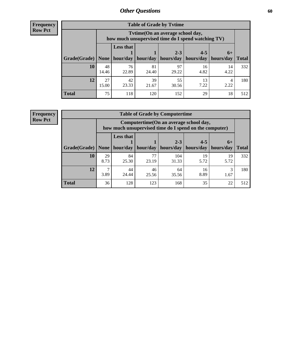**Frequency Row Pct**

| <b>Table of Grade by Tytime</b> |             |                                                                                         |             |             |                       |            |              |  |  |  |
|---------------------------------|-------------|-----------------------------------------------------------------------------------------|-------------|-------------|-----------------------|------------|--------------|--|--|--|
|                                 |             | Tvtime (On an average school day,<br>how much unsupervised time do I spend watching TV) |             |             |                       |            |              |  |  |  |
|                                 |             | <b>Less that</b><br>$2 - 3$<br>$4 - 5$<br>$6+$                                          |             |             |                       |            |              |  |  |  |
| Grade(Grade)   None             |             | hour/day                                                                                | hour/day    | hours/day   | hours/day   hours/day |            | <b>Total</b> |  |  |  |
| 10                              | 48<br>14.46 | 76<br>22.89                                                                             | 81<br>24.40 | 97<br>29.22 | 16<br>4.82            | 14<br>4.22 | 332          |  |  |  |
| 12                              | 27<br>15.00 | 42<br>23.33                                                                             | 39<br>21.67 | 55<br>30.56 | 13<br>7.22            | 2.22       | 180          |  |  |  |
| <b>Total</b>                    | 75          | 118                                                                                     | 120         | 152         | 29                    | 18         | 512          |  |  |  |

**Frequency Row Pct**

| <b>Table of Grade by Computertime</b> |            |                                                                                                              |             |              |            |            |                     |  |  |  |
|---------------------------------------|------------|--------------------------------------------------------------------------------------------------------------|-------------|--------------|------------|------------|---------------------|--|--|--|
|                                       |            | Computertime (On an average school day,<br>how much unsupervised time do I spend on the computer)            |             |              |            |            |                     |  |  |  |
| Grade(Grade)                          | None $ $   | <b>Less that</b><br>$4 - 5$<br>$2 - 3$<br>$6+$<br>hour/day   hour/day<br>hours/day<br>hours/day<br>hours/day |             |              |            |            |                     |  |  |  |
| 10                                    |            |                                                                                                              | 77          |              |            |            | <b>Total</b><br>332 |  |  |  |
|                                       | 29<br>8.73 | 84<br>25.30                                                                                                  | 23.19       | 104<br>31.33 | 19<br>5.72 | 19<br>5.72 |                     |  |  |  |
| 12                                    | ⇁<br>3.89  | 44<br>24.44                                                                                                  | 46<br>25.56 | 64<br>35.56  | 16<br>8.89 | 3<br>1.67  | 180                 |  |  |  |
| <b>Total</b>                          | 36         | 128                                                                                                          | 123         | 168          | 35         | 22         | 512                 |  |  |  |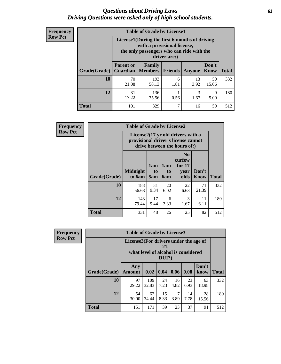#### *Questions about Driving Laws* **61** *Driving Questions were asked only of high school students.*

| <b>Frequency</b> |
|------------------|
| <b>Row Pct</b>   |

| <b>Table of Grade by License1</b> |                  |                                                                                                                                           |                |            |               |              |  |  |  |
|-----------------------------------|------------------|-------------------------------------------------------------------------------------------------------------------------------------------|----------------|------------|---------------|--------------|--|--|--|
|                                   |                  | License1(During the first 6 months of driving<br>with a provisional license,<br>the only passengers who can ride with the<br>driver are:) |                |            |               |              |  |  |  |
| Grade(Grade)                      | <b>Parent or</b> | Family<br><b>Guardian</b>   Members                                                                                                       | <b>Friends</b> | Anyone     | Don't<br>Know | <b>Total</b> |  |  |  |
| 10                                | 70<br>21.08      | 193<br>58.13                                                                                                                              | 6<br>1.81      | 13<br>3.92 | 50<br>15.06   | 332          |  |  |  |
| 12                                | 31<br>17.22      | 136<br>75.56                                                                                                                              | 0.56           | 3<br>1.67  | 9<br>5.00     | 180          |  |  |  |
| Total                             | 101              | 329                                                                                                                                       | 7              | 16         | 59            | 512          |  |  |  |

| <b>Frequency</b> | <b>Table of Grade by License2</b>                                                                        |                           |                              |                              |                                                      |                      |              |  |  |
|------------------|----------------------------------------------------------------------------------------------------------|---------------------------|------------------------------|------------------------------|------------------------------------------------------|----------------------|--------------|--|--|
| <b>Row Pct</b>   | License2(17 yr old drivers with a<br>provisional driver's license cannot<br>drive between the hours of:) |                           |                              |                              |                                                      |                      |              |  |  |
|                  | Grade(Grade)                                                                                             | <b>Midnight</b><br>to 6am | 1am<br>t <sub>0</sub><br>5am | 1am<br>t <sub>0</sub><br>6am | N <sub>0</sub><br>curfew<br>for $17$<br>year<br>olds | Don't<br><b>Know</b> | <b>Total</b> |  |  |
|                  | 10                                                                                                       | 188<br>56.63              | 31<br>9.34                   | 20<br>6.02                   | 22<br>6.63                                           | 71<br>21.39          | 332          |  |  |
|                  | 12                                                                                                       | 143<br>79.44              | 17<br>9.44                   | 6<br>3.33                    | 3<br>1.67                                            | 11<br>6.11           | 180          |  |  |
|                  | <b>Total</b>                                                                                             | 331                       | 48                           | 26                           | 25                                                   | 82                   | 512          |  |  |

| Frequency      | <b>Table of Grade by License3</b> |                                       |                                     |                 |            |            |               |              |  |
|----------------|-----------------------------------|---------------------------------------|-------------------------------------|-----------------|------------|------------|---------------|--------------|--|
| <b>Row Pct</b> |                                   | License3(For drivers under the age of | what level of alcohol is considered | 21,<br>$DUI$ ?) |            |            |               |              |  |
|                | Grade(Grade)                      | Any<br><b>Amount</b>                  | 0.02                                | $\vert$ 0.04    | 0.06       | 0.08       | Don't<br>know | <b>Total</b> |  |
|                | 10                                | 97<br>29.22                           | 109<br>32.83                        | 24<br>7.23      | 16<br>4.82 | 23<br>6.93 | 63<br>18.98   | 332          |  |
|                | 12                                | 54<br>30.00                           | 62<br>34.44                         | 15<br>8.33      | 7<br>3.89  | 14<br>7.78 | 28<br>15.56   | 180          |  |
|                | <b>Total</b>                      | 151                                   | 171                                 | 39              | 23         | 37         | 91            | 512          |  |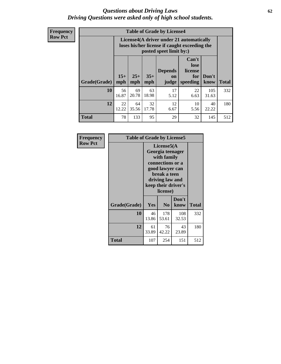#### *Questions about Driving Laws* **62** *Driving Questions were asked only of high school students.*

**Frequency Row Pct**

| <b>Table of Grade by License4</b> |              |                                                                                                                      |              |                                      |                                             |               |              |  |  |
|-----------------------------------|--------------|----------------------------------------------------------------------------------------------------------------------|--------------|--------------------------------------|---------------------------------------------|---------------|--------------|--|--|
|                                   |              | License4(A driver under 21 automatically<br>loses his/her license if caught exceeding the<br>posted speet limit by:) |              |                                      |                                             |               |              |  |  |
| Grade(Grade)                      | $15+$<br>mph | $25+$<br>mph                                                                                                         | $35+$<br>mph | <b>Depends</b><br><b>on</b><br>judge | Can't<br>lose<br>license<br>for<br>speeding | Don't<br>know | <b>Total</b> |  |  |
| 10                                | 56<br>16.87  | 69<br>20.78                                                                                                          | 63<br>18.98  | 17<br>5.12                           | 22<br>6.63                                  | 105<br>31.63  | 332          |  |  |
| 12                                | 22<br>12.22  | 64<br>35.56                                                                                                          | 32<br>17.78  | 12<br>6.67                           | 10<br>5.56                                  | 40<br>22.22   | 180          |  |  |
| <b>Total</b>                      | 78           | 133                                                                                                                  | 95           | 29                                   | 32                                          | 145           | 512          |  |  |

| Frequency      | <b>Table of Grade by License5</b> |             |                                                                                                                                                             |               |       |  |  |  |
|----------------|-----------------------------------|-------------|-------------------------------------------------------------------------------------------------------------------------------------------------------------|---------------|-------|--|--|--|
| <b>Row Pct</b> |                                   |             | License5(A)<br>Georgia teenager<br>with family<br>connections or a<br>good lawyer can<br>break a teen<br>driving law and<br>keep their driver's<br>license) |               |       |  |  |  |
|                | Grade(Grade)                      | <b>Yes</b>  | N <sub>0</sub>                                                                                                                                              | Don't<br>know | Total |  |  |  |
|                | 10                                | 46<br>13.86 | 178<br>53.61                                                                                                                                                | 108<br>32.53  | 332   |  |  |  |
|                | 12                                | 61<br>33.89 | 76<br>42.22                                                                                                                                                 | 43<br>23.89   | 180   |  |  |  |
|                | Total                             | 107         | 254                                                                                                                                                         | 151           | 512   |  |  |  |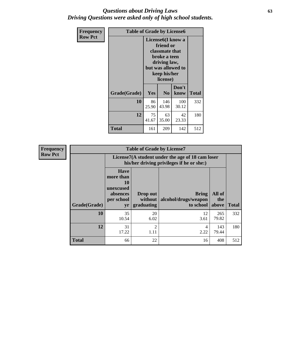#### *Questions about Driving Laws* **63** *Driving Questions were asked only of high school students.*

| <b>Frequency</b> | <b>Table of Grade by License6</b> |             |                                                                                                                                                 |               |              |  |  |  |
|------------------|-----------------------------------|-------------|-------------------------------------------------------------------------------------------------------------------------------------------------|---------------|--------------|--|--|--|
| <b>Row Pct</b>   |                                   |             | License <sub>6</sub> (I know a<br>friend or<br>classmate that<br>broke a teen<br>driving law,<br>but was allowed to<br>keep his/her<br>license) |               |              |  |  |  |
|                  | Grade(Grade)                      | Yes         | N <sub>0</sub>                                                                                                                                  | Don't<br>know | <b>Total</b> |  |  |  |
|                  | 10                                | 86<br>25.90 | 146<br>43.98                                                                                                                                    | 100<br>30.12  | 332          |  |  |  |
|                  | 12                                | 75<br>41.67 | 63<br>35.00                                                                                                                                     | 42<br>23.33   | 180          |  |  |  |
|                  | <b>Total</b>                      | 161         | 209                                                                                                                                             | 142           | 512          |  |  |  |

| <b>Frequency</b> |              | <b>Table of Grade by License7</b>                                           |                                                                                               |                                                   |                        |              |  |  |  |
|------------------|--------------|-----------------------------------------------------------------------------|-----------------------------------------------------------------------------------------------|---------------------------------------------------|------------------------|--------------|--|--|--|
| <b>Row Pct</b>   |              |                                                                             | License7(A student under the age of 18 cam loser<br>his/her driving privileges if he or she:) |                                                   |                        |              |  |  |  |
| Grade(Grade)     |              | <b>Have</b><br>more than<br>10<br>unexcused<br>absences<br>per school<br>yr | Drop out<br>without  <br>graduating                                                           | <b>Bring</b><br>alcohol/drugs/weapon<br>to school | All of<br>the<br>above | <b>Total</b> |  |  |  |
|                  | 10           | 35<br>10.54                                                                 | 20<br>6.02                                                                                    | 12<br>3.61                                        | 265<br>79.82           | 332          |  |  |  |
|                  | 12           | 31<br>17.22                                                                 | $\overline{2}$<br>1.11                                                                        | 4<br>2.22                                         | 143<br>79.44           | 180          |  |  |  |
|                  | <b>Total</b> | 66                                                                          | 22                                                                                            | 16                                                | 408                    | 512          |  |  |  |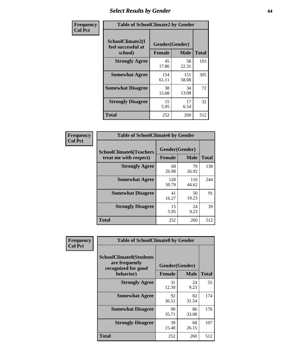# *Select Results by Gender* **64**

| Frequency      |                                                   | <b>Table of SchoolClimate2 by Gender</b> |              |              |  |  |  |  |
|----------------|---------------------------------------------------|------------------------------------------|--------------|--------------|--|--|--|--|
| <b>Col Pct</b> | SchoolClimate2(I<br>feel successful at<br>school) | Gender(Gender)<br><b>Female</b>          | <b>Male</b>  | <b>Total</b> |  |  |  |  |
|                | <b>Strongly Agree</b>                             | 45<br>17.86                              | 58<br>22.31  | 103          |  |  |  |  |
|                | <b>Somewhat Agree</b>                             | 154<br>61.11                             | 151<br>58.08 | 305          |  |  |  |  |
|                | <b>Somewhat Disagree</b>                          | 38<br>15.08                              | 34<br>13.08  | 72           |  |  |  |  |
|                | <b>Strongly Disagree</b>                          | 15<br>5.95                               | 17<br>6.54   | 32           |  |  |  |  |
|                | <b>Total</b>                                      | 252                                      | 260          | 512          |  |  |  |  |

| <b>Frequency</b> | <b>Table of SchoolClimate6 by Gender</b>                 |               |                               |              |  |
|------------------|----------------------------------------------------------|---------------|-------------------------------|--------------|--|
| <b>Col Pct</b>   | <b>SchoolClimate6(Teachers</b><br>treat me with respect) | <b>Female</b> | Gender(Gender)<br><b>Male</b> | <b>Total</b> |  |
|                  | <b>Strongly Agree</b>                                    | 68<br>26.98   | 70<br>26.92                   | 138          |  |
|                  | <b>Somewhat Agree</b>                                    | 128<br>50.79  | 116<br>44.62                  | 244          |  |
|                  | <b>Somewhat Disagree</b>                                 | 41<br>16.27   | 50<br>19.23                   | 91           |  |
|                  | <b>Strongly Disagree</b>                                 | 15<br>5.95    | 24<br>9.23                    | 39           |  |
|                  | <b>Total</b>                                             | 252           | 260                           | 512          |  |

| Frequency      | <b>Table of SchoolClimate8 by Gender</b>                                             |                                 |             |              |
|----------------|--------------------------------------------------------------------------------------|---------------------------------|-------------|--------------|
| <b>Col Pct</b> | <b>SchoolClimate8(Students</b><br>are frequently<br>recognized for good<br>behavior) | Gender(Gender)<br><b>Female</b> | <b>Male</b> | <b>Total</b> |
|                | <b>Strongly Agree</b>                                                                | 31<br>12.30                     | 24<br>9.23  | 55           |
|                | <b>Somewhat Agree</b>                                                                | 92<br>36.51                     | 82<br>31.54 | 174          |
|                | <b>Somewhat Disagree</b>                                                             | 90<br>35.71                     | 86<br>33.08 | 176          |
|                | <b>Strongly Disagree</b>                                                             | 39<br>15.48                     | 68<br>26.15 | 107          |
|                | <b>Total</b>                                                                         | 252                             | 260         | 512          |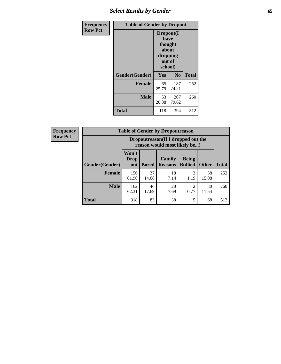# *Select Results by Gender* **65**

| Frequency      | <b>Table of Gender by Dropout</b> |                                                                        |                |              |
|----------------|-----------------------------------|------------------------------------------------------------------------|----------------|--------------|
| <b>Row Pct</b> |                                   | Dropout(I<br>have<br>thought<br>about<br>dropping<br>out of<br>school) |                |              |
|                | Gender(Gender)                    | <b>Yes</b>                                                             | N <sub>0</sub> | <b>Total</b> |
|                | <b>Female</b>                     | 65<br>25.79                                                            | 187<br>74.21   | 252          |
|                | <b>Male</b>                       | 53<br>20.38                                                            | 207<br>79.62   | 260          |
|                | <b>Total</b>                      | 118                                                                    | 394            | 512          |

| Frequency      | <b>Table of Gender by Dropoutreason</b> |                             |              |                                                                    |                                |              |              |
|----------------|-----------------------------------------|-----------------------------|--------------|--------------------------------------------------------------------|--------------------------------|--------------|--------------|
| <b>Row Pct</b> |                                         |                             |              | Dropoutreason(If I dropped out the<br>reason would most likely be) |                                |              |              |
|                | <b>Gender</b> (Gender)                  | Won't<br><b>Drop</b><br>out | <b>Bored</b> | Family<br><b>Reasons</b>                                           | <b>Being</b><br><b>Bullied</b> | <b>Other</b> | <b>Total</b> |
|                | Female                                  | 156<br>61.90                | 37<br>14.68  | 18<br>7.14                                                         | 3<br>1.19                      | 38<br>15.08  | 252          |
|                | <b>Male</b>                             | 162<br>62.31                | 46<br>17.69  | 20<br>7.69                                                         | $\overline{2}$<br>0.77         | 30<br>11.54  | 260          |
|                | <b>Total</b>                            | 318                         | 83           | 38                                                                 | 5                              | 68           | 512          |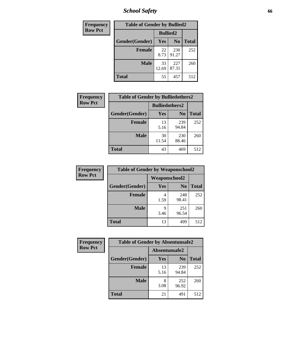*School Safety* **66**

| Frequency      | <b>Table of Gender by Bullied2</b> |                 |                |              |
|----------------|------------------------------------|-----------------|----------------|--------------|
| <b>Row Pct</b> |                                    | <b>Bullied2</b> |                |              |
|                | Gender(Gender)                     | Yes             | N <sub>0</sub> | <b>Total</b> |
|                | <b>Female</b>                      | 22<br>8.73      | 230<br>91.27   | 252          |
|                | <b>Male</b>                        | 33<br>12.69     | 227<br>87.31   | 260          |
|                | <b>Total</b>                       | 55              | 457            | 512          |

| Frequency      | <b>Table of Gender by Bulliedothers2</b> |                       |                |              |
|----------------|------------------------------------------|-----------------------|----------------|--------------|
| <b>Row Pct</b> |                                          | <b>Bulliedothers2</b> |                |              |
|                | Gender(Gender)                           | Yes                   | N <sub>0</sub> | <b>Total</b> |
|                | <b>Female</b>                            | 13<br>5.16            | 239<br>94.84   | 252          |
|                | <b>Male</b>                              | 30<br>11.54           | 230<br>88.46   | 260          |
|                | <b>Total</b>                             | 43                    | 469            | 512          |

| Frequency      | <b>Table of Gender by Weaponschool2</b> |                      |                |              |
|----------------|-----------------------------------------|----------------------|----------------|--------------|
| <b>Row Pct</b> |                                         | <b>Weaponschool2</b> |                |              |
|                | Gender(Gender)                          | Yes                  | N <sub>0</sub> | <b>Total</b> |
|                | Female                                  | 1.59                 | 248<br>98.41   | 252          |
|                | <b>Male</b>                             | q<br>3.46            | 251<br>96.54   | 260          |
|                | <b>Total</b>                            | 13                   | 499            | 512          |

| Frequency      | <b>Table of Gender by Absentunsafe2</b> |               |                |              |
|----------------|-----------------------------------------|---------------|----------------|--------------|
| <b>Row Pct</b> |                                         | Absentunsafe2 |                |              |
|                | Gender(Gender)                          | Yes           | N <sub>0</sub> | <b>Total</b> |
|                | <b>Female</b>                           | 13<br>5.16    | 239<br>94.84   | 252          |
|                | <b>Male</b>                             | 8<br>3.08     | 252<br>96.92   | 260          |
|                | <b>Total</b>                            | 21            | 491            | 512          |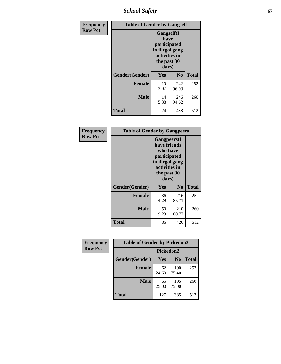*School Safety* **67**

| Frequency      | <b>Table of Gender by Gangself</b> |                                                                                                        |              |              |
|----------------|------------------------------------|--------------------------------------------------------------------------------------------------------|--------------|--------------|
| <b>Row Pct</b> |                                    | <b>Gangself</b> (I<br>have<br>participated<br>in illegal gang<br>activities in<br>the past 30<br>days) |              |              |
|                | Gender(Gender)                     | Yes                                                                                                    | No           | <b>Total</b> |
|                | <b>Female</b>                      | 10<br>3.97                                                                                             | 242<br>96.03 | 252          |
|                | <b>Male</b>                        | 14<br>5.38                                                                                             | 246<br>94.62 | 260          |
|                | <b>Total</b>                       | 24                                                                                                     | 488          | 512          |

| Frequency      | <b>Table of Gender by Gangpeers</b> |                                                                                                                             |                |              |
|----------------|-------------------------------------|-----------------------------------------------------------------------------------------------------------------------------|----------------|--------------|
| <b>Row Pct</b> |                                     | <b>Gangpeers</b> (I<br>have friends<br>who have<br>participated<br>in illegal gang<br>activities in<br>the past 30<br>days) |                |              |
|                | Gender(Gender)                      | Yes                                                                                                                         | N <sub>0</sub> | <b>Total</b> |
|                | <b>Female</b>                       | 36<br>14.29                                                                                                                 | 216<br>85.71   | 252          |
|                | <b>Male</b>                         | 50<br>19.23                                                                                                                 | 210<br>80.77   | 260          |
|                | Total                               | 86                                                                                                                          | 426            | 512          |

| Frequency      | <b>Table of Gender by Pickedon2</b> |             |                |              |
|----------------|-------------------------------------|-------------|----------------|--------------|
| <b>Row Pct</b> |                                     | Pickedon2   |                |              |
|                | Gender(Gender)                      | <b>Yes</b>  | N <sub>0</sub> | <b>Total</b> |
|                | <b>Female</b>                       | 62<br>24.60 | 190<br>75.40   | 252          |
|                | <b>Male</b>                         | 65<br>25.00 | 195<br>75.00   | 260          |
|                | <b>Total</b>                        | 127         | 385            | 512          |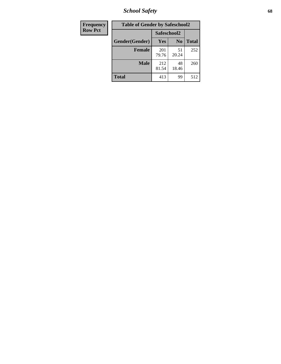*School Safety* **68**

| Frequency      | <b>Table of Gender by Safeschool2</b> |              |                |              |
|----------------|---------------------------------------|--------------|----------------|--------------|
| <b>Row Pct</b> |                                       | Safeschool2  |                |              |
|                | Gender(Gender)                        | <b>Yes</b>   | N <sub>0</sub> | <b>Total</b> |
|                | <b>Female</b>                         | 201<br>79.76 | 51<br>20.24    | 252          |
|                | <b>Male</b>                           | 212<br>81.54 | 48<br>18.46    | 260          |
|                | <b>Total</b>                          | 413          | 99             | 512          |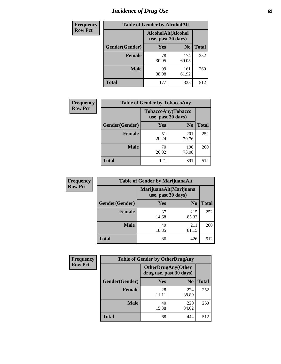# *Incidence of Drug Use* 69

| <b>Frequency</b> | <b>Table of Gender by AlcoholAlt</b> |                                          |                |              |
|------------------|--------------------------------------|------------------------------------------|----------------|--------------|
| <b>Row Pct</b>   |                                      | AlcoholAlt(Alcohol<br>use, past 30 days) |                |              |
|                  | Gender(Gender)                       | Yes                                      | N <sub>0</sub> | <b>Total</b> |
|                  | <b>Female</b>                        | 78<br>30.95                              | 174<br>69.05   | 252          |
|                  | <b>Male</b>                          | 99<br>38.08                              | 161<br>61.92   | 260          |
|                  | <b>Total</b>                         | 177                                      | 335            | 512          |

| Frequency      | <b>Table of Gender by TobaccoAny</b> |                                          |                |              |
|----------------|--------------------------------------|------------------------------------------|----------------|--------------|
| <b>Row Pct</b> |                                      | TobaccoAny(Tobacco<br>use, past 30 days) |                |              |
|                | Gender(Gender)                       | Yes                                      | N <sub>0</sub> | <b>Total</b> |
|                | <b>Female</b>                        | 51<br>20.24                              | 201<br>79.76   | 252          |
|                | <b>Male</b>                          | 70<br>26.92                              | 190<br>73.08   | 260          |
|                | Total                                | 121                                      | 391            | 512          |

| <b>Frequency</b> |                | <b>Table of Gender by MarijuanaAlt</b> |                                              |              |
|------------------|----------------|----------------------------------------|----------------------------------------------|--------------|
| <b>Row Pct</b>   |                |                                        | MarijuanaAlt(Marijuana<br>use, past 30 days) |              |
|                  | Gender(Gender) | <b>Yes</b>                             | N <sub>0</sub>                               | <b>Total</b> |
|                  | <b>Female</b>  | 37<br>14.68                            | 215<br>85.32                                 | 252          |
|                  | <b>Male</b>    | 49<br>18.85                            | 211<br>81.15                                 | 260          |
|                  | <b>Total</b>   | 86                                     | 426                                          | 512          |

| <b>Frequency</b> | <b>Table of Gender by OtherDrugAny</b> |                                                       |                |              |  |
|------------------|----------------------------------------|-------------------------------------------------------|----------------|--------------|--|
| <b>Row Pct</b>   |                                        | <b>OtherDrugAny</b> (Other<br>drug use, past 30 days) |                |              |  |
|                  | Gender(Gender)                         | <b>Yes</b>                                            | N <sub>0</sub> | <b>Total</b> |  |
|                  | <b>Female</b>                          | 28<br>11.11                                           | 224<br>88.89   | 252          |  |
|                  | <b>Male</b>                            | 40<br>15.38                                           | 220<br>84.62   | 260          |  |
|                  | <b>Total</b>                           | 68                                                    | 444            | 512          |  |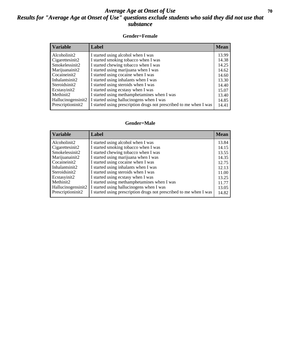### *Average Age at Onset of Use* 70 *Results for "Average Age at Onset of Use" questions exclude students who said they did not use that substance*

#### **Gender=Female**

#### **Gender=Male**

| <b>Variable</b>    | Label                                                              | <b>Mean</b> |
|--------------------|--------------------------------------------------------------------|-------------|
| Alcoholinit2       | I started using alcohol when I was                                 | 13.84       |
| Cigarettesinit2    | I started smoking tobacco when I was                               | 14.15       |
| Smokelessinit2     | I started chewing tobacco when I was                               | 13.55       |
| Marijuanainit2     | I started using marijuana when I was                               | 14.35       |
| Cocaineinit2       | I started using cocaine when I was                                 | 12.75       |
| Inhalantsinit2     | I started using inhalants when I was                               | 12.13       |
| Steroidsinit2      | I started using steroids when I was                                | 11.00       |
| Ecstasyinit2       | I started using ecstasy when I was                                 | 13.25       |
| Methinit2          | I started using methamphetamines when I was                        | 11.77       |
| Hallucinogensinit2 | I started using hallucinogens when I was                           | 13.05       |
| Prescriptioninit2  | I started using prescription drugs not prescribed to me when I was | 14.82       |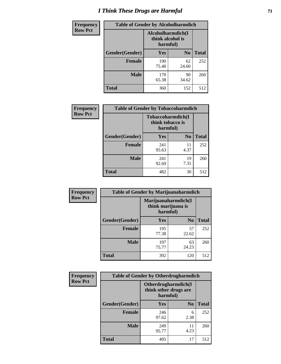# *I Think These Drugs are Harmful* **71**

| <b>Frequency</b> | <b>Table of Gender by Alcoholharmdich</b> |                                                   |                |              |  |
|------------------|-------------------------------------------|---------------------------------------------------|----------------|--------------|--|
| <b>Row Pct</b>   |                                           | Alcoholharmdich(I<br>think alcohol is<br>harmful) |                |              |  |
|                  | Gender(Gender)                            | Yes                                               | N <sub>0</sub> | <b>Total</b> |  |
|                  | <b>Female</b>                             | 190<br>75.40                                      | 62<br>24.60    | 252          |  |
|                  | <b>Male</b>                               | 170<br>65.38                                      | 90<br>34.62    | 260          |  |
|                  | <b>Total</b>                              | 360                                               | 152            | 512          |  |

| Frequency      | <b>Table of Gender by Tobaccoharmdich</b> |                  |                               |              |  |
|----------------|-------------------------------------------|------------------|-------------------------------|--------------|--|
| <b>Row Pct</b> |                                           | think tobacco is | Tobaccoharmdich(I<br>harmful) |              |  |
|                | Gender(Gender)                            | Yes              | N <sub>0</sub>                | <b>Total</b> |  |
|                | <b>Female</b>                             | 241<br>95.63     | 11<br>4.37                    | 252          |  |
|                | <b>Male</b>                               | 241<br>92.69     | 19<br>7.31                    | 260          |  |
|                | <b>Total</b>                              | 482              | 30                            | 512          |  |

| Frequency      | <b>Table of Gender by Marijuanaharmdich</b> |                                |                     |              |
|----------------|---------------------------------------------|--------------------------------|---------------------|--------------|
| <b>Row Pct</b> |                                             | think marijuana is<br>harmful) | Marijuanaharmdich(I |              |
|                | Gender(Gender)                              | <b>Yes</b>                     | N <sub>0</sub>      | <b>Total</b> |
|                | <b>Female</b>                               | 195<br>77.38                   | 57<br>22.62         | 252          |
|                | <b>Male</b>                                 | 197<br>75.77                   | 63<br>24.23         | 260          |
|                | <b>Total</b>                                | 392                            | 120                 | 512          |

| Frequency      | <b>Table of Gender by Otherdrugharmdich</b> |                                                          |                |              |  |
|----------------|---------------------------------------------|----------------------------------------------------------|----------------|--------------|--|
| <b>Row Pct</b> |                                             | Otherdrugharmdich(I<br>think other drugs are<br>harmful) |                |              |  |
|                | Gender(Gender)                              | <b>Yes</b>                                               | N <sub>0</sub> | <b>Total</b> |  |
|                | <b>Female</b>                               | 246<br>97.62                                             | 6<br>2.38      | 252          |  |
|                | <b>Male</b>                                 | 249<br>95.77                                             | 11<br>4.23     | 260          |  |
|                | <b>Total</b>                                | 495                                                      | 17             | 512          |  |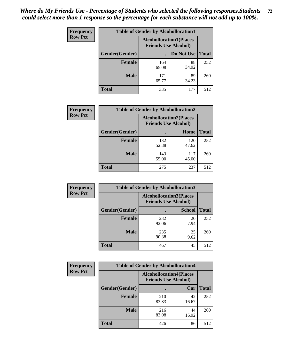| <b>Frequency</b> | <b>Table of Gender by Alcohollocation1</b> |                                                               |             |              |  |
|------------------|--------------------------------------------|---------------------------------------------------------------|-------------|--------------|--|
| <b>Row Pct</b>   |                                            | <b>Alcohollocation1(Places</b><br><b>Friends Use Alcohol)</b> |             |              |  |
|                  | Gender(Gender)                             |                                                               | Do Not Use  | <b>Total</b> |  |
|                  | <b>Female</b>                              | 164<br>65.08                                                  | 88<br>34.92 | 252          |  |
|                  | <b>Male</b>                                | 171<br>65.77                                                  | 89<br>34.23 | 260          |  |
|                  | <b>Total</b>                               | 335                                                           | 177         | 512          |  |

| <b>Frequency</b> | <b>Table of Gender by Alcohollocation2</b> |                                                               |              |              |  |
|------------------|--------------------------------------------|---------------------------------------------------------------|--------------|--------------|--|
| <b>Row Pct</b>   |                                            | <b>Alcohollocation2(Places</b><br><b>Friends Use Alcohol)</b> |              |              |  |
|                  | Gender(Gender)                             |                                                               | Home         | <b>Total</b> |  |
|                  | <b>Female</b>                              | 132<br>52.38                                                  | 120<br>47.62 | 252          |  |
|                  | <b>Male</b>                                | 143<br>55.00                                                  | 117<br>45.00 | 260          |  |
|                  | <b>Total</b>                               | 275                                                           | 237          | 512          |  |

| Frequency      | <b>Table of Gender by Alcohollocation3</b> |                                                               |               |              |
|----------------|--------------------------------------------|---------------------------------------------------------------|---------------|--------------|
| <b>Row Pct</b> |                                            | <b>Alcohollocation3(Places</b><br><b>Friends Use Alcohol)</b> |               |              |
|                | Gender(Gender)                             |                                                               | <b>School</b> | <b>Total</b> |
|                | <b>Female</b>                              | 232<br>92.06                                                  | 20<br>7.94    | 252          |
|                | <b>Male</b>                                | 235<br>90.38                                                  | 25<br>9.62    | 260          |
|                | <b>Total</b>                               | 467                                                           | 45            | 512          |

| Frequency      | <b>Table of Gender by Alcohollocation4</b> |                                                               |             |              |  |
|----------------|--------------------------------------------|---------------------------------------------------------------|-------------|--------------|--|
| <b>Row Pct</b> |                                            | <b>Alcohollocation4(Places</b><br><b>Friends Use Alcohol)</b> |             |              |  |
|                | Gender(Gender)                             |                                                               | Car         | <b>Total</b> |  |
|                | <b>Female</b>                              | 210<br>83.33                                                  | 42<br>16.67 | 252          |  |
|                | <b>Male</b>                                | 216<br>83.08                                                  | 44<br>16.92 | 260          |  |
|                | <b>Total</b>                               | 426                                                           | 86          | 512          |  |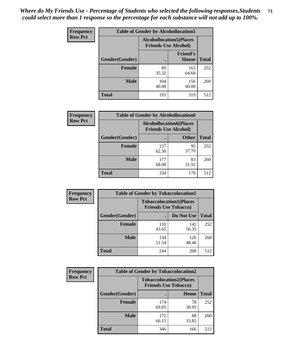| <b>Frequency</b> | <b>Table of Gender by Alcohollocation5</b> |                                                                |                                 |              |
|------------------|--------------------------------------------|----------------------------------------------------------------|---------------------------------|--------------|
| <b>Row Pct</b>   |                                            | <b>Alcohollocation5</b> (Places<br><b>Friends Use Alcohol)</b> |                                 |              |
|                  | Gender(Gender)                             | $\bullet$                                                      | <b>Friend's</b><br><b>House</b> | <b>Total</b> |
|                  | <b>Female</b>                              | 89<br>35.32                                                    | 163<br>64.68                    | 252          |
|                  | <b>Male</b>                                | 104<br>40.00                                                   | 156<br>60.00                    | 260          |
|                  | <b>Total</b>                               | 193                                                            | 319                             | 512          |

| Frequency      | <b>Table of Gender by Alcohollocation6</b> |                                                               |              |              |
|----------------|--------------------------------------------|---------------------------------------------------------------|--------------|--------------|
| <b>Row Pct</b> |                                            | <b>Alcohollocation6(Places</b><br><b>Friends Use Alcohol)</b> |              |              |
|                | <b>Gender</b> (Gender)                     |                                                               | <b>Other</b> | <b>Total</b> |
|                | <b>Female</b>                              | 157<br>62.30                                                  | 95<br>37.70  | 252          |
|                | <b>Male</b>                                | 177<br>68.08                                                  | 83<br>31.92  | 260          |
|                | <b>Total</b>                               | 334                                                           | 178          | 512          |

| Frequency      | <b>Table of Gender by Tobaccolocation1</b> |                                                               |              |              |  |
|----------------|--------------------------------------------|---------------------------------------------------------------|--------------|--------------|--|
| <b>Row Pct</b> |                                            | <b>Tobaccolocation1(Places</b><br><b>Friends Use Tobacco)</b> |              |              |  |
|                | <b>Gender</b> (Gender)                     |                                                               | Do Not Use   | <b>Total</b> |  |
|                | Female                                     | 110<br>43.65                                                  | 142<br>56.35 | 252          |  |
|                | <b>Male</b>                                | 134<br>51.54                                                  | 126<br>48.46 | 260          |  |
|                | <b>Total</b>                               | 244                                                           | 268          | 512          |  |

| <b>Frequency</b> | <b>Table of Gender by Tobaccolocation2</b> |                             |                                |              |
|------------------|--------------------------------------------|-----------------------------|--------------------------------|--------------|
| <b>Row Pct</b>   |                                            | <b>Friends Use Tobacco)</b> | <b>Tobaccolocation2(Places</b> |              |
|                  | Gender(Gender)                             |                             | Home                           | <b>Total</b> |
|                  | Female                                     | 174<br>69.05                | 78<br>30.95                    | 252          |
|                  | <b>Male</b>                                | 172<br>66.15                | 88<br>33.85                    | 260          |
|                  | <b>Total</b>                               | 346                         | 166                            | 512          |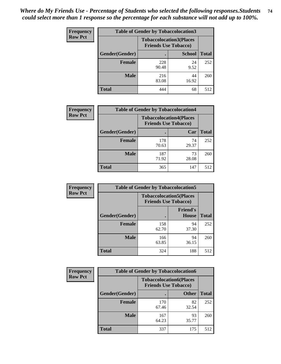| <b>Frequency</b> | <b>Table of Gender by Tobaccolocation3</b> |              |                                                               |              |
|------------------|--------------------------------------------|--------------|---------------------------------------------------------------|--------------|
| <b>Row Pct</b>   |                                            |              | <b>Tobaccolocation3(Places</b><br><b>Friends Use Tobacco)</b> |              |
|                  | Gender(Gender)                             |              | <b>School</b>                                                 | <b>Total</b> |
|                  | <b>Female</b>                              | 228<br>90.48 | 24<br>9.52                                                    | 252          |
|                  | <b>Male</b>                                | 216<br>83.08 | 44<br>16.92                                                   | 260          |
|                  | Total                                      | 444          | 68                                                            | 512          |

| <b>Frequency</b> | <b>Table of Gender by Tobaccolocation4</b> |                                                               |             |              |
|------------------|--------------------------------------------|---------------------------------------------------------------|-------------|--------------|
| <b>Row Pct</b>   |                                            | <b>Tobaccolocation4(Places</b><br><b>Friends Use Tobacco)</b> |             |              |
|                  | Gender(Gender)                             |                                                               | Car         | <b>Total</b> |
|                  | <b>Female</b>                              | 178<br>70.63                                                  | 74<br>29.37 | 252          |
|                  | <b>Male</b>                                | 187<br>71.92                                                  | 73<br>28.08 | 260          |
|                  | <b>Total</b>                               | 365                                                           | 147         | 512          |

| <b>Frequency</b> | <b>Table of Gender by Tobaccolocation5</b> |                                                               |                          |              |
|------------------|--------------------------------------------|---------------------------------------------------------------|--------------------------|--------------|
| <b>Row Pct</b>   |                                            | <b>Tobaccolocation5(Places</b><br><b>Friends Use Tobacco)</b> |                          |              |
|                  | Gender(Gender)                             |                                                               | <b>Friend's</b><br>House | <b>Total</b> |
|                  | <b>Female</b>                              | 158<br>62.70                                                  | 94<br>37.30              | 252          |
|                  | <b>Male</b>                                | 166<br>63.85                                                  | 94<br>36.15              | 260          |
|                  | <b>Total</b>                               | 324                                                           | 188                      | 512          |

| <b>Frequency</b> | <b>Table of Gender by Tobaccolocation6</b> |                                                               |              |              |
|------------------|--------------------------------------------|---------------------------------------------------------------|--------------|--------------|
| <b>Row Pct</b>   |                                            | <b>Tobaccolocation6(Places</b><br><b>Friends Use Tobacco)</b> |              |              |
|                  | Gender(Gender)                             |                                                               | <b>Other</b> | <b>Total</b> |
|                  | Female                                     | 170<br>67.46                                                  | 82<br>32.54  | 252          |
|                  | <b>Male</b>                                | 167<br>64.23                                                  | 93<br>35.77  | 260          |
|                  | <b>Total</b>                               | 337                                                           | 175          | 512          |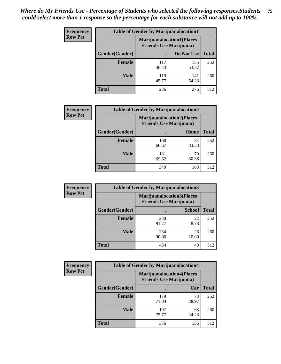| <b>Frequency</b> | <b>Table of Gender by Marijuanalocation1</b> |                                                                    |              |              |
|------------------|----------------------------------------------|--------------------------------------------------------------------|--------------|--------------|
| <b>Row Pct</b>   |                                              | <b>Marijuanalocation1(Places</b><br><b>Friends Use Marijuana</b> ) |              |              |
|                  | Gender(Gender)                               |                                                                    | Do Not Use   | <b>Total</b> |
|                  | <b>Female</b>                                | 117<br>46.43                                                       | 135<br>53.57 | 252          |
|                  | <b>Male</b>                                  | 119<br>45.77                                                       | 141<br>54.23 | 260          |
|                  | <b>Total</b>                                 | 236                                                                | 276          | 512          |

| <b>Frequency</b> | <b>Table of Gender by Marijuanalocation2</b> |                                                                    |             |              |  |
|------------------|----------------------------------------------|--------------------------------------------------------------------|-------------|--------------|--|
| <b>Row Pct</b>   |                                              | <b>Marijuanalocation2(Places</b><br><b>Friends Use Marijuana</b> ) |             |              |  |
|                  | Gender(Gender)                               |                                                                    | Home        | <b>Total</b> |  |
|                  | Female                                       | 168<br>66.67                                                       | 84<br>33.33 | 252          |  |
|                  | <b>Male</b>                                  | 181<br>69.62                                                       | 79<br>30.38 | 260          |  |
|                  | <b>Total</b>                                 | 349                                                                | 163         | 512          |  |

| Frequency      |                | <b>Table of Gender by Marijuanalocation3</b> |                                                                    |              |
|----------------|----------------|----------------------------------------------|--------------------------------------------------------------------|--------------|
| <b>Row Pct</b> |                |                                              | <b>Marijuanalocation3(Places</b><br><b>Friends Use Marijuana</b> ) |              |
|                | Gender(Gender) |                                              | <b>School</b>                                                      | <b>Total</b> |
|                | Female         | 230<br>91.27                                 | 22<br>8.73                                                         | 252          |
|                | <b>Male</b>    | 234<br>90.00                                 | 26<br>10.00                                                        | 260          |
|                | <b>Total</b>   | 464                                          | 48                                                                 | 512          |

| Frequency      | <b>Table of Gender by Marijuanalocation4</b> |                                |                                  |              |
|----------------|----------------------------------------------|--------------------------------|----------------------------------|--------------|
| <b>Row Pct</b> |                                              | <b>Friends Use Marijuana</b> ) | <b>Marijuanalocation4(Places</b> |              |
|                | Gender(Gender)                               |                                | Car                              | <b>Total</b> |
|                | <b>Female</b>                                | 179<br>71.03                   | 73<br>28.97                      | 252          |
|                | <b>Male</b>                                  | 197<br>75.77                   | 63<br>24.23                      | 260          |
|                | <b>Total</b>                                 | 376                            | 136                              | 512          |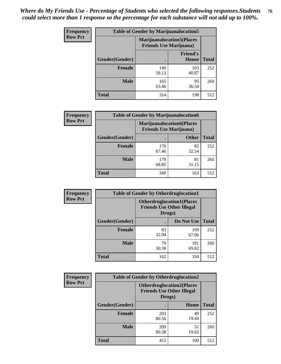| <b>Frequency</b> | <b>Table of Gender by Marijuanalocation5</b> |                                                                     |                          |              |
|------------------|----------------------------------------------|---------------------------------------------------------------------|--------------------------|--------------|
| <b>Row Pct</b>   |                                              | <b>Marijuanalocation5</b> (Places<br><b>Friends Use Marijuana</b> ) |                          |              |
|                  | Gender(Gender)                               |                                                                     | <b>Friend's</b><br>House | <b>Total</b> |
|                  | <b>Female</b>                                | 149<br>59.13                                                        | 103<br>40.87             | 252          |
|                  | <b>Male</b>                                  | 165<br>63.46                                                        | 95<br>36.54              | 260          |
|                  | <b>Total</b>                                 | 314                                                                 | 198                      | 512          |

| <b>Frequency</b> | <b>Table of Gender by Marijuanalocation6</b> |                                                                    |              |              |
|------------------|----------------------------------------------|--------------------------------------------------------------------|--------------|--------------|
| <b>Row Pct</b>   |                                              | <b>Marijuanalocation6(Places</b><br><b>Friends Use Marijuana</b> ) |              |              |
|                  | <b>Gender</b> (Gender)                       |                                                                    | <b>Other</b> | <b>Total</b> |
|                  | Female                                       | 170<br>67.46                                                       | 82<br>32.54  | 252          |
|                  | <b>Male</b>                                  | 179<br>68.85                                                       | 81<br>31.15  | 260          |
|                  | Total                                        | 349                                                                | 163          | 512          |

| Frequency      | <b>Table of Gender by Otherdruglocation1</b> |                                                                                |              |              |
|----------------|----------------------------------------------|--------------------------------------------------------------------------------|--------------|--------------|
| <b>Row Pct</b> |                                              | <b>Otherdruglocation1(Places</b><br><b>Friends Use Other Illegal</b><br>Drugs) |              |              |
|                | Gender(Gender)                               |                                                                                | Do Not Use   | <b>Total</b> |
|                | <b>Female</b>                                | 83<br>32.94                                                                    | 169<br>67.06 | 252          |
|                | <b>Male</b>                                  | 79<br>30.38                                                                    | 181<br>69.62 | 260          |
|                | <b>Total</b>                                 | 162                                                                            | 350          | 512          |

| <b>Frequency</b> | <b>Table of Gender by Otherdruglocation2</b> |                                            |                                  |              |
|------------------|----------------------------------------------|--------------------------------------------|----------------------------------|--------------|
| <b>Row Pct</b>   |                                              | <b>Friends Use Other Illegal</b><br>Drugs) | <b>Otherdruglocation2(Places</b> |              |
|                  | Gender(Gender)                               |                                            | Home                             | <b>Total</b> |
|                  | Female                                       | 203<br>80.56                               | 49<br>19.44                      | 252          |
|                  | <b>Male</b>                                  | 209<br>80.38                               | 51<br>19.62                      | 260          |
|                  | <b>Total</b>                                 | 412                                        | 100                              | 512          |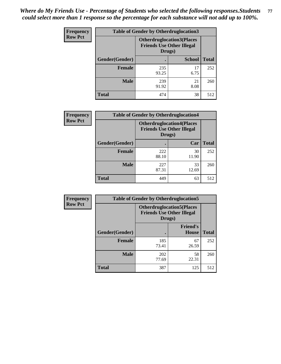| Frequency      | <b>Table of Gender by Otherdruglocation3</b> |                                                                                |               |              |
|----------------|----------------------------------------------|--------------------------------------------------------------------------------|---------------|--------------|
| <b>Row Pct</b> |                                              | <b>Otherdruglocation3(Places</b><br><b>Friends Use Other Illegal</b><br>Drugs) |               |              |
|                | Gender(Gender)                               |                                                                                | <b>School</b> | <b>Total</b> |
|                | <b>Female</b>                                | 235<br>93.25                                                                   | 17<br>6.75    | 252          |
|                | <b>Male</b>                                  | 239<br>91.92                                                                   | 21<br>8.08    | 260          |
|                | <b>Total</b>                                 | 474                                                                            | 38            | 512          |

| Frequency      | <b>Table of Gender by Otherdruglocation4</b> |              |                                                                      |              |
|----------------|----------------------------------------------|--------------|----------------------------------------------------------------------|--------------|
| <b>Row Pct</b> |                                              | Drugs)       | <b>Otherdruglocation4(Places</b><br><b>Friends Use Other Illegal</b> |              |
|                | Gender(Gender)                               |              | Car                                                                  | <b>Total</b> |
|                | Female                                       | 222<br>88.10 | 30<br>11.90                                                          | 252          |
|                | <b>Male</b>                                  | 227<br>87.31 | 33<br>12.69                                                          | 260          |
|                | <b>Total</b>                                 | 449          | 63                                                                   | 512          |

| Frequency      | <b>Table of Gender by Otherdruglocation5</b>                                   |              |                                 |              |
|----------------|--------------------------------------------------------------------------------|--------------|---------------------------------|--------------|
| <b>Row Pct</b> | <b>Otherdruglocation5(Places</b><br><b>Friends Use Other Illegal</b><br>Drugs) |              |                                 |              |
|                | Gender(Gender)                                                                 |              | <b>Friend's</b><br><b>House</b> | <b>Total</b> |
|                | <b>Female</b>                                                                  | 185<br>73.41 | 67<br>26.59                     | 252          |
|                | <b>Male</b>                                                                    | 202<br>77.69 | 58<br>22.31                     | 260          |
|                | <b>Total</b>                                                                   | 387          | 125                             | 512          |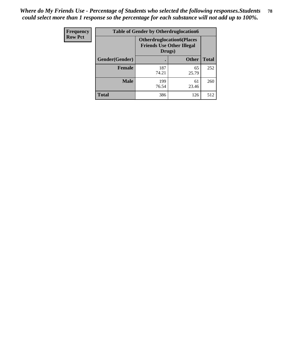| <b>Frequency</b> | <b>Table of Gender by Otherdruglocation6</b> |                                                                                |              |              |
|------------------|----------------------------------------------|--------------------------------------------------------------------------------|--------------|--------------|
| <b>Row Pct</b>   |                                              | <b>Otherdruglocation6(Places</b><br><b>Friends Use Other Illegal</b><br>Drugs) |              |              |
|                  | Gender(Gender)                               |                                                                                | <b>Other</b> | <b>Total</b> |
|                  | Female                                       | 187<br>74.21                                                                   | 65<br>25.79  | 252          |
|                  | <b>Male</b>                                  | 199<br>76.54                                                                   | 61<br>23.46  | 260          |
|                  | <b>Total</b>                                 | 386                                                                            | 126          | 512          |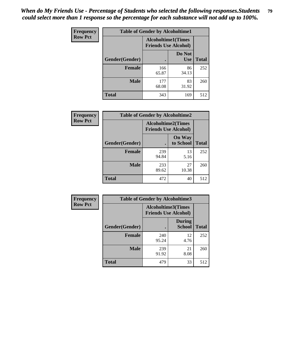| <b>Frequency</b> | <b>Table of Gender by Alcoholtime1</b> |                                                          |                      |              |
|------------------|----------------------------------------|----------------------------------------------------------|----------------------|--------------|
| <b>Row Pct</b>   |                                        | <b>Alcoholtime1(Times</b><br><b>Friends Use Alcohol)</b> |                      |              |
|                  | Gender(Gender)                         | $\bullet$                                                | Do Not<br><b>Use</b> | <b>Total</b> |
|                  | <b>Female</b>                          | 166<br>65.87                                             | 86<br>34.13          | 252          |
|                  | <b>Male</b>                            | 177<br>68.08                                             | 83<br>31.92          | 260          |
|                  | <b>Total</b>                           | 343                                                      | 169                  | 512          |

| Frequency      | <b>Table of Gender by Alcoholtime2</b> |                           |                             |              |
|----------------|----------------------------------------|---------------------------|-----------------------------|--------------|
| <b>Row Pct</b> |                                        | <b>Alcoholtime2(Times</b> | <b>Friends Use Alcohol)</b> |              |
|                | Gender(Gender)                         |                           | <b>On Way</b><br>to School  | <b>Total</b> |
|                | <b>Female</b>                          | 239<br>94.84              | 13<br>5.16                  | 252          |
|                | <b>Male</b>                            | 233<br>89.62              | 27<br>10.38                 | 260          |
|                | <b>Total</b>                           | 472                       | 40                          | 512          |

| Frequency      | <b>Table of Gender by Alcoholtime3</b>            |              |                                |              |
|----------------|---------------------------------------------------|--------------|--------------------------------|--------------|
| <b>Row Pct</b> | Alcoholtime3(Times<br><b>Friends Use Alcohol)</b> |              |                                |              |
|                | Gender(Gender)                                    |              | <b>During</b><br><b>School</b> | <b>Total</b> |
|                | Female                                            | 240<br>95.24 | 12<br>4.76                     | 252          |
|                | <b>Male</b>                                       | 239<br>91.92 | 21<br>8.08                     | 260          |
|                | <b>Total</b>                                      | 479          | 33                             | 512          |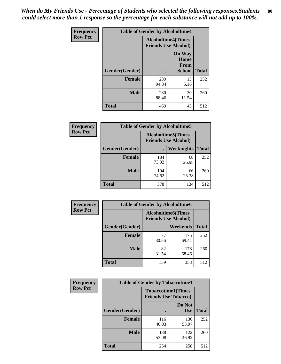*When do My Friends Use - Percentage of Students who selected the following responses.Students could select more than 1 response so the percentage for each substance will not add up to 100%.* **80**

| <b>Frequency</b> | <b>Table of Gender by Alcoholtime4</b> |                           |                                                |              |
|------------------|----------------------------------------|---------------------------|------------------------------------------------|--------------|
| <b>Row Pct</b>   |                                        | <b>Alcoholtime4(Times</b> | <b>Friends Use Alcohol)</b>                    |              |
|                  | Gender(Gender)                         |                           | <b>On Way</b><br>Home<br>From<br><b>School</b> | <b>Total</b> |
|                  | <b>Female</b>                          | 239<br>94.84              | 13<br>5.16                                     | 252          |
|                  | <b>Male</b>                            | 230<br>88.46              | 30<br>11.54                                    | 260          |
|                  | <b>Total</b>                           | 469                       | 43                                             | 512          |

| <b>Frequency</b> | <b>Table of Gender by Alcoholtime5</b> |                                                           |             |              |
|------------------|----------------------------------------|-----------------------------------------------------------|-------------|--------------|
| <b>Row Pct</b>   |                                        | <b>Alcoholtime5</b> (Times<br><b>Friends Use Alcohol)</b> |             |              |
|                  | Gender(Gender)                         |                                                           | Weeknights  | <b>Total</b> |
|                  | <b>Female</b>                          | 184<br>73.02                                              | 68<br>26.98 | 252          |
|                  | <b>Male</b>                            | 194<br>74.62                                              | 66<br>25.38 | 260          |
|                  | <b>Total</b>                           | 378                                                       | 134         | 512          |

| <b>Frequency</b> |                | <b>Table of Gender by Alcoholtime6</b> |                                                           |              |
|------------------|----------------|----------------------------------------|-----------------------------------------------------------|--------------|
| <b>Row Pct</b>   |                |                                        | <b>Alcoholtime6</b> (Times<br><b>Friends Use Alcohol)</b> |              |
|                  | Gender(Gender) |                                        | Weekends                                                  | <b>Total</b> |
|                  | Female         | 77<br>30.56                            | 175<br>69.44                                              | 252          |
|                  | <b>Male</b>    | 82<br>31.54                            | 178<br>68.46                                              | 260          |
|                  | <b>Total</b>   | 159                                    | 353                                                       | 512          |

| Frequency      | <b>Table of Gender by Tobaccotime1</b> |                                                          |                      |              |
|----------------|----------------------------------------|----------------------------------------------------------|----------------------|--------------|
| <b>Row Pct</b> |                                        | <b>Tobaccotime1(Times</b><br><b>Friends Use Tobacco)</b> |                      |              |
|                | Gender(Gender)                         |                                                          | Do Not<br><b>Use</b> | <b>Total</b> |
|                | <b>Female</b>                          | 116<br>46.03                                             | 136<br>53.97         | 252          |
|                | <b>Male</b>                            | 138<br>53.08                                             | 122<br>46.92         | 260          |
|                | <b>Total</b>                           | 254                                                      | 258                  | 512          |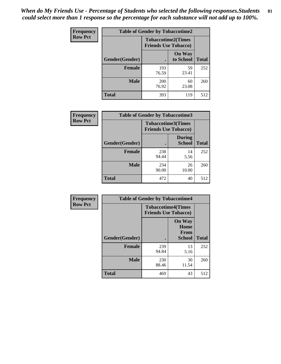| <b>Frequency</b> | <b>Table of Gender by Tobaccotime2</b> |                                                          |                            |              |
|------------------|----------------------------------------|----------------------------------------------------------|----------------------------|--------------|
| <b>Row Pct</b>   |                                        | <b>Tobaccotime2(Times</b><br><b>Friends Use Tobacco)</b> |                            |              |
|                  | Gender(Gender)                         |                                                          | <b>On Way</b><br>to School | <b>Total</b> |
|                  | <b>Female</b>                          | 193<br>76.59                                             | 59<br>23.41                | 252          |
|                  | <b>Male</b>                            | <b>200</b><br>76.92                                      | 60<br>23.08                | 260          |
|                  | <b>Total</b>                           | 393                                                      | 119                        | 512          |

| <b>Frequency</b> | <b>Table of Gender by Tobaccotime3</b> |                                                          |                                |              |
|------------------|----------------------------------------|----------------------------------------------------------|--------------------------------|--------------|
| <b>Row Pct</b>   |                                        | <b>Tobaccotime3(Times</b><br><b>Friends Use Tobacco)</b> |                                |              |
|                  | Gender(Gender)                         |                                                          | <b>During</b><br><b>School</b> | <b>Total</b> |
|                  | <b>Female</b>                          | 238<br>94.44                                             | 14<br>5.56                     | 252          |
|                  | <b>Male</b>                            | 234<br>90.00                                             | 26<br>10.00                    | 260          |
|                  | <b>Total</b>                           | 472                                                      | 40                             | 512          |

| <b>Frequency</b> | <b>Table of Gender by Tobaccotime4</b> |                                                          |                                                |              |
|------------------|----------------------------------------|----------------------------------------------------------|------------------------------------------------|--------------|
| <b>Row Pct</b>   |                                        | <b>Tobaccotime4(Times</b><br><b>Friends Use Tobacco)</b> |                                                |              |
|                  | Gender(Gender)                         |                                                          | <b>On Way</b><br>Home<br>From<br><b>School</b> | <b>Total</b> |
|                  | <b>Female</b>                          | 239                                                      | 13                                             | 252          |
|                  |                                        | 94.84                                                    | 5.16                                           |              |
|                  | <b>Male</b>                            | 230<br>88.46                                             | 30<br>11.54                                    | 260          |
|                  | <b>Total</b>                           | 469                                                      | 43                                             | 512          |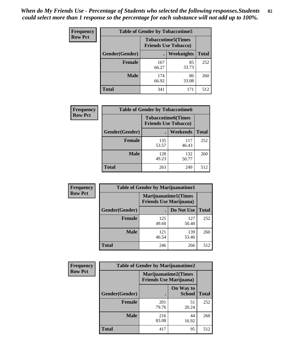| Frequency      | <b>Table of Gender by Tobaccotime5</b> |              |                                                          |              |  |
|----------------|----------------------------------------|--------------|----------------------------------------------------------|--------------|--|
| <b>Row Pct</b> |                                        |              | <b>Tobaccotime5(Times</b><br><b>Friends Use Tobacco)</b> |              |  |
|                | Gender(Gender)                         |              | Weeknights                                               | <b>Total</b> |  |
|                | <b>Female</b>                          | 167<br>66.27 | 85<br>33.73                                              | 252          |  |
|                | <b>Male</b>                            | 174<br>66.92 | 86<br>33.08                                              | 260          |  |
|                | <b>Total</b>                           | 341          | 171                                                      | 512          |  |

| Frequency      |                | <b>Table of Gender by Tobaccotime6</b>                   |              |              |
|----------------|----------------|----------------------------------------------------------|--------------|--------------|
| <b>Row Pct</b> |                | <b>Tobaccotime6(Times</b><br><b>Friends Use Tobacco)</b> |              |              |
|                | Gender(Gender) |                                                          | Weekends     | <b>Total</b> |
|                | Female         | 135<br>53.57                                             | 117<br>46.43 | 252          |
|                | <b>Male</b>    | 128<br>49.23                                             | 132<br>50.77 | 260          |
|                | <b>Total</b>   | 263                                                      | 249          | 512          |

| <b>Frequency</b> | <b>Table of Gender by Marijuanatime1</b> |                                |                             |              |
|------------------|------------------------------------------|--------------------------------|-----------------------------|--------------|
| <b>Row Pct</b>   |                                          | <b>Friends Use Marijuana</b> ) | <b>Marijuanatime1(Times</b> |              |
|                  | Gender(Gender)                           |                                | Do Not Use                  | <b>Total</b> |
|                  | <b>Female</b>                            | 125<br>49.60                   | 127<br>50.40                | 252          |
|                  | <b>Male</b>                              | 121<br>46.54                   | 139<br>53.46                | 260          |
|                  | <b>Total</b>                             | 246                            | 266                         | 512          |

| <b>Frequency</b> | <b>Table of Gender by Marijuanatime2</b> |                                                               |                            |              |
|------------------|------------------------------------------|---------------------------------------------------------------|----------------------------|--------------|
| <b>Row Pct</b>   |                                          | <b>Marijuanatime2(Times</b><br><b>Friends Use Marijuana</b> ) |                            |              |
|                  | Gender(Gender)                           |                                                               | On Way to<br><b>School</b> | <b>Total</b> |
|                  | Female                                   | 201<br>79.76                                                  | 51<br>20.24                | 252          |
|                  | <b>Male</b>                              | 216<br>83.08                                                  | 44<br>16.92                | 260          |
|                  | <b>Total</b>                             | 417                                                           | 95                         | 512          |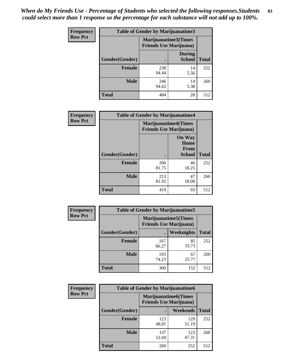| Frequency      | <b>Table of Gender by Marijuanatime3</b> |                                                        |                                |              |
|----------------|------------------------------------------|--------------------------------------------------------|--------------------------------|--------------|
| <b>Row Pct</b> |                                          | Marijuanatime3(Times<br><b>Friends Use Marijuana</b> ) |                                |              |
|                | Gender(Gender)                           |                                                        | <b>During</b><br><b>School</b> | <b>Total</b> |
|                | <b>Female</b>                            | 238<br>94.44                                           | 14<br>5.56                     | 252          |
|                | <b>Male</b>                              | 246<br>94.62                                           | 14<br>5.38                     | 260          |
|                | <b>Total</b>                             | 484                                                    | 28                             | 512          |

| <b>Frequency</b> | <b>Table of Gender by Marijuanatime4</b> |              |                                                               |              |
|------------------|------------------------------------------|--------------|---------------------------------------------------------------|--------------|
| <b>Row Pct</b>   |                                          |              | <b>Marijuanatime4(Times</b><br><b>Friends Use Marijuana</b> ) |              |
|                  |                                          |              | <b>On Way</b><br>Home<br><b>From</b>                          |              |
|                  | Gender(Gender)                           |              | School                                                        | <b>Total</b> |
|                  | <b>Female</b>                            | 206<br>81.75 | 46<br>18.25                                                   | 252          |
|                  | <b>Male</b>                              | 213<br>81.92 | 47<br>18.08                                                   | 260          |
|                  | <b>Total</b>                             | 419          | 93                                                            | 512          |

| Frequency      | <b>Table of Gender by Marijuanatime5</b> |                                                                |             |              |  |
|----------------|------------------------------------------|----------------------------------------------------------------|-------------|--------------|--|
| <b>Row Pct</b> |                                          | <b>Marijuanatime5</b> (Times<br><b>Friends Use Marijuana</b> ) |             |              |  |
|                | Gender(Gender)                           |                                                                | Weeknights  | <b>Total</b> |  |
|                | <b>Female</b>                            | 167<br>66.27                                                   | 85<br>33.73 | 252          |  |
|                | <b>Male</b>                              | 193<br>74.23                                                   | 67<br>25.77 | 260          |  |
|                | <b>Total</b>                             | 360                                                            | 152         | 512          |  |

| <b>Frequency</b> | <b>Table of Gender by Marijuanatime6</b> |                                                               |              |              |  |
|------------------|------------------------------------------|---------------------------------------------------------------|--------------|--------------|--|
| <b>Row Pct</b>   |                                          | <b>Marijuanatime6(Times</b><br><b>Friends Use Marijuana</b> ) |              |              |  |
|                  | Gender(Gender)                           |                                                               | Weekends     | <b>Total</b> |  |
|                  | Female                                   | 123<br>48.81                                                  | 129<br>51.19 | 252          |  |
|                  | <b>Male</b>                              | 137<br>52.69                                                  | 123<br>47.31 | 260          |  |
|                  | <b>Total</b>                             | 260                                                           | 252          | 512          |  |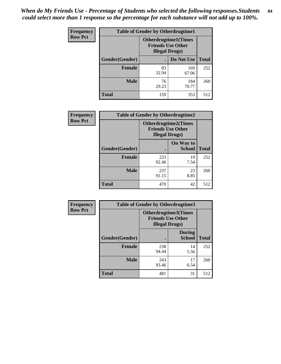*When do My Friends Use - Percentage of Students who selected the following responses.Students could select more than 1 response so the percentage for each substance will not add up to 100%.* **84**

| <b>Frequency</b> | <b>Table of Gender by Otherdrugtime1</b> |                                                                                   |              |              |  |
|------------------|------------------------------------------|-----------------------------------------------------------------------------------|--------------|--------------|--|
| <b>Row Pct</b>   |                                          | <b>Otherdrugtime1</b> (Times<br><b>Friends Use Other</b><br><b>Illegal Drugs)</b> |              |              |  |
|                  | Gender(Gender)                           |                                                                                   | Do Not Use   | <b>Total</b> |  |
|                  | <b>Female</b>                            | 83<br>32.94                                                                       | 169<br>67.06 | 252          |  |
|                  | <b>Male</b>                              | 76<br>29.23                                                                       | 184<br>70.77 | 260          |  |
|                  | <b>Total</b>                             | 159                                                                               | 353          | 512          |  |

| <b>Frequency</b> | <b>Table of Gender by Otherdrugtime2</b> |              |                                                                                   |              |  |
|------------------|------------------------------------------|--------------|-----------------------------------------------------------------------------------|--------------|--|
| <b>Row Pct</b>   |                                          |              | <b>Otherdrugtime2(Times</b><br><b>Friends Use Other</b><br><b>Illegal Drugs</b> ) |              |  |
|                  | <b>Gender</b> (Gender)                   |              | On Way to<br><b>School</b>                                                        | <b>Total</b> |  |
|                  | <b>Female</b>                            | 233<br>92.46 | 19<br>7.54                                                                        | 252          |  |
|                  | <b>Male</b>                              | 237<br>91.15 | 23<br>8.85                                                                        | 260          |  |
|                  | <b>Total</b>                             | 470          | 42                                                                                | 512          |  |

| Frequency      | <b>Table of Gender by Otherdrugtime3</b> |                                                                            |                                |              |  |
|----------------|------------------------------------------|----------------------------------------------------------------------------|--------------------------------|--------------|--|
| <b>Row Pct</b> |                                          | Otherdrugtime3(Times<br><b>Friends Use Other</b><br><b>Illegal Drugs</b> ) |                                |              |  |
|                | Gender(Gender)                           |                                                                            | <b>During</b><br><b>School</b> | <b>Total</b> |  |
|                | <b>Female</b>                            | 238<br>94.44                                                               | 14<br>5.56                     | 252          |  |
|                | <b>Male</b>                              | 243<br>93.46                                                               | 17<br>6.54                     | 260          |  |
|                | <b>Total</b>                             | 481                                                                        | 31                             | 512          |  |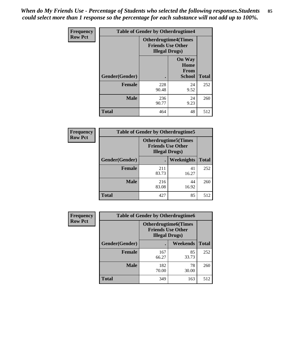*When do My Friends Use - Percentage of Students who selected the following responses.Students could select more than 1 response so the percentage for each substance will not add up to 100%.* **85**

| <b>Frequency</b> | <b>Table of Gender by Otherdrugtime4</b> |                                                                                   |                                                       |              |
|------------------|------------------------------------------|-----------------------------------------------------------------------------------|-------------------------------------------------------|--------------|
| <b>Row Pct</b>   |                                          | <b>Otherdrugtime4(Times</b><br><b>Friends Use Other</b><br><b>Illegal Drugs</b> ) |                                                       |              |
|                  | <b>Gender</b> (Gender)                   |                                                                                   | <b>On Way</b><br>Home<br><b>From</b><br><b>School</b> | <b>Total</b> |
|                  | <b>Female</b>                            | 228<br>90.48                                                                      | 24<br>9.52                                            | 252          |
|                  | <b>Male</b>                              | 236<br>90.77                                                                      | 24<br>9.23                                            | 260          |
|                  | Total                                    | 464                                                                               | 48                                                    | 512          |

| Frequency      | <b>Table of Gender by Otherdrugtime5</b> |                                                                                    |             |              |  |
|----------------|------------------------------------------|------------------------------------------------------------------------------------|-------------|--------------|--|
| <b>Row Pct</b> |                                          | <b>Otherdrugtime5</b> (Times<br><b>Friends Use Other</b><br><b>Illegal Drugs</b> ) |             |              |  |
|                | Gender(Gender)                           |                                                                                    | Weeknights  | <b>Total</b> |  |
|                | <b>Female</b>                            | 211<br>83.73                                                                       | 41<br>16.27 | 252          |  |
|                | <b>Male</b>                              | 216<br>83.08                                                                       | 44<br>16.92 | 260          |  |
|                | <b>Total</b>                             | 427                                                                                | 85          | 512          |  |

| <b>Frequency</b> | <b>Table of Gender by Otherdrugtime6</b> |                                                                                   |             |              |  |
|------------------|------------------------------------------|-----------------------------------------------------------------------------------|-------------|--------------|--|
| <b>Row Pct</b>   |                                          | <b>Otherdrugtime6(Times</b><br><b>Friends Use Other</b><br><b>Illegal Drugs</b> ) |             |              |  |
|                  | Gender(Gender)                           |                                                                                   | Weekends    | <b>Total</b> |  |
|                  | <b>Female</b>                            | 167<br>66.27                                                                      | 85<br>33.73 | 252          |  |
|                  | <b>Male</b>                              | 182<br>70.00                                                                      | 78<br>30.00 | 260          |  |
|                  | <b>Total</b>                             | 349                                                                               | 163         | 512          |  |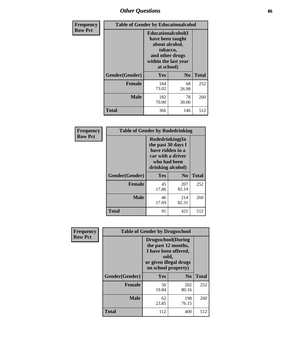# *Other Questions* **86**

| <b>Frequency</b> | <b>Table of Gender by Educationalcohol</b> |                                                                                                                                       |                |              |
|------------------|--------------------------------------------|---------------------------------------------------------------------------------------------------------------------------------------|----------------|--------------|
| <b>Row Pct</b>   |                                            | <b>Educationalcohol</b> (I<br>have been taught<br>about alcohol,<br>tobacco,<br>and other drugs<br>within the last year<br>at school) |                |              |
|                  | Gender(Gender)                             | <b>Yes</b>                                                                                                                            | N <sub>0</sub> | <b>Total</b> |
|                  | <b>Female</b>                              | 184<br>73.02                                                                                                                          | 68<br>26.98    | 252          |
|                  | <b>Male</b>                                | 182<br>70.00                                                                                                                          | 78<br>30.00    | 260          |
|                  | <b>Total</b>                               | 366                                                                                                                                   | 146            | 512          |

| Frequency      | <b>Table of Gender by Rodedrinking</b> |                                                                                                                     |                |              |
|----------------|----------------------------------------|---------------------------------------------------------------------------------------------------------------------|----------------|--------------|
| <b>Row Pct</b> |                                        | Rodedrinking(In<br>the past 30 days I<br>have ridden in a<br>car with a driver<br>who had been<br>drinking alcohol) |                |              |
|                | Gender(Gender)                         | Yes                                                                                                                 | N <sub>0</sub> | <b>Total</b> |
|                | <b>Female</b>                          | 45<br>17.86                                                                                                         | 207<br>82.14   | 252          |
|                | <b>Male</b>                            | 46<br>17.69                                                                                                         | 214<br>82.31   | 260          |
|                | <b>Total</b>                           | 91                                                                                                                  | 421            | 512          |

| Frequency      | <b>Table of Gender by Drugsschool</b> |                                                                                                                                     |                |              |
|----------------|---------------------------------------|-------------------------------------------------------------------------------------------------------------------------------------|----------------|--------------|
| <b>Row Pct</b> |                                       | <b>Drugsschool</b> (During<br>the past 12 months,<br>I have been offered,<br>sold,<br>or given illegal drugs<br>on school property) |                |              |
|                | Gender(Gender)                        | Yes                                                                                                                                 | N <sub>0</sub> | <b>Total</b> |
|                | <b>Female</b>                         | 50<br>19.84                                                                                                                         | 202<br>80.16   | 252          |
|                | <b>Male</b>                           | 62<br>23.85                                                                                                                         | 198<br>76.15   | 260          |
|                | <b>Total</b>                          | 112                                                                                                                                 | 400            | 512          |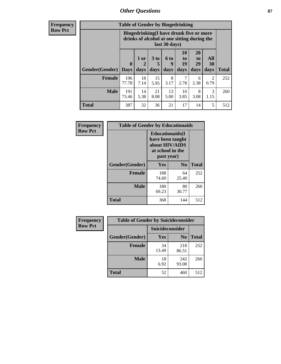## *Other Questions* **87**

**Frequency Row Pct**

| <b>Table of Gender by Bingedrinking</b> |                         |                                                                                                         |                   |                   |                        |                               |                   |              |
|-----------------------------------------|-------------------------|---------------------------------------------------------------------------------------------------------|-------------------|-------------------|------------------------|-------------------------------|-------------------|--------------|
|                                         |                         | Bingedrinking(I have drunk five or more<br>drinks of alcohol at one sitting during the<br>last 30 days) |                   |                   |                        |                               |                   |              |
| <b>Gender</b> (Gender)                  | $\bf{0}$<br><b>Days</b> | $1$ or<br>days                                                                                          | 3 to<br>5<br>days | 6 to<br>9<br>days | 10<br>to<br>19<br>days | <b>20</b><br>to<br>29<br>days | All<br>30<br>days | <b>Total</b> |
| <b>Female</b>                           | 196<br>77.78            | 18<br>7.14                                                                                              | 15<br>5.95        | 8<br>3.17         | 7<br>2.78              | 6<br>2.38                     | 2<br>0.79         | 252          |
|                                         |                         |                                                                                                         |                   |                   |                        |                               |                   |              |
| <b>Male</b>                             | 191<br>73.46            | 14<br>5.38                                                                                              | 21<br>8.08        | 13<br>5.00        | 10<br>3.85             | 8<br>3.08                     | 3<br>1.15         | 260          |

| Frequency      | <b>Table of Gender by Educationaids</b> |                                                                                                 |             |              |
|----------------|-----------------------------------------|-------------------------------------------------------------------------------------------------|-------------|--------------|
| <b>Row Pct</b> |                                         | <b>Educationaids</b> (I<br>have been taught<br>about HIV/AIDS<br>at school in the<br>past year) |             |              |
|                | Gender(Gender)                          | Yes                                                                                             | $\bf N_0$   | <b>Total</b> |
|                | <b>Female</b>                           | 188<br>74.60                                                                                    | 64<br>25.40 | 252          |
|                | <b>Male</b>                             | 180<br>69.23                                                                                    | 80<br>30.77 | 260          |
|                | <b>Total</b>                            | 368                                                                                             | 144         | 512          |

| <b>Frequency</b> | <b>Table of Gender by Suicideconsider</b> |                 |                |              |
|------------------|-------------------------------------------|-----------------|----------------|--------------|
| <b>Row Pct</b>   |                                           | Suicideconsider |                |              |
|                  | Gender(Gender)                            | Yes             | N <sub>0</sub> | <b>Total</b> |
|                  | <b>Female</b>                             | 34<br>13.49     | 218<br>86.51   | 252          |
|                  | <b>Male</b>                               | 18<br>6.92      | 242<br>93.08   | 260          |
|                  | Total                                     | 52              | 460            | 512          |